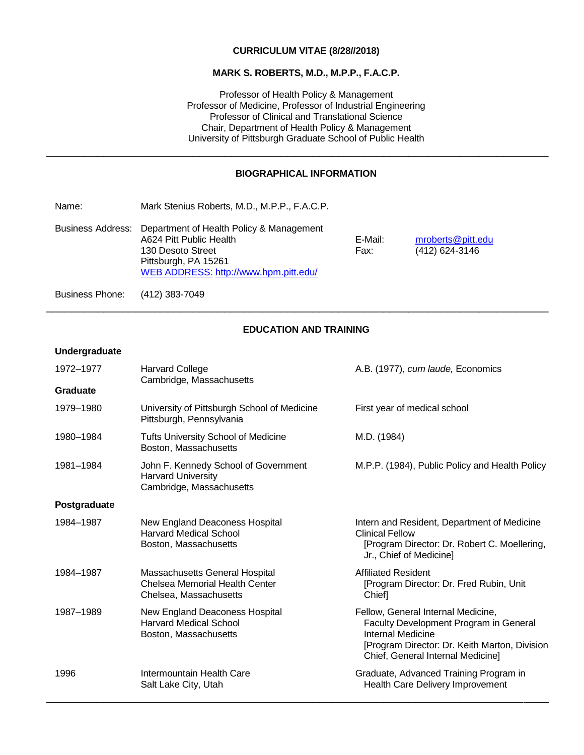### **CURRICULUM VITAE (8/28//2018)**

### **MARK S. ROBERTS, M.D., M.P.P., F.A.C.P.**

Professor of Health Policy & Management Professor of Medicine, Professor of Industrial Engineering Professor of Clinical and Translational Science Chair, Department of Health Policy & Management University of Pittsburgh Graduate School of Public Health

## **BIOGRAPHICAL INFORMATION**

\_\_\_\_\_\_\_\_\_\_\_\_\_\_\_\_\_\_\_\_\_\_\_\_\_\_\_\_\_\_\_\_\_\_\_\_\_\_\_\_\_\_\_\_\_\_\_\_\_\_\_\_\_\_\_\_\_\_\_\_\_\_\_\_\_\_\_\_\_\_\_\_\_\_\_\_\_\_\_

Name: Mark Stenius Roberts, M.D., M.P.P., F.A.C.P.

Business Address: Department of Health Policy & Management A624 Pitt Public Health **E-Mail:** [mroberts@pitt.edu](mailto:mroberts@pitt.edu) E-Mail: mroberts@pitt.edu<br>130 Desoto Street **Example 19** Eax: (412) 624-3146 130 Desoto Street Fax: (412) 624-45146 Pittsburgh, PA 15261 [WEB ADDRESS:](http://www.dgim.pitt.edu/SDS-CSM/index.asp) <http://www.hpm.pitt.edu/>

Business Phone: (412) 383-7049

## **EDUCATION AND TRAINING**

\_\_\_\_\_\_\_\_\_\_\_\_\_\_\_\_\_\_\_\_\_\_\_\_\_\_\_\_\_\_\_\_\_\_\_\_\_\_\_\_\_\_\_\_\_\_\_\_\_\_\_\_\_\_\_\_\_\_\_\_\_\_\_\_\_\_\_\_\_\_\_\_\_\_\_\_\_\_\_

### **Undergraduate**

| 1972-1977    | <b>Harvard College</b><br>Cambridge, Massachusetts                                                | A.B. (1977), cum laude, Economics                                                                                                                                                       |
|--------------|---------------------------------------------------------------------------------------------------|-----------------------------------------------------------------------------------------------------------------------------------------------------------------------------------------|
| Graduate     |                                                                                                   |                                                                                                                                                                                         |
| 1979-1980    | University of Pittsburgh School of Medicine<br>Pittsburgh, Pennsylvania                           | First year of medical school                                                                                                                                                            |
| 1980-1984    | <b>Tufts University School of Medicine</b><br>Boston, Massachusetts                               | M.D. (1984)                                                                                                                                                                             |
| 1981-1984    | John F. Kennedy School of Government<br><b>Harvard University</b><br>Cambridge, Massachusetts     | M.P.P. (1984), Public Policy and Health Policy                                                                                                                                          |
| Postgraduate |                                                                                                   |                                                                                                                                                                                         |
| 1984-1987    | New England Deaconess Hospital<br><b>Harvard Medical School</b><br>Boston, Massachusetts          | Intern and Resident, Department of Medicine<br><b>Clinical Fellow</b><br>[Program Director: Dr. Robert C. Moellering,<br>Jr., Chief of Medicine]                                        |
| 1984-1987    | Massachusetts General Hospital<br><b>Chelsea Memorial Health Center</b><br>Chelsea, Massachusetts | <b>Affiliated Resident</b><br>[Program Director: Dr. Fred Rubin, Unit<br>Chief]                                                                                                         |
| 1987-1989    | New England Deaconess Hospital<br><b>Harvard Medical School</b><br>Boston, Massachusetts          | Fellow, General Internal Medicine,<br>Faculty Development Program in General<br>Internal Medicine<br>[Program Director: Dr. Keith Marton, Division<br>Chief, General Internal Medicine] |
| 1996         | Intermountain Health Care<br>Salt Lake City, Utah                                                 | Graduate, Advanced Training Program in<br>Health Care Delivery Improvement                                                                                                              |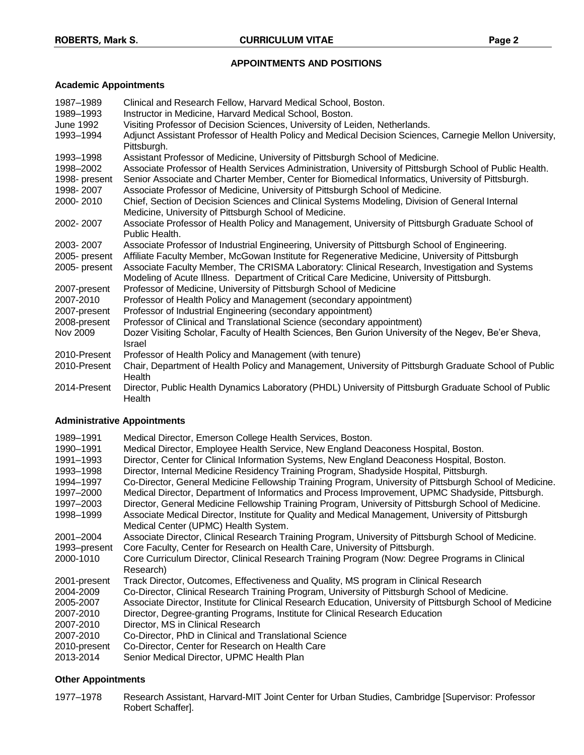## **APPOINTMENTS AND POSITIONS**

# **Academic Appointments**

| 1987-1989<br>1989-1993<br>June 1992<br>1993-1994 | Clinical and Research Fellow, Harvard Medical School, Boston.<br>Instructor in Medicine, Harvard Medical School, Boston.<br>Visiting Professor of Decision Sciences, University of Leiden, Netherlands.<br>Adjunct Assistant Professor of Health Policy and Medical Decision Sciences, Carnegie Mellon University,<br>Pittsburgh. |
|--------------------------------------------------|-----------------------------------------------------------------------------------------------------------------------------------------------------------------------------------------------------------------------------------------------------------------------------------------------------------------------------------|
| 1993-1998                                        | Assistant Professor of Medicine, University of Pittsburgh School of Medicine.                                                                                                                                                                                                                                                     |
| 1998-2002                                        | Associate Professor of Health Services Administration, University of Pittsburgh School of Public Health.                                                                                                                                                                                                                          |
| 1998- present<br>1998-2007                       | Senior Associate and Charter Member, Center for Biomedical Informatics, University of Pittsburgh.<br>Associate Professor of Medicine, University of Pittsburgh School of Medicine.                                                                                                                                                |
| 2000-2010                                        | Chief, Section of Decision Sciences and Clinical Systems Modeling, Division of General Internal<br>Medicine, University of Pittsburgh School of Medicine.                                                                                                                                                                         |
| 2002-2007                                        | Associate Professor of Health Policy and Management, University of Pittsburgh Graduate School of<br>Public Health.                                                                                                                                                                                                                |
| 2003-2007                                        | Associate Professor of Industrial Engineering, University of Pittsburgh School of Engineering.                                                                                                                                                                                                                                    |
| 2005- present                                    | Affiliate Faculty Member, McGowan Institute for Regenerative Medicine, University of Pittsburgh                                                                                                                                                                                                                                   |
| 2005- present                                    | Associate Faculty Member, The CRISMA Laboratory: Clinical Research, Investigation and Systems<br>Modeling of Acute Illness. Department of Critical Care Medicine, University of Pittsburgh.                                                                                                                                       |
| 2007-present                                     | Professor of Medicine, University of Pittsburgh School of Medicine                                                                                                                                                                                                                                                                |
| 2007-2010                                        | Professor of Health Policy and Management (secondary appointment)                                                                                                                                                                                                                                                                 |
| 2007-present                                     | Professor of Industrial Engineering (secondary appointment)                                                                                                                                                                                                                                                                       |
| 2008-present                                     | Professor of Clinical and Translational Science (secondary appointment)                                                                                                                                                                                                                                                           |
| Nov 2009                                         | Dozer Visiting Scholar, Faculty of Health Sciences, Ben Gurion University of the Negev, Be'er Sheva,<br>Israel                                                                                                                                                                                                                    |
| 2010-Present                                     | Professor of Health Policy and Management (with tenure)                                                                                                                                                                                                                                                                           |
| 2010-Present                                     | Chair, Department of Health Policy and Management, University of Pittsburgh Graduate School of Public<br>Health                                                                                                                                                                                                                   |
| 2014-Present                                     | Director, Public Health Dynamics Laboratory (PHDL) University of Pittsburgh Graduate School of Public<br>Health                                                                                                                                                                                                                   |

## **Administrative Appointments**

| 1989-1991    | Medical Director, Emerson College Health Services, Boston.                                                 |
|--------------|------------------------------------------------------------------------------------------------------------|
| 1990-1991    | Medical Director, Employee Health Service, New England Deaconess Hospital, Boston.                         |
| 1991-1993    | Director, Center for Clinical Information Systems, New England Deaconess Hospital, Boston.                 |
| 1993-1998    | Director, Internal Medicine Residency Training Program, Shadyside Hospital, Pittsburgh.                    |
| 1994-1997    | Co-Director, General Medicine Fellowship Training Program, University of Pittsburgh School of Medicine.    |
| 1997-2000    | Medical Director, Department of Informatics and Process Improvement, UPMC Shadyside, Pittsburgh.           |
| 1997-2003    | Director, General Medicine Fellowship Training Program, University of Pittsburgh School of Medicine.       |
| 1998-1999    | Associate Medical Director, Institute for Quality and Medical Management, University of Pittsburgh         |
|              | Medical Center (UPMC) Health System.                                                                       |
| 2001-2004    | Associate Director, Clinical Research Training Program, University of Pittsburgh School of Medicine.       |
| 1993-present | Core Faculty, Center for Research on Health Care, University of Pittsburgh.                                |
| 2000-1010    | Core Curriculum Director, Clinical Research Training Program (Now: Degree Programs in Clinical             |
|              | Research)                                                                                                  |
| 2001-present | Track Director, Outcomes, Effectiveness and Quality, MS program in Clinical Research                       |
| 2004-2009    | Co-Director, Clinical Research Training Program, University of Pittsburgh School of Medicine.              |
| 2005-2007    | Associate Director, Institute for Clinical Research Education, University of Pittsburgh School of Medicine |
| 2007-2010    | Director, Degree-granting Programs, Institute for Clinical Research Education                              |
| 2007-2010    | Director, MS in Clinical Research                                                                          |
| 2007-2010    | Co-Director, PhD in Clinical and Translational Science                                                     |
| 2010-present | Co-Director, Center for Research on Health Care                                                            |
| 2013-2014    | Senior Medical Director, UPMC Health Plan                                                                  |

## **Other Appointments**

1977–1978 Research Assistant, Harvard-MIT Joint Center for Urban Studies, Cambridge [Supervisor: Professor Robert Schaffer].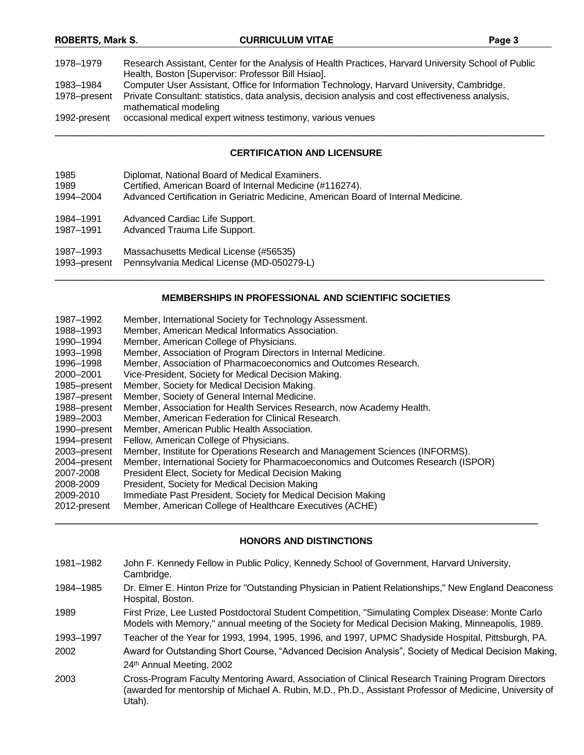| 1978–1979    | Research Assistant, Center for the Analysis of Health Practices, Harvard University School of Public<br>Health, Boston [Supervisor: Professor Bill Hsiao]. |
|--------------|------------------------------------------------------------------------------------------------------------------------------------------------------------|
| 1983–1984    | Computer User Assistant, Office for Information Technology, Harvard University, Cambridge.                                                                 |
| 1978–present | Private Consultant: statistics, data analysis, decision analysis and cost effectiveness analysis,<br>mathematical modeling                                 |
| 1992-present | occasional medical expert witness testimony, various venues                                                                                                |
|              |                                                                                                                                                            |

#### **CERTIFICATION AND LICENSURE**

| 1985       | Diplomat, National Board of Medical Examiners.                                     |
|------------|------------------------------------------------------------------------------------|
| 1989       | Certified, American Board of Internal Medicine (#116274).                          |
| 1994-2004  | Advanced Certification in Geriatric Medicine. American Board of Internal Medicine. |
| 1001, 1001 | Advanced Cardina Life Support                                                      |

1984–1991 Advanced Cardiac Life Support.

1987–1991 Advanced Trauma Life Support.

1987–1993 Massachusetts Medical License (#56535)

1993–present Pennsylvania Medical License (MD-050279-L)

### **MEMBERSHIPS IN PROFESSIONAL AND SCIENTIFIC SOCIETIES**

\_\_\_\_\_\_\_\_\_\_\_\_\_\_\_\_\_\_\_\_\_\_\_\_\_\_\_\_\_\_\_\_\_\_\_\_\_\_\_\_\_\_\_\_\_\_\_\_\_\_\_\_\_\_\_\_\_\_\_\_\_\_\_\_\_\_\_\_\_\_\_\_\_\_\_\_\_

| 1987–1992    | Member, International Society for Technology Assessment.                          |
|--------------|-----------------------------------------------------------------------------------|
| 1988–1993    | Member, American Medical Informatics Association.                                 |
| 1990-1994    | Member, American College of Physicians.                                           |
| 1993-1998    | Member, Association of Program Directors in Internal Medicine.                    |
| 1996-1998    | Member, Association of Pharmacoeconomics and Outcomes Research.                   |
| 2000-2001    | Vice-President, Society for Medical Decision Making.                              |
| 1985-present | Member, Society for Medical Decision Making.                                      |
| 1987-present | Member, Society of General Internal Medicine.                                     |
| 1988-present | Member, Association for Health Services Research, now Academy Health.             |
| 1989-2003    | Member, American Federation for Clinical Research.                                |
| 1990-present | Member, American Public Health Association.                                       |
| 1994-present | Fellow, American College of Physicians.                                           |
| 2003-present | Member, Institute for Operations Research and Management Sciences (INFORMS).      |
| 2004-present | Member, International Society for Pharmacoeconomics and Outcomes Research (ISPOR) |
| 2007-2008    | President Elect, Society for Medical Decision Making                              |
| 2008-2009    | President, Society for Medical Decision Making                                    |
| 2009-2010    | Immediate Past President, Society for Medical Decision Making                     |
| 2012-present | Member, American College of Healthcare Executives (ACHE)                          |

### **HONORS AND DISTINCTIONS**

- 1981–1982 John F. Kennedy Fellow in Public Policy, Kennedy School of Government, Harvard University, Cambridge.
- 1984–1985 Dr. Elmer E. Hinton Prize for "Outstanding Physician in Patient Relationships," New England Deaconess Hospital, Boston.

1989 First Prize, Lee Lusted Postdoctoral Student Competition, "Simulating Complex Disease: Monte Carlo Models with Memory," annual meeting of the Society for Medical Decision Making, Minneapolis, 1989.

1993–1997 Teacher of the Year for 1993, 1994, 1995, 1996, and 1997, UPMC Shadyside Hospital, Pittsburgh, PA.

- 2002 Award for Outstanding Short Course, "Advanced Decision Analysis", Society of Medical Decision Making, 24th Annual Meeting, 2002
- 2003 Cross-Program Faculty Mentoring Award, Association of Clinical Research Training Program Directors (awarded for mentorship of Michael A. Rubin, M.D., Ph.D., Assistant Professor of Medicine, University of Utah).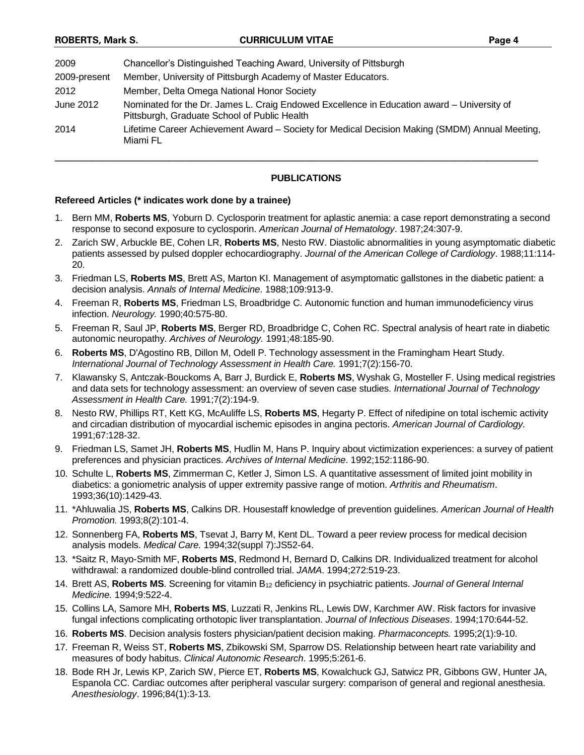| Chancellor's Distinguished Teaching Award, University of Pittsburgh                                                                        |
|--------------------------------------------------------------------------------------------------------------------------------------------|
| Member, University of Pittsburgh Academy of Master Educators.                                                                              |
| Member, Delta Omega National Honor Society                                                                                                 |
| Nominated for the Dr. James L. Craig Endowed Excellence in Education award - University of<br>Pittsburgh, Graduate School of Public Health |
| Lifetime Career Achievement Award - Society for Medical Decision Making (SMDM) Annual Meeting,<br>Miami FL                                 |
|                                                                                                                                            |

### **PUBLICATIONS**

### **Refereed Articles (\* indicates work done by a trainee)**

- 1. Bern MM, **Roberts MS**, Yoburn D. Cyclosporin treatment for aplastic anemia: a case report demonstrating a second response to second exposure to cyclosporin. *American Journal of Hematology*. 1987;24:307-9.
- 2. Zarich SW, Arbuckle BE, Cohen LR, **Roberts MS**, Nesto RW. Diastolic abnormalities in young asymptomatic diabetic patients assessed by pulsed doppler echocardiography. *Journal of the American College of Cardiology*. 1988;11:114- 20.
- 3. Friedman LS, **Roberts MS**, Brett AS, Marton KI. Management of asymptomatic gallstones in the diabetic patient: a decision analysis. *Annals of Internal Medicine*. 1988;109:913-9.
- 4. Freeman R, **Roberts MS**, Friedman LS, Broadbridge C. Autonomic function and human immunodeficiency virus infection. *Neurology.* 1990;40:575-80.
- 5. Freeman R, Saul JP, **Roberts MS**, Berger RD, Broadbridge C, Cohen RC. Spectral analysis of heart rate in diabetic autonomic neuropathy. *Archives of Neurology.* 1991;48:185-90.
- 6. **Roberts MS**, D'Agostino RB, Dillon M, Odell P. Technology assessment in the Framingham Heart Study. *International Journal of Technology Assessment in Health Care.* 1991;7(2):156-70.
- 7. Klawansky S, Antczak-Bouckoms A, Barr J, Burdick E, **Roberts MS**, Wyshak G, Mosteller F. Using medical registries and data sets for technology assessment: an overview of seven case studies. *International Journal of Technology Assessment in Health Care.* 1991;7(2):194-9.
- 8. Nesto RW, Phillips RT, Kett KG, McAuliffe LS, **Roberts MS**, Hegarty P. Effect of nifedipine on total ischemic activity and circadian distribution of myocardial ischemic episodes in angina pectoris. *American Journal of Cardiology.* 1991;67:128-32.
- 9. Friedman LS, Samet JH, **Roberts MS**, Hudlin M, Hans P. Inquiry about victimization experiences: a survey of patient preferences and physician practices. *Archives of Internal Medicine*. 1992;152:1186-90.
- 10. Schulte L, **Roberts MS**, Zimmerman C, Ketler J, Simon LS. A quantitative assessment of limited joint mobility in diabetics: a goniometric analysis of upper extremity passive range of motion. *Arthritis and Rheumatism*. 1993;36(10):1429-43.
- 11. \*Ahluwalia JS, **Roberts MS**, Calkins DR. Housestaff knowledge of prevention guidelines. *American Journal of Health Promotion.* 1993;8(2):101-4.
- 12. Sonnenberg FA, **Roberts MS**, Tsevat J, Barry M, Kent DL. Toward a peer review process for medical decision analysis models. *Medical Care.* 1994;32(suppl 7):JS52-64.
- 13. \*Saitz R, Mayo-Smith MF, **Roberts MS**, Redmond H, Bernard D, Calkins DR. Individualized treatment for alcohol withdrawal: a randomized double-blind controlled trial. *JAMA*. 1994;272:519-23.
- 14. Brett AS, **Roberts MS**. Screening for vitamin B<sup>12</sup> deficiency in psychiatric patients. *Journal of General Internal Medicine.* 1994;9:522-4.
- 15. Collins LA, Samore MH, **Roberts MS**, Luzzati R, Jenkins RL, Lewis DW, Karchmer AW. Risk factors for invasive fungal infections complicating orthotopic liver transplantation. *Journal of Infectious Diseases*. 1994;170:644-52.
- 16. **Roberts MS**. Decision analysis fosters physician/patient decision making. *Pharmaconcepts.* 1995;2(1):9-10.
- 17. Freeman R, Weiss ST, **Roberts MS**, Zbikowski SM, Sparrow DS. Relationship between heart rate variability and measures of body habitus. *Clinical Autonomic Research*. 1995;5:261-6.
- 18. Bode RH Jr, Lewis KP, Zarich SW, Pierce ET, **Roberts MS**, Kowalchuck GJ, Satwicz PR, Gibbons GW, Hunter JA, Espanola CC. Cardiac outcomes after peripheral vascular surgery: comparison of general and regional anesthesia. *Anesthesiology*. 1996;84(1):3-13.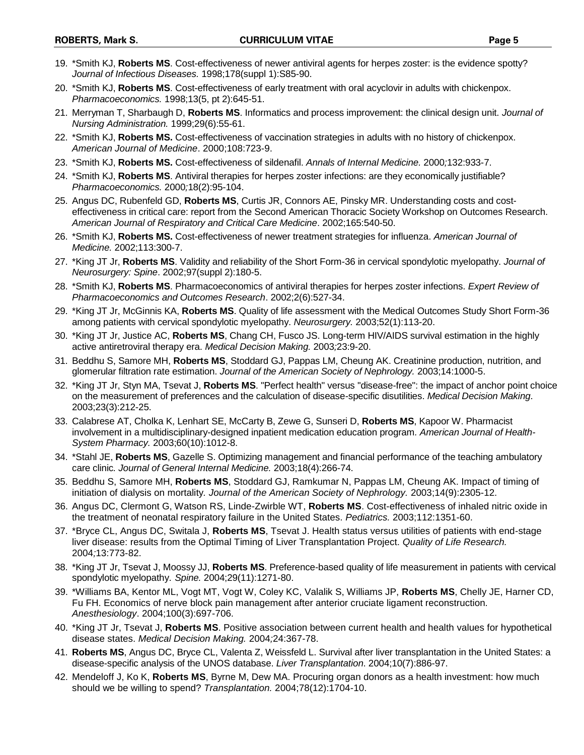- 19. \*Smith KJ, **Roberts MS**. Cost-effectiveness of newer antiviral agents for herpes zoster: is the evidence spotty? *Journal of Infectious Diseases.* 1998;178(suppl 1):S85-90.
- 20. \*Smith KJ, **Roberts MS**. Cost-effectiveness of early treatment with oral acyclovir in adults with chickenpox. *Pharmacoeconomics.* 1998;13(5, pt 2):645-51.
- 21. Merryman T, Sharbaugh D, **Roberts MS**. Informatics and process improvement: the clinical design unit. *Journal of Nursing Administration.* 1999;29(6):55-61.
- 22. \*Smith KJ, **Roberts MS.** Cost-effectiveness of vaccination strategies in adults with no history of chickenpox. *American Journal of Medicine*. 2000;108:723-9.
- 23. \*Smith KJ, **Roberts MS.** Cost-effectiveness of sildenafil. *Annals of Internal Medicine.* 2000*;*132:933-7.
- 24. \*Smith KJ, **Roberts MS**. Antiviral therapies for herpes zoster infections: are they economically justifiable? *Pharmacoeconomics.* 2000*;*18(2):95-104.
- 25. Angus DC, Rubenfeld GD, **Roberts MS**, Curtis JR, Connors AE, Pinsky MR. Understanding costs and costeffectiveness in critical care: report from the Second American Thoracic Society Workshop on Outcomes Research. *American Journal of Respiratory and Critical Care Medicine*. 2002;165:540-50.
- 26. \*Smith KJ, **Roberts MS.** Cost-effectiveness of newer treatment strategies for influenza. *American Journal of Medicine.* 2002;113:300-7.
- 27. \*King JT Jr, **Roberts MS**. Validity and reliability of the Short Form-36 in cervical spondylotic myelopathy. *Journal of Neurosurgery: Spine*. 2002;97(suppl 2):180-5.
- 28. \*Smith KJ, **Roberts MS**. Pharmacoeconomics of antiviral therapies for herpes zoster infections. *Expert Review of Pharmacoeconomics and Outcomes Research*. 2002;2(6):527-34.
- 29. \*King JT Jr, McGinnis KA, **Roberts MS**. Quality of life assessment with the Medical Outcomes Study Short Form-36 among patients with cervical spondylotic myelopathy. *Neurosurgery.* 2003;52(1):113-20.
- 30. \*King JT Jr, Justice AC, **Roberts MS**, Chang CH, Fusco JS. Long-term HIV/AIDS survival estimation in the highly active antiretroviral therapy era. *Medical Decision Making.* 2003*;*23:9-20.
- 31. Beddhu S, Samore MH, **Roberts MS**, Stoddard GJ, Pappas LM, Cheung AK. Creatinine production, nutrition, and glomerular filtration rate estimation. *Journal of the American Society of Nephrology.* 2003;14:1000-5.
- 32. \*King JT Jr, Styn MA, Tsevat J, **Roberts MS**. "Perfect health" versus "disease-free": the impact of anchor point choice on the measurement of preferences and the calculation of disease-specific disutilities. *Medical Decision Making*. 2003;23(3):212-25.
- 33. Calabrese AT, Cholka K, Lenhart SE, McCarty B, Zewe G, Sunseri D, **Roberts MS**, Kapoor W. Pharmacist involvement in a multidisciplinary-designed inpatient medication education program*. American Journal of Health-System Pharmacy.* 2003;60(10):1012-8.
- 34. \*Stahl JE, **Roberts MS**, Gazelle S. Optimizing management and financial performance of the teaching ambulatory care clinic*. Journal of General Internal Medicine.* 2003;18(4):266-74.
- 35. Beddhu S, Samore MH, **Roberts MS**, Stoddard GJ, Ramkumar N, Pappas LM, Cheung AK. Impact of timing of initiation of dialysis on mortality*. Journal of the American Society of Nephrology.* 2003;14(9):2305-12.
- 36. Angus DC, Clermont G, Watson RS, Linde-Zwirble WT, **Roberts MS**. Cost-effectiveness of inhaled nitric oxide in the treatment of neonatal respiratory failure in the United States. *Pediatrics.* 2003;112:1351-60.
- 37. \*Bryce CL, Angus DC, Switala J, **Roberts MS**, Tsevat J. Health status versus utilities of patients with end-stage liver disease: results from the Optimal Timing of Liver Transplantation Project. *Quality of Life Research.*  2004*;*13:773-82.
- 38. \*King JT Jr, Tsevat J, Moossy JJ, **Roberts MS**. Preference-based quality of life measurement in patients with cervical spondylotic myelopathy. *Spine.* 2004;29(11):1271-80.
- 39. \*Williams BA, Kentor ML, Vogt MT, Vogt W, Coley KC, Valalik S, Williams JP, **Roberts MS**, Chelly JE, Harner CD, Fu FH. Economics of nerve block pain management after anterior cruciate ligament reconstruction. *Anesthesiology*. 2004;100(3):697-706.
- 40. \*King JT Jr, Tsevat J, **Roberts MS**. Positive association between current health and health values for hypothetical disease states. *Medical Decision Making.* 2004*;*24:367-78.
- 41. **Roberts MS**, Angus DC, Bryce CL, Valenta Z, Weissfeld L. Survival after liver transplantation in the United States: a disease-specific analysis of the UNOS database. *Liver Transplantation*. 2004;10(7):886-97.
- 42. Mendeloff J, Ko K, **Roberts MS**, Byrne M, Dew MA. Procuring organ donors as a health investment: how much should we be willing to spend? *Transplantation.* 2004;78(12):1704-10.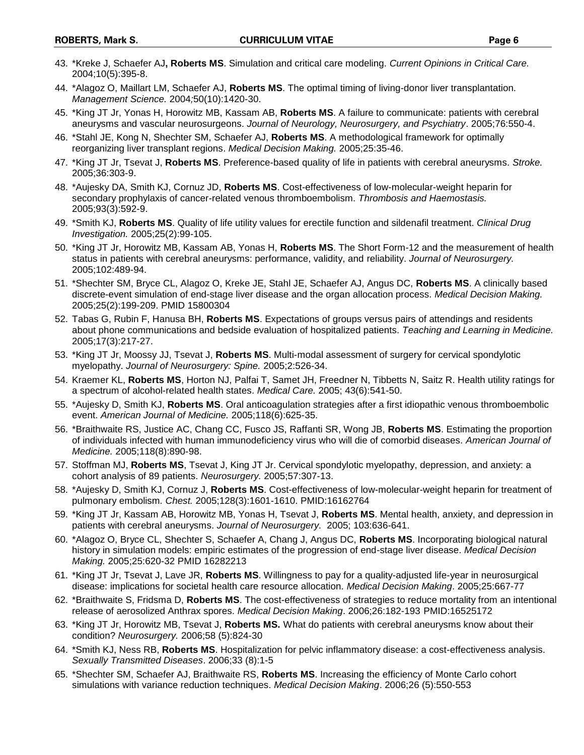- 43. \*Kreke J, Schaefer AJ**, Roberts MS**. Simulation and critical care modeling. *Current Opinions in Critical Care.*  2004;10(5):395-8.
- 44. \*Alagoz O, Maillart LM, Schaefer AJ, **Roberts MS**. The optimal timing of living-donor liver transplantation. *Management Science.* 2004*;*50(10):1420-30.
- 45. \*King JT Jr, Yonas H, Horowitz MB, Kassam AB, **Roberts MS**. A failure to communicate: patients with cerebral aneurysms and vascular neurosurgeons. *Journal of Neurology, Neurosurgery, and Psychiatry*. 2005;76:550-4.
- 46. \*Stahl JE, Kong N, Shechter SM, Schaefer AJ, **Roberts MS**. A methodological framework for optimally reorganizing liver transplant regions. *Medical Decision Making.* 2005;25:35-46.
- 47. \*King JT Jr, Tsevat J, **Roberts MS**. Preference-based quality of life in patients with cerebral aneurysms. *Stroke.*  2005;36:303-9.
- 48. \*Aujesky DA, Smith KJ, Cornuz JD, **Roberts MS**. Cost-effectiveness of low-molecular-weight heparin for secondary prophylaxis of cancer-related venous thromboembolism. *Thrombosis and Haemostasis.*  2005;93(3):592-9.
- 49. \*Smith KJ, **Roberts MS**. Quality of life utility values for erectile function and sildenafil treatment. *Clinical Drug Investigation.* 2005;25(2):99-105.
- 50. \*King JT Jr, Horowitz MB, Kassam AB, Yonas H, **Roberts MS**. The Short Form-12 and the measurement of health status in patients with cerebral aneurysms: performance, validity, and reliability. *Journal of Neurosurgery.* 2005;102:489-94.
- 51. \*Shechter SM, Bryce CL, Alagoz O, Kreke JE, Stahl JE, Schaefer AJ, Angus DC, **Roberts MS**. A clinically based discrete-event simulation of end-stage liver disease and the organ allocation process. *Medical Decision Making.*  2005;25(2):199-209. PMID 15800304
- 52. Tabas G, Rubin F, Hanusa BH, **Roberts MS**. Expectations of groups versus pairs of attendings and residents about phone communications and bedside evaluation of hospitalized patients. *Teaching and Learning in Medicine.*  2005;17(3):217-27.
- 53. \*King JT Jr, Moossy JJ, Tsevat J, **Roberts MS**. Multi-modal assessment of surgery for cervical spondylotic myelopathy. *Journal of Neurosurgery: Spine.* 2005;2:526-34.
- 54. Kraemer KL, **Roberts MS**, Horton NJ, Palfai T, Samet JH, Freedner N, Tibbetts N, Saitz R. Health utility ratings for a spectrum of alcohol-related health states. *Medical Care.* 2005; 43(6):541-50.
- 55. \*Aujesky D, Smith KJ, **Roberts MS**. Oral anticoagulation strategies after a first idiopathic venous thromboembolic event. *American Journal of Medicine.* 2005;118(6):625-35.
- 56. \*Braithwaite RS, Justice AC, Chang CC, Fusco JS, Raffanti SR, Wong JB, **Roberts MS**. Estimating the proportion of individuals infected with human immunodeficiency virus who will die of comorbid diseases. *American Journal of Medicine.* 2005;118(8):890-98.
- 57. Stoffman MJ, **Roberts MS**, Tsevat J, King JT Jr. Cervical spondylotic myelopathy, depression, and anxiety: a cohort analysis of 89 patients. *Neurosurgery.* 2005;57:307-13.
- 58. \*Aujesky D, Smith KJ, Cornuz J, **Roberts MS**. Cost-effectiveness of low-molecular-weight heparin for treatment of pulmonary embolism*. Chest.* 2005;128(3):1601-1610. PMID:16162764
- 59. \*King JT Jr, Kassam AB, Horowitz MB, Yonas H, Tsevat J, **Roberts MS**. Mental health, anxiety, and depression in patients with cerebral aneurysms. *Journal of Neurosurgery.* 2005; 103:636-641.
- 60. \*Alagoz O, Bryce CL, Shechter S, Schaefer A, Chang J, Angus DC, **Roberts MS**. Incorporating biological natural history in simulation models: empiric estimates of the progression of end-stage liver disease. *Medical Decision Making.* 2005;25:620-32 PMID 16282213
- 61. \*King JT Jr, Tsevat J, Lave JR, **Roberts MS**. Willingness to pay for a quality-adjusted life-year in neurosurgical disease: implications for societal health care resource allocation. *Medical Decision Making*. 2005;25:667-77
- 62. \*Braithwaite S, Fridsma D, **Roberts MS**. The cost-effectiveness of strategies to reduce mortality from an intentional release of aerosolized Anthrax spores. *Medical Decision Making*. 2006;26:182-193 PMID:16525172
- 63. \*King JT Jr, Horowitz MB, Tsevat J, **Roberts MS.** What do patients with cerebral aneurysms know about their condition? *Neurosurgery.* 2006;58 (5):824-30
- 64. \*Smith KJ, Ness RB, **Roberts MS**. Hospitalization for pelvic inflammatory disease: a cost-effectiveness analysis. *Sexually Transmitted Diseases*. 2006;33 (8):1-5
- 65. \*Shechter SM, Schaefer AJ, Braithwaite RS, **Roberts MS**. Increasing the efficiency of Monte Carlo cohort simulations with variance reduction techniques. *Medical Decision Making*. 2006;26 (5):550-553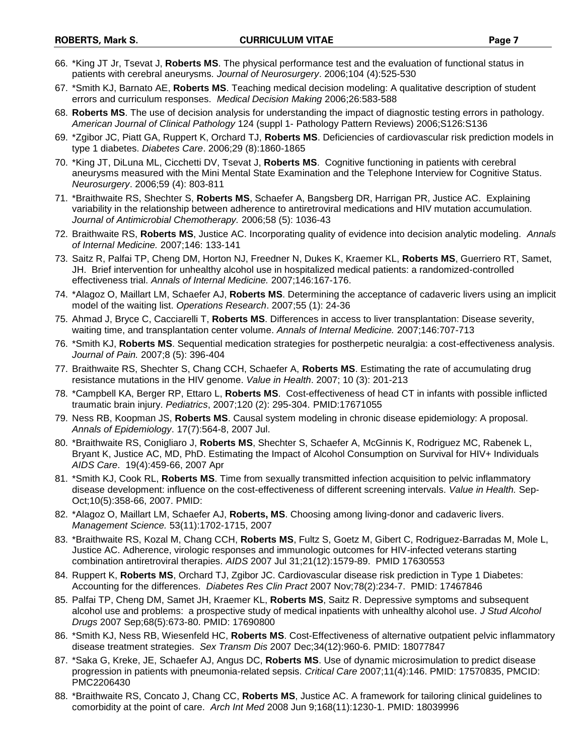- 66. \*King JT Jr, Tsevat J, **Roberts MS**. The physical performance test and the evaluation of functional status in patients with cerebral aneurysms*. Journal of Neurosurgery*. 2006;104 (4):525-530
- 67. \*Smith KJ, Barnato AE, **Roberts MS**. Teaching medical decision modeling: A qualitative description of student errors and curriculum responses. *Medical Decision Making* 2006;26:583-588
- 68. **Roberts MS**. The use of decision analysis for understanding the impact of diagnostic testing errors in pathology*. American Journal of Clinical Pathology* 124 (suppl 1- Pathology Pattern Reviews) 2006;S126:S136
- 69. \*Zgibor JC, Piatt GA, Ruppert K, Orchard TJ, **Roberts MS**. Deficiencies of cardiovascular risk prediction models in type 1 diabetes. *Diabetes Care*. 2006;29 (8):1860-1865
- 70. \*King JT, DiLuna ML, Cicchetti DV, Tsevat J, **Roberts MS**. Cognitive functioning in patients with cerebral aneurysms measured with the Mini Mental State Examination and the Telephone Interview for Cognitive Status. *Neurosurgery*. 2006;59 (4): 803-811
- 71. \*Braithwaite RS, Shechter S, **Roberts MS**, Schaefer A, Bangsberg DR, Harrigan PR, Justice AC. Explaining variability in the relationship between adherence to antiretroviral medications and HIV mutation accumulation. *Journal of Antimicrobial Chemotherapy.* 2006;58 (5): 1036-43
- 72. Braithwaite RS, **Roberts MS**, Justice AC. Incorporating quality of evidence into decision analytic modeling. *Annals of Internal Medicine.* 2007;146: 133-141
- 73. Saitz R, Palfai TP, Cheng DM, Horton NJ, Freedner N, Dukes K, Kraemer KL, **Roberts MS**, Guerriero RT, Samet, JH. Brief intervention for unhealthy alcohol use in hospitalized medical patients: a randomized-controlled effectiveness trial. *Annals of Internal Medicine.* 2007;146:167-176.
- 74. \*Alagoz O, Maillart LM, Schaefer AJ, **Roberts MS**. Determining the acceptance of cadaveric livers using an implicit model of the waiting list. *Operations Research*. 2007;55 (1): 24-36
- 75. Ahmad J, Bryce C, Cacciarelli T, **Roberts MS**. Differences in access to liver transplantation: Disease severity, waiting time, and transplantation center volume. *Annals of Internal Medicine.* 2007;146:707-713
- 76. \*Smith KJ, **Roberts MS**. Sequential medication strategies for postherpetic neuralgia: a cost-effectiveness analysis. *Journal of Pain.* 2007;8 (5): 396-404
- 77. Braithwaite RS, Shechter S, Chang CCH, Schaefer A, **Roberts MS**. Estimating the rate of accumulating drug resistance mutations in the HIV genome. *Value in Health*. 2007; 10 (3): 201-213
- 78. \*Campbell KA, Berger RP, Ettaro L, **Roberts MS**. Cost-effectiveness of head CT in infants with possible inflicted traumatic brain injury. *Pediatrics*, 2007;120 (2): 295-304. PMID:17671055
- 79. Ness RB, Koopman JS, **Roberts MS**. Causal system modeling in chronic disease epidemiology: A proposal. *Annals of Epidemiology*. 17(7):564-8, 2007 Jul.
- 80. \*Braithwaite RS, Conigliaro J, **Roberts MS**, Shechter S, Schaefer A, McGinnis K, Rodriguez MC, Rabenek L, Bryant K, Justice AC, MD, PhD. Estimating the Impact of Alcohol Consumption on Survival for HIV+ Individuals *AIDS Care*. 19(4):459-66, 2007 Apr
- 81. \*Smith KJ, Cook RL, **Roberts MS**. Time from sexually transmitted infection acquisition to pelvic inflammatory disease development: influence on the cost-effectiveness of different screening intervals. *Value in Health.* Sep-Oct;10(5):358-66, 2007. PMID:
- 82. \*Alagoz O, Maillart LM, Schaefer AJ, **Roberts, MS**. Choosing among living-donor and cadaveric livers. *Management Science.* 53(11):1702-1715, 2007
- 83. \*Braithwaite RS, Kozal M, Chang CCH, **Roberts MS**, Fultz S, Goetz M, Gibert C, Rodriguez-Barradas M, Mole L, Justice AC. Adherence, virologic responses and immunologic outcomes for HIV-infected veterans starting combination antiretroviral therapies. *AIDS* 2007 Jul 31;21(12):1579-89. PMID 17630553
- 84. Ruppert K, **Roberts MS**, Orchard TJ, Zgibor JC. Cardiovascular disease risk prediction in Type 1 Diabetes: Accounting for the differences. *Diabetes Res Clin Pract* 2007 Nov;78(2):234-7. PMID: 17467846
- 85. Palfai TP, Cheng DM, Samet JH, Kraemer KL, **Roberts MS**, Saitz R. Depressive symptoms and subsequent alcohol use and problems: a prospective study of medical inpatients with unhealthy alcohol use. *J Stud Alcohol Drugs* 2007 Sep;68(5):673-80. PMID: 17690800
- 86. \*Smith KJ, Ness RB, Wiesenfeld HC, **Roberts MS**. Cost-Effectiveness of alternative outpatient pelvic inflammatory disease treatment strategies. *Sex Transm Dis* 2007 Dec;34(12):960-6. PMID: 18077847
- 87. \*Saka G, Kreke, JE, Schaefer AJ, Angus DC, **Roberts MS**. Use of dynamic microsimulation to predict disease progression in patients with pneumonia-related sepsis. *Critical Care* 2007;11(4):146. PMID: 17570835, PMCID: PMC2206430
- 88. \*Braithwaite RS, Concato J, Chang CC, **Roberts MS**, Justice AC. A framework for tailoring clinical guidelines to comorbidity at the point of care. *Arch Int Med* 2008 Jun 9;168(11):1230-1. PMID: 18039996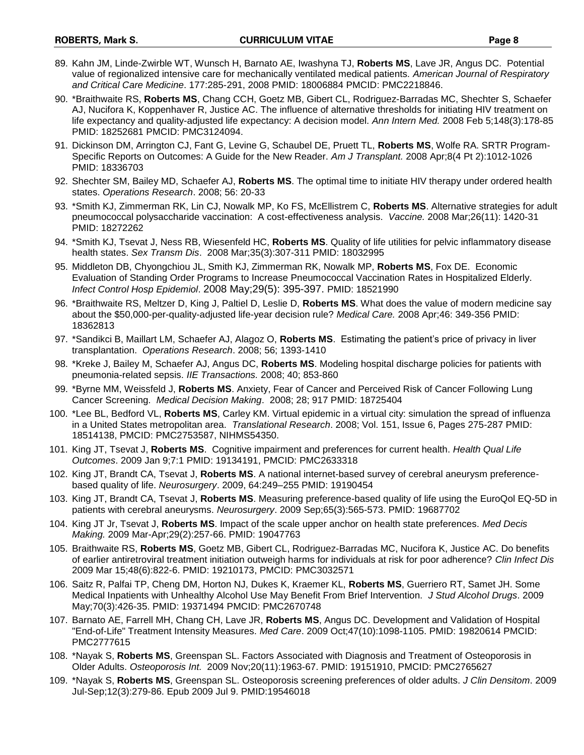- 89. Kahn JM, Linde-Zwirble WT, Wunsch H, Barnato AE, Iwashyna TJ, **Roberts MS**, Lave JR, Angus DC. Potential value of regionalized intensive care for mechanically ventilated medical patients. *American Journal of Respiratory and Critical Care Medicine*. 177:285-291, 2008 PMID: 18006884 PMCID: PMC2218846.
- 90. \*Braithwaite RS, **Roberts MS**, Chang CCH, Goetz MB, Gibert CL, Rodriguez-Barradas MC, Shechter S, Schaefer AJ, Nucifora K, Koppenhaver R, Justice AC. The influence of alternative thresholds for initiating HIV treatment on life expectancy and quality-adjusted life expectancy: A decision model. *Ann Intern Med.* 2008 Feb 5;148(3):178-85 PMID: 18252681 PMCID: PMC3124094.
- 91. Dickinson DM, Arrington CJ, Fant G, Levine G, Schaubel DE, Pruett TL, **Roberts MS**, Wolfe RA. SRTR Program-Specific Reports on Outcomes: A Guide for the New Reader. *Am J Transplant.* 2008 Apr;8(4 Pt 2):1012-1026 PMID: 18336703
- 92. Shechter SM, Bailey MD, Schaefer AJ, **Roberts MS**. The optimal time to initiate HIV therapy under ordered health states. *Operations Research*. 2008; 56: 20-33
- 93. \*Smith KJ, Zimmerman RK, Lin CJ, Nowalk MP, Ko FS, McEllistrem C, **Roberts MS**. Alternative strategies for adult pneumococcal polysaccharide vaccination: A cost-effectiveness analysis. *Vaccine.* 2008 Mar;26(11): 1420-31 PMID: 18272262
- 94. \*Smith KJ, Tsevat J, Ness RB, Wiesenfeld HC, **Roberts MS**. Quality of life utilities for pelvic inflammatory disease health states. *Sex Transm Dis*. 2008 Mar;35(3):307-311 PMID: 18032995
- 95. Middleton DB, Chyongchiou JL, Smith KJ, Zimmerman RK, Nowalk MP, **Roberts MS**, Fox DE. Economic Evaluation of Standing Order Programs to Increase Pneumococcal Vaccination Rates in Hospitalized Elderly. *Infect Control Hosp Epidemiol*. 2008 May;29(5): 395-397. PMID: 18521990
- 96. \*Braithwaite RS, Meltzer D, King J, Paltiel D, Leslie D, **Roberts MS**. What does the value of modern medicine say about the \$50,000-per-quality-adjusted life-year decision rule? *Medical Care.* 2008 Apr;46: 349-356 PMID: 18362813
- 97. \*Sandikci B, Maillart LM, Schaefer AJ, Alagoz O, **Roberts MS**. Estimating the patient's price of privacy in liver transplantation. *Operations Research*. 2008; 56; 1393-1410
- 98. \*Kreke J, Bailey M, Schaefer AJ, Angus DC, **Roberts MS**. Modeling hospital discharge policies for patients with pneumonia-related sepsis. *IIE Transactions.* 2008; 40; 853-860
- 99. \*Byrne MM, Weissfeld J, **Roberts MS**. Anxiety, Fear of Cancer and Perceived Risk of Cancer Following Lung Cancer Screening. *Medical Decision Making*. 2008; 28; 917 PMID: 18725404
- 100. \*Lee BL, Bedford VL, **Roberts MS**, Carley KM. Virtual epidemic in a virtual city: simulation the spread of influenza in a United States metropolitan area. *Translational Research*. 2008; Vol. 151, Issue 6, Pages 275-287 PMID: 18514138, PMCID: PMC2753587, NIHMS54350.
- 101. King JT, Tsevat J, **Roberts MS**. Cognitive impairment and preferences for current health. *Health Qual Life Outcomes*. 2009 Jan 9;7:1 PMID: 19134191, PMCID: PMC2633318
- 102. King JT, Brandt CA, Tsevat J, **Roberts MS**. A national internet-based survey of cerebral aneurysm preferencebased quality of life. *Neurosurgery*. 2009, 64:249–255 PMID: 19190454
- 103. King JT, Brandt CA, Tsevat J, **Roberts MS**. Measuring preference-based quality of life using the EuroQol EQ-5D in patients with cerebral aneurysms. *Neurosurgery*. 2009 Sep;65(3):565-573. PMID: 19687702
- 104. King JT Jr, Tsevat J, **Roberts MS**. Impact of the scale upper anchor on health state preferences. *Med Decis Making.* 2009 Mar-Apr;29(2):257-66. PMID: 19047763
- 105. Braithwaite RS, **Roberts MS**, Goetz MB, Gibert CL, Rodriguez-Barradas MC, Nucifora K, Justice AC. Do benefits of earlier antiretroviral treatment initiation outweigh harms for individuals at risk for poor adherence? *Clin Infect Dis* 2009 Mar 15;48(6):822-6. PMID: 19210173, PMCID: PMC3032571
- 106. Saitz R, Palfai TP, Cheng DM, Horton NJ, Dukes K, Kraemer KL, **Roberts MS**, Guerriero RT, Samet JH. Some Medical Inpatients with Unhealthy Alcohol Use May Benefit From Brief Intervention. *J Stud Alcohol Drugs*. 2009 May;70(3):426-35. PMID: 19371494 PMCID: PMC2670748
- 107. Barnato AE, Farrell MH, Chang CH, Lave JR, **Roberts MS**, Angus DC. Development and Validation of Hospital "End-of-Life" Treatment Intensity Measures. *Med Care*. 2009 Oct;47(10):1098-1105. PMID: 19820614 PMCID: PMC2777615
- 108. \*Nayak S, **Roberts MS**, Greenspan SL. Factors Associated with Diagnosis and Treatment of Osteoporosis in Older Adults. *Osteoporosis Int.* 2009 Nov;20(11):1963-67. PMID: 19151910, PMCID: PMC2765627
- 109. \*Nayak S, **Roberts MS**, Greenspan SL. Osteoporosis screening preferences of older adults. *J Clin Densitom*. 2009 Jul-Sep;12(3):279-86. Epub 2009 Jul 9. PMID:19546018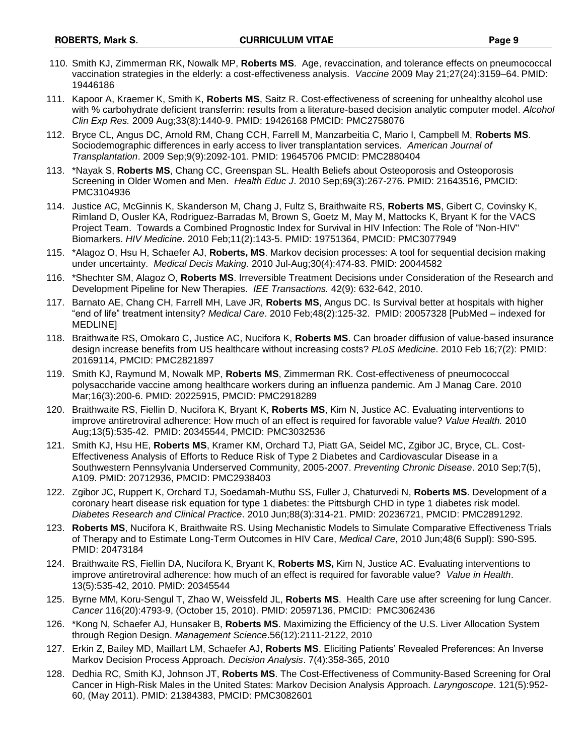- 110. Smith KJ, Zimmerman RK, Nowalk MP, **Roberts MS**. Age, revaccination, and tolerance effects on pneumococcal vaccination strategies in the elderly: a cost-effectiveness analysis. *Vaccine* 2009 May 21;27(24):3159–64. PMID: 19446186
- 111. Kapoor A, Kraemer K, Smith K, **Roberts MS**, Saitz R. Cost-effectiveness of screening for unhealthy alcohol use with % carbohydrate deficient transferrin: results from a literature-based decision analytic computer model. *Alcohol Clin Exp Res.* 2009 Aug;33(8):1440-9. PMID: 19426168 PMCID: PMC2758076
- 112. Bryce CL, Angus DC, Arnold RM, Chang CCH, Farrell M, Manzarbeitia C, Mario I, Campbell M, **Roberts MS**. Sociodemographic differences in early access to liver transplantation services. *American Journal of Transplantation*. 2009 Sep;9(9):2092-101. PMID: 19645706 PMCID: PMC2880404
- 113. \*Nayak S, **Roberts MS**, Chang CC, Greenspan SL. Health Beliefs about Osteoporosis and Osteoporosis Screening in Older Women and Men. *Health Educ J*. 2010 Sep;69(3):267-276. PMID: 21643516, PMCID: PMC3104936
- 114. Justice AC, McGinnis K, Skanderson M, Chang J, Fultz S, Braithwaite RS, **Roberts MS**, Gibert C, Covinsky K, Rimland D, Ousler KA, Rodriguez-Barradas M, Brown S, Goetz M, May M, Mattocks K, Bryant K for the VACS Project Team. Towards a Combined Prognostic Index for Survival in HIV Infection: The Role of "Non-HIV" Biomarkers. *HIV Medicine*. 2010 Feb;11(2):143-5. PMID: 19751364, PMCID: PMC3077949
- 115. \*Alagoz O, Hsu H, Schaefer AJ, **Roberts, MS**. Markov decision processes: A tool for sequential decision making under uncertainty. *Medical Decis Making.* 2010 Jul-Aug;30(4):474-83. PMID: 20044582
- 116. \*Shechter SM, Alagoz O, **Roberts MS**. Irreversible Treatment Decisions under Consideration of the Research and Development Pipeline for New Therapies. *IEE Transactions.* 42(9): 632-642, 2010.
- 117. Barnato AE, Chang CH, Farrell MH, Lave JR, **Roberts MS**, Angus DC. Is Survival better at hospitals with higher "end of life" treatment intensity? *Medical Care*. 2010 Feb;48(2):125-32. PMID: 20057328 [PubMed – indexed for MEDLINE]
- 118. Braithwaite RS, Omokaro C, Justice AC, Nucifora K, **Roberts MS**. Can broader diffusion of value-based insurance design increase benefits from US healthcare without increasing costs? *PLoS Medicine*. 2010 Feb 16;7(2): PMID: 20169114, PMCID: PMC2821897
- 119. Smith KJ, Raymund M, Nowalk MP, **Roberts MS**, Zimmerman RK. Cost-effectiveness of pneumococcal polysaccharide vaccine among healthcare workers during an influenza pandemic. Am J Manag Care. 2010 Mar;16(3):200-6. PMID: 20225915, PMCID: PMC2918289
- 120. Braithwaite RS, Fiellin D, Nucifora K, Bryant K, **Roberts MS**, Kim N, Justice AC. Evaluating interventions to improve antiretroviral adherence: How much of an effect is required for favorable value? *Value Health.* 2010 Aug;13(5):535-42. PMID: 20345544, PMCID: PMC3032536
- 121. Smith KJ, Hsu HE, **Roberts MS**, Kramer KM, Orchard TJ, Piatt GA, Seidel MC, Zgibor JC, Bryce, CL. Cost-Effectiveness Analysis of Efforts to Reduce Risk of Type 2 Diabetes and Cardiovascular Disease in a Southwestern Pennsylvania Underserved Community, 2005-2007. *Preventing Chronic Disease*. 2010 Sep;7(5), A109. PMID: 20712936, PMCID: PMC2938403
- 122. Zgibor JC, Ruppert K, Orchard TJ, Soedamah-Muthu SS, Fuller J, Chaturvedi N, **Roberts MS**. Development of a coronary heart disease risk equation for type 1 diabetes: the Pittsburgh CHD in type 1 diabetes risk model. *Diabetes Research and Clinical Practice*. 2010 Jun;88(3):314-21. PMID: 20236721, PMCID: PMC2891292.
- 123. **Roberts MS**, Nucifora K, Braithwaite RS. Using Mechanistic Models to Simulate Comparative Effectiveness Trials of Therapy and to Estimate Long-Term Outcomes in HIV Care, *Medical Care*, 2010 Jun;48(6 Suppl): S90-S95. PMID: 20473184
- 124. Braithwaite RS, Fiellin DA, Nucifora K, Bryant K, **Roberts MS,** Kim N, Justice AC. Evaluating interventions to improve antiretroviral adherence: how much of an effect is required for favorable value? *Value in Health*. 13(5):535-42, 2010. PMID: 20345544
- 125. Byrne MM, Koru-Sengul T, Zhao W, Weissfeld JL, **Roberts MS**. Health Care use after screening for lung Cancer*. Cancer* 116(20):4793-9, (October 15, 2010). PMID: 20597136, PMCID: PMC3062436
- 126. \*Kong N, Schaefer AJ, Hunsaker B, **Roberts MS**. Maximizing the Efficiency of the U.S. Liver Allocation System through Region Design. *Management Science*.56(12):2111-2122, 2010
- 127. Erkin Z, Bailey MD, Maillart LM, Schaefer AJ, **Roberts MS**. Eliciting Patients' Revealed Preferences: An Inverse Markov Decision Process Approach. *Decision Analysis*. 7(4):358-365, 2010
- 128. Dedhia RC, Smith KJ, Johnson JT, **Roberts MS**. The Cost-Effectiveness of Community-Based Screening for Oral Cancer in High-Risk Males in the United States: Markov Decision Analysis Approach. *Laryngoscope*. 121(5):952- 60, (May 2011). PMID: 21384383, PMCID: PMC3082601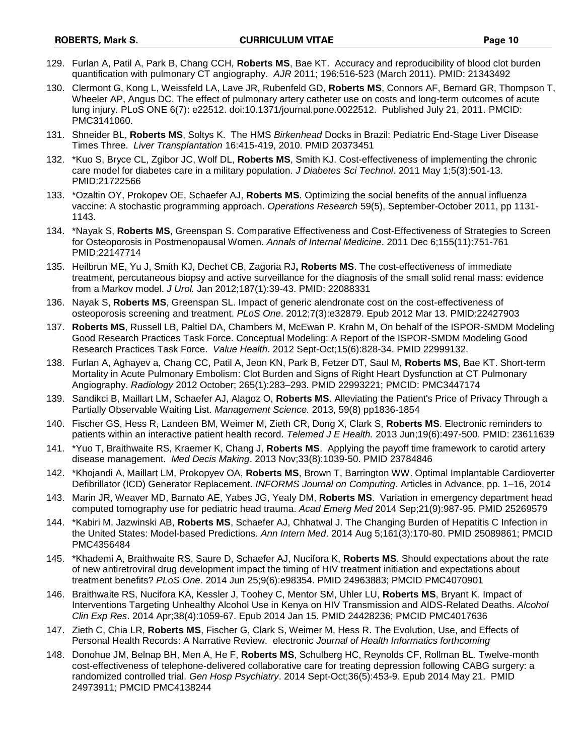- 129. Furlan A, Patil A, Park B, Chang CCH, **Roberts MS**, Bae KT. Accuracy and reproducibility of blood clot burden quantification with pulmonary CT angiography. *AJR* 2011; 196:516-523 (March 2011). PMID: 21343492
- 130. Clermont G, Kong L, Weissfeld LA, Lave JR, Rubenfeld GD, **Roberts MS**, Connors AF, Bernard GR, Thompson T, Wheeler AP, Angus DC. The effect of pulmonary artery catheter use on costs and long-term outcomes of acute lung injury. PLoS ONE 6(7): e22512. doi:10.1371/journal.pone.0022512. Published July 21, 2011. PMCID: PMC3141060.
- 131. Shneider BL, **Roberts MS**, Soltys K. The HMS *Birkenhead* Docks in Brazil: Pediatric End-Stage Liver Disease Times Three. *Liver Transplantation* 16:415-419, 2010. PMID 20373451
- 132. \*Kuo S, Bryce CL, Zgibor JC, Wolf DL, **Roberts MS**, Smith KJ. Cost-effectiveness of implementing the chronic care model for diabetes care in a military population. *J Diabetes Sci Technol*. 2011 May 1;5(3):501-13. PMID:21722566
- 133. \*Ozaltin OY, Prokopev OE, Schaefer AJ, **Roberts MS**. Optimizing the social benefits of the annual influenza vaccine: A stochastic programming approach. *Operations Research* 59(5), September-October 2011, pp 1131- 1143.
- 134. \*Nayak S, **Roberts MS**, Greenspan S. Comparative Effectiveness and Cost-Effectiveness of Strategies to Screen for Osteoporosis in Postmenopausal Women. *Annals of Internal Medicine*. 2011 Dec 6;155(11):751-761 PMID:22147714
- 135. Heilbrun ME, Yu J, Smith KJ, Dechet CB, Zagoria RJ**, Roberts MS**. The cost-effectiveness of immediate treatment, percutaneous biopsy and active surveillance for the diagnosis of the small solid renal mass: evidence from a Markov model. *J Urol.* Jan 2012;187(1):39-43. PMID: 22088331
- 136. Nayak S, **Roberts MS**, Greenspan SL. Impact of generic alendronate cost on the cost-effectiveness of osteoporosis screening and treatment. *PLoS One*. 2012;7(3):e32879. Epub 2012 Mar 13. PMID:22427903
- 137. **Roberts MS**, Russell LB, Paltiel DA, Chambers M, McEwan P. Krahn M, On behalf of the ISPOR-SMDM Modeling Good Research Practices Task Force. Conceptual Modeling: A Report of the ISPOR-SMDM Modeling Good Research Practices Task Force. *Value Health*. 2012 Sept-Oct;15(6):828-34. PMID 22999132.
- 138. Furlan A, Aghayev a, Chang CC, Patil A, Jeon KN, Park B, Fetzer DT, Saul M, **Roberts MS**, Bae KT. Short-term Mortality in Acute Pulmonary Embolism: Clot Burden and Signs of Right Heart Dysfunction at CT Pulmonary Angiography. *Radiology* 2012 October; 265(1):283–293. PMID 22993221; PMCID: PMC3447174
- 139. Sandikci B, Maillart LM, Schaefer AJ, Alagoz O, **Roberts MS**. Alleviating the Patient's Price of Privacy Through a Partially Observable Waiting List. *Management Science.* 2013, 59(8) pp1836-1854
- 140. Fischer GS, Hess R, Landeen BM, Weimer M, Zieth CR, Dong X, Clark S, **Roberts MS**. Electronic reminders to patients within an interactive patient health record. *Telemed J E Health.* 2013 Jun;19(6):497-500. PMID: 23611639
- 141. \*Yuo T, Braithwaite RS, Kraemer K, Chang J, **Roberts MS**. Applying the payoff time framework to carotid artery disease management. *Med Decis Making*. 2013 Nov;33(8):1039-50. PMID 23784846
- 142. \*Khojandi A, Maillart LM, Prokopyev OA, **Roberts MS**, Brown T, Barrington WW. Optimal Implantable Cardioverter Defibrillator (ICD) Generator Replacement. *INFORMS Journal on Computing*. Articles in Advance, pp. 1–16, 2014
- 143. Marin JR, Weaver MD, Barnato AE, Yabes JG, Yealy DM, **Roberts MS**. Variation in emergency department head computed tomography use for pediatric head trauma. *Acad Emerg Med* 2014 Sep;21(9):987-95. PMID 25269579
- 144. \*Kabiri M, Jazwinski AB, **Roberts MS**, Schaefer AJ, Chhatwal J. The Changing Burden of Hepatitis C Infection in the United States: Model-based Predictions. *Ann Intern Med*. 2014 Aug 5;161(3):170-80. PMID 25089861; PMCID PMC4356484
- 145. \*Khademi A, Braithwaite RS, Saure D, Schaefer AJ, Nucifora K, **Roberts MS**. Should expectations about the rate of new antiretroviral drug development impact the timing of HIV treatment initiation and expectations about treatment benefits? *PLoS One*. 2014 Jun 25;9(6):e98354. PMID 24963883; PMCID PMC4070901
- 146. Braithwaite RS, Nucifora KA, Kessler J, Toohey C, Mentor SM, Uhler LU, **Roberts MS**, Bryant K. Impact of Interventions Targeting Unhealthy Alcohol Use in Kenya on HIV Transmission and AIDS-Related Deaths. *Alcohol Clin Exp Res*. 2014 Apr;38(4):1059-67. Epub 2014 Jan 15. PMID 24428236; PMCID PMC4017636
- 147. Zieth C, Chia LR, **Roberts MS**, Fischer G, Clark S, Weimer M, Hess R. The Evolution, Use, and Effects of Personal Health Records: A Narrative Review. electronic *Journal of Health Informatics forthcoming*
- 148. Donohue JM, Belnap BH, Men A, He F, **Roberts MS**, Schulberg HC, Reynolds CF, Rollman BL. Twelve-month cost-effectiveness of telephone-delivered collaborative care for treating depression following CABG surgery: a randomized controlled trial. *Gen Hosp Psychiatry*. 2014 Sept-Oct;36(5):453-9. Epub 2014 May 21. PMID 24973911; PMCID PMC4138244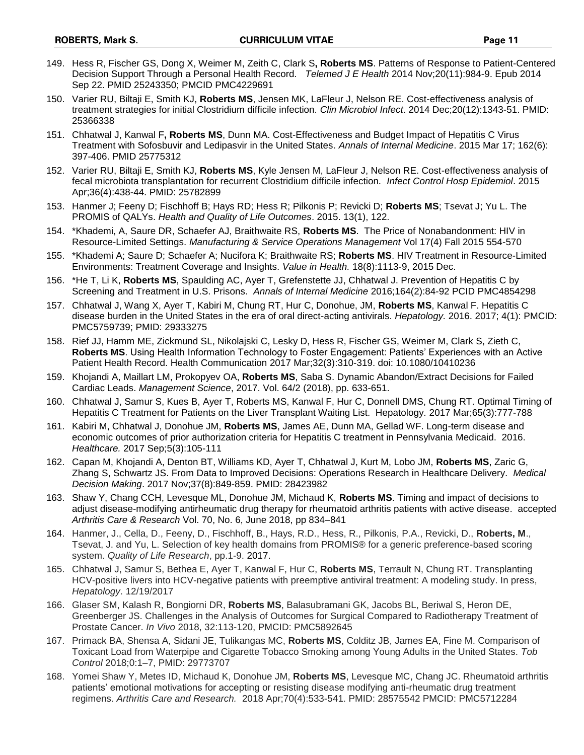- 149. Hess R, Fischer GS, Dong X, Weimer M, Zeith C, Clark S**, Roberts MS**. Patterns of Response to Patient-Centered Decision Support Through a Personal Health Record*. Telemed J E Health* 2014 Nov;20(11):984-9. Epub 2014 Sep 22. PMID 25243350; PMCID PMC4229691
- 150. Varier RU, Biltaji E, Smith KJ, **Roberts MS**, Jensen MK, LaFleur J, Nelson RE. Cost-effectiveness analysis of treatment strategies for initial Clostridium difficile infection. *Clin Microbiol Infect*. 2014 Dec;20(12):1343-51. PMID: 25366338
- 151. Chhatwal J, Kanwal F**, Roberts MS**, Dunn MA. Cost-Effectiveness and Budget Impact of Hepatitis C Virus Treatment with Sofosbuvir and Ledipasvir in the United States. *Annals of Internal Medicine*. 2015 Mar 17; 162(6): 397-406. PMID 25775312
- 152. Varier RU, Biltaji E, Smith KJ, **Roberts MS**, Kyle Jensen M, LaFleur J, Nelson RE. Cost-effectiveness analysis of fecal microbiota transplantation for recurrent Clostridium difficile infection. *Infect Control Hosp Epidemiol*. 2015 Apr;36(4):438-44. PMID: 25782899
- 153. Hanmer J; Feeny D; Fischhoff B; Hays RD; Hess R; Pilkonis P; Revicki D; **Roberts MS**; Tsevat J; Yu L. The PROMIS of QALYs. *Health and Quality of Life Outcomes*. 2015. 13(1), 122.
- 154. \*Khademi, A, Saure DR, Schaefer AJ, Braithwaite RS, **Roberts MS**. The Price of Nonabandonment: HIV in Resource-Limited Settings. *Manufacturing & Service Operations Management* Vol 17(4) Fall 2015 554-570
- 155. \*Khademi A; Saure D; Schaefer A; Nucifora K; Braithwaite RS; **Roberts MS**. HIV Treatment in Resource-Limited Environments: Treatment Coverage and Insights. *Value in Health.* 18(8):1113-9, 2015 Dec.
- 156. \*He T, Li K, **Roberts MS**, Spaulding AC, Ayer T, Grefenstette JJ, Chhatwal J. Prevention of Hepatitis C by Screening and Treatment in U.S. Prisons. *Annals of Internal Medicine* 2016;164(2):84-92 PCID PMC4854298
- 157. Chhatwal J, Wang X, Ayer T, Kabiri M, Chung RT, Hur C, Donohue, JM, **Roberts MS**, Kanwal F. Hepatitis C disease burden in the United States in the era of oral direct-acting antivirals. *Hepatology.* 2016. 2017; 4(1): PMCID: PMC5759739; PMID: 29333275
- 158. Rief JJ, Hamm ME, Zickmund SL, Nikolajski C, Lesky D, Hess R, Fischer GS, Weimer M, Clark S, Zieth C, **Roberts MS**. Using Health Information Technology to Foster Engagement: Patients' Experiences with an Active Patient Health Record. Health Communication 2017 Mar;32(3):310-319. doi: 10.1080/10410236
- 159. Khojandi A, Maillart LM, Prokopyev OA, **Roberts MS**, Saba S. Dynamic Abandon/Extract Decisions for Failed Cardiac Leads. *Management Science*, 2017. Vol. 64/2 (2018), pp. 633-651.
- 160. Chhatwal J, Samur S, Kues B, Ayer T, Roberts MS, Kanwal F, Hur C, Donnell DMS, Chung RT. Optimal Timing of Hepatitis C Treatment for Patients on the Liver Transplant Waiting List. Hepatology. 2017 Mar;65(3):777-788
- 161. Kabiri M, Chhatwal J, Donohue JM, **Roberts MS**, James AE, Dunn MA, Gellad WF. Long-term disease and economic outcomes of prior authorization criteria for Hepatitis C treatment in Pennsylvania Medicaid. 2016. *Healthcare.* 2017 Sep;5(3):105-111
- 162. Capan M, Khojandi A, Denton BT, Williams KD, Ayer T, Chhatwal J, Kurt M, Lobo JM, **Roberts MS**, Zaric G, Zhang S, Schwartz JS. From Data to Improved Decisions: Operations Research in Healthcare Delivery. *Medical Decision Making*. 2017 Nov;37(8):849-859. PMID: 28423982
- 163. Shaw Y, Chang CCH, Levesque ML, Donohue JM, Michaud K, **Roberts MS**. Timing and impact of decisions to adjust disease-modifying antirheumatic drug therapy for rheumatoid arthritis patients with active disease. accepted *Arthritis Care & Research* Vol. 70, No. 6, June 2018, pp 834–841
- 164. Hanmer, J., Cella, D., Feeny, D., Fischhoff, B., Hays, R.D., Hess, R., Pilkonis, P.A., Revicki, D., **Roberts, M**., Tsevat, J. and Yu, L. Selection of key health domains from PROMIS® for a generic preference-based scoring system. *Quality of Life Research*, pp.1-9. 2017.
- 165. Chhatwal J, Samur S, Bethea E, Ayer T, Kanwal F, Hur C, **Roberts MS**, Terrault N, Chung RT. Transplanting HCV-positive livers into HCV-negative patients with preemptive antiviral treatment: A modeling study. In press, *Hepatology*. 12/19/2017
- 166. Glaser SM, Kalash R, Bongiorni DR, **Roberts MS**, Balasubramani GK, Jacobs BL, Beriwal S, Heron DE, Greenberger JS. Challenges in the Analysis of Outcomes for Surgical Compared to Radiotherapy Treatment of Prostate Cancer. *In Vivo* 2018, 32:113-120, PMCID: PMC5892645
- 167. Primack BA, Shensa A, Sidani JE, Tulikangas MC, **Roberts MS**, Colditz JB, James EA, Fine M. Comparison of Toxicant Load from Waterpipe and Cigarette Tobacco Smoking among Young Adults in the United States. *Tob Control* 2018;0:1–7, PMID: 29773707
- 168. Yomei Shaw Y, Metes ID, Michaud K, Donohue JM, **Roberts MS**, Levesque MC, Chang JC. Rheumatoid arthritis patients' emotional motivations for accepting or resisting disease modifying anti-rheumatic drug treatment regimens. *Arthritis Care and Research.* 2018 Apr;70(4):533-541. PMID: 28575542 PMCID: [PMC5712284](https://www.ncbi.nlm.nih.gov/pmc/articles/PMC5712284/)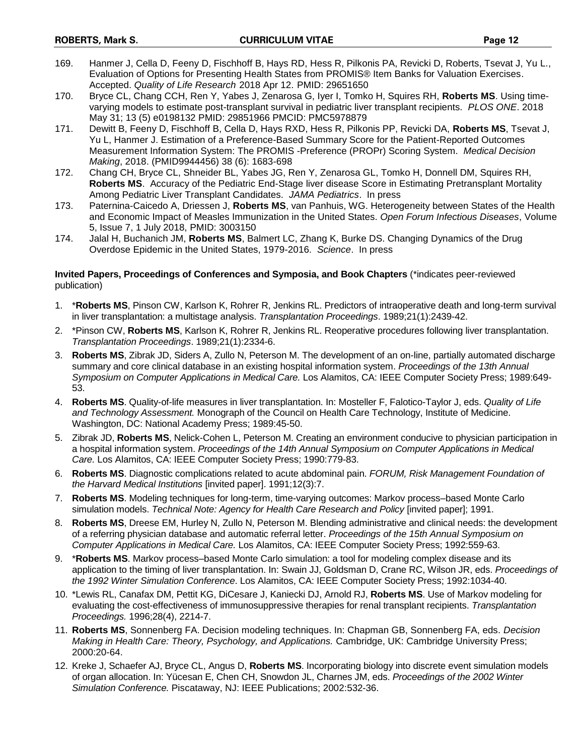- 169. Hanmer J, Cella D, Feeny D, Fischhoff B, Hays RD, Hess R, Pilkonis PA, Revicki D, Roberts, Tsevat J, Yu L., Evaluation of Options for Presenting Health States from PROMIS® Item Banks for Valuation Exercises. Accepted. *Quality of Life Research* 2018 Apr 12. PMID: 29651650
- 170. Bryce CL, Chang CCH, Ren Y, Yabes J, Zenarosa G, Iyer I, Tomko H, Squires RH, **Roberts MS**. Using timevarying models to estimate post-transplant survival in pediatric liver transplant recipients. *PLOS ONE*. 2018 May 31; 13 (5) e0198132 PMID: 29851966 PMCID: PMC5978879
- 171. Dewitt B, Feeny D, Fischhoff B, Cella D, Hays RXD, Hess R, Pilkonis PP, Revicki DA, **Roberts MS**, Tsevat J, Yu L, Hanmer J. Estimation of a Preference-Based Summary Score for the Patient-Reported Outcomes Measurement Information System: The PROMIS -Preference (PROPr) Scoring System. *Medical Decision Making*, 2018. (PMID9944456) 38 (6): 1683-698
- 172. Chang CH, Bryce CL, Shneider BL, Yabes JG, Ren Y, Zenarosa GL, Tomko H, Donnell DM, Squires RH, **Roberts MS**. Accuracy of the Pediatric End-Stage liver disease Score in Estimating Pretransplant Mortality Among Pediatric Liver Transplant Candidates. *JAMA Pediatrics*. In press
- 173. Paternina-Caicedo A, Driessen J, **Roberts MS**, van Panhuis, WG. Heterogeneity between States of the Health and Economic Impact of Measles Immunization in the United States. *Open Forum Infectious Diseases*, Volume 5, Issue 7, 1 July 2018, PMID: 3003150
- 174. Jalal H, Buchanich JM, **Roberts MS**, Balmert LC, Zhang K, Burke DS. Changing Dynamics of the Drug Overdose Epidemic in the United States, 1979-2016. *Science*. In press

### **Invited Papers, Proceedings of Conferences and Symposia, and Book Chapters** (\*indicates peer-reviewed publication)

- 1. \***Roberts MS**, Pinson CW, Karlson K, Rohrer R, Jenkins RL. Predictors of intraoperative death and long-term survival in liver transplantation: a multistage analysis. *Transplantation Proceedings*. 1989;21(1):2439-42.
- 2. \*Pinson CW, **Roberts MS**, Karlson K, Rohrer R, Jenkins RL. Reoperative procedures following liver transplantation. *Transplantation Proceedings*. 1989;21(1):2334-6.
- 3. **Roberts MS**, Zibrak JD, Siders A, Zullo N, Peterson M. The development of an on-line, partially automated discharge summary and core clinical database in an existing hospital information system. *Proceedings of the 13th Annual Symposium on Computer Applications in Medical Care.* Los Alamitos, CA: IEEE Computer Society Press; 1989:649- 53.
- 4. **Roberts MS**. Quality-of-life measures in liver transplantation. In: Mosteller F, Falotico-Taylor J, eds. *Quality of Life and Technology Assessment.* Monograph of the Council on Health Care Technology, Institute of Medicine. Washington, DC: National Academy Press; 1989:45-50.
- 5. Zibrak JD, **Roberts MS**, Nelick-Cohen L, Peterson M. Creating an environment conducive to physician participation in a hospital information system. *Proceedings of the 14th Annual Symposium on Computer Applications in Medical Care.* Los Alamitos, CA: IEEE Computer Society Press; 1990:779-83.
- 6. **Roberts MS**. Diagnostic complications related to acute abdominal pain. *FORUM, Risk Management Foundation of the Harvard Medical Institutions* [invited paper]. 1991;12(3):7.
- 7. **Roberts MS**. Modeling techniques for long-term, time-varying outcomes: Markov process–based Monte Carlo simulation models. *Technical Note: Agency for Health Care Research and Policy* [invited paper]; 1991.
- 8. **Roberts MS**, Dreese EM, Hurley N, Zullo N, Peterson M. Blending administrative and clinical needs: the development of a referring physician database and automatic referral letter. *Proceedings of the 15th Annual Symposium on Computer Applications in Medical Care.* Los Alamitos, CA: IEEE Computer Society Press; 1992:559-63.
- 9. \***Roberts MS**. Markov process–based Monte Carlo simulation: a tool for modeling complex disease and its application to the timing of liver transplantation. In: Swain JJ, Goldsman D, Crane RC, Wilson JR, eds. *Proceedings of the 1992 Winter Simulation Conference*. Los Alamitos, CA: IEEE Computer Society Press; 1992:1034-40.
- 10. \*Lewis RL, Canafax DM, Pettit KG, DiCesare J, Kaniecki DJ, Arnold RJ, **Roberts MS**. Use of Markov modeling for evaluating the cost-effectiveness of immunosuppressive therapies for renal transplant recipients. *Transplantation Proceedings.* 1996;28(4), 2214-7.
- 11. **Roberts MS**, Sonnenberg FA. Decision modeling techniques. In: Chapman GB, Sonnenberg FA, eds. *Decision Making in Health Care: Theory, Psychology, and Applications.* Cambridge, UK: Cambridge University Press; 2000:20-64.
- 12. Kreke J, Schaefer AJ, Bryce CL, Angus D, **Roberts MS**. Incorporating biology into discrete event simulation models of organ allocation. In: Yücesan E, Chen CH, Snowdon JL, Charnes JM, eds. *Proceedings of the 2002 Winter Simulation Conference.* Piscataway, NJ: IEEE Publications; 2002:532-36.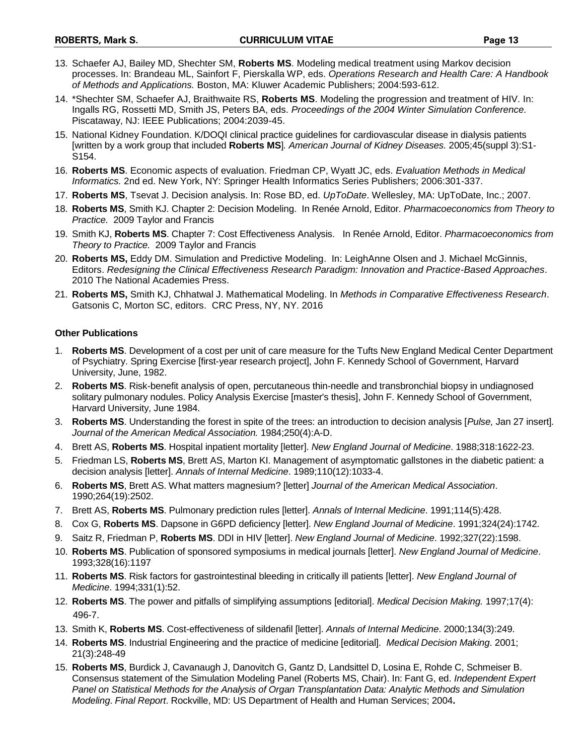- 13. Schaefer AJ, Bailey MD, Shechter SM, **Roberts MS**. Modeling medical treatment using Markov decision processes. In: Brandeau ML, Sainfort F, Pierskalla WP, eds. *Operations Research and Health Care: A Handbook of Methods and Applications.* Boston, MA: Kluwer Academic Publishers; 2004:593-612.
- 14. \*Shechter SM, Schaefer AJ, Braithwaite RS, **Roberts MS**. Modeling the progression and treatment of HIV. In: Ingalls RG, Rossetti MD, Smith JS, Peters BA, eds. *Proceedings of the 2004 Winter Simulation Conference.*  Piscataway, NJ: IEEE Publications; 2004:2039-45.
- 15. National Kidney Foundation. K/DOQI clinical practice guidelines for cardiovascular disease in dialysis patients [written by a work group that included **Roberts MS**]*. American Journal of Kidney Diseases.* 2005;45(suppl 3):S1- S154.
- 16. **Roberts MS**. Economic aspects of evaluation. Friedman CP, Wyatt JC, eds. *Evaluation Methods in Medical Informatics.* 2nd ed. New York, NY: Springer Health Informatics Series Publishers; 2006:301-337.
- 17. **Roberts MS**, Tsevat J. Decision analysis. In: Rose BD, ed. *UpToDate*. Wellesley, MA: UpToDate, Inc.; 2007.
- 18. **Roberts MS**, Smith KJ. Chapter 2: Decision Modeling. In Renée Arnold, Editor. *Pharmacoeconomics from Theory to Practice.* 2009 Taylor and Francis
- 19. Smith KJ, **Roberts MS**. Chapter 7: Cost Effectiveness Analysis. In Renée Arnold, Editor. *Pharmacoeconomics from Theory to Practice.* 2009 Taylor and Francis
- 20. **Roberts MS,** Eddy DM. Simulation and Predictive Modeling. In: LeighAnne Olsen and J. Michael McGinnis, Editors. *Redesigning the Clinical Effectiveness Research Paradigm: Innovation and Practice-Based Approaches*. 2010 The National Academies Press.
- 21. **Roberts MS,** Smith KJ, Chhatwal J. Mathematical Modeling. In *Methods in Comparative Effectiveness Research*. Gatsonis C, Morton SC, editors. CRC Press, NY, NY. 2016

### **Other Publications**

- 1. **Roberts MS**. Development of a cost per unit of care measure for the Tufts New England Medical Center Department of Psychiatry. Spring Exercise [first-year research project], John F. Kennedy School of Government, Harvard University, June, 1982.
- 2. **Roberts MS**. Risk-benefit analysis of open, percutaneous thin-needle and transbronchial biopsy in undiagnosed solitary pulmonary nodules. Policy Analysis Exercise [master's thesis], John F. Kennedy School of Government, Harvard University, June 1984.
- 3. **Roberts MS**. Understanding the forest in spite of the trees: an introduction to decision analysis [*Pulse,* Jan 27 insert]*. Journal of the American Medical Association.* 1984;250(4):A-D.
- 4. Brett AS, **Roberts MS**. Hospital inpatient mortality [letter]. *New England Journal of Medicine*. 1988;318:1622-23.
- 5. Friedman LS, **Roberts MS**, Brett AS, Marton KI. Management of asymptomatic gallstones in the diabetic patient: a decision analysis [letter]. *Annals of Internal Medicine*. 1989;110(12):1033-4.
- 6. **Roberts MS**, Brett AS. What matters magnesium? [letter] *Journal of the American Medical Association*. 1990;264(19):2502.
- 7. Brett AS, **Roberts MS**. Pulmonary prediction rules [letter]. *Annals of Internal Medicine*. 1991;114(5):428.
- 8. Cox G, **Roberts MS**. Dapsone in G6PD deficiency [letter]. *New England Journal of Medicine*. 1991;324(24):1742.
- 9. Saitz R, Friedman P, **Roberts MS**. DDI in HIV [letter]. *New England Journal of Medicine*. 1992;327(22):1598.
- 10. **Roberts MS**. Publication of sponsored symposiums in medical journals [letter]. *New England Journal of Medicine*. 1993;328(16):1197
- 11. **Roberts MS**. Risk factors for gastrointestinal bleeding in critically ill patients [letter]. *New England Journal of Medicine*. 1994;331(1):52.
- 12. **Roberts MS**. The power and pitfalls of simplifying assumptions [editorial]. *Medical Decision Making.* 1997;17(4): 496-7.
- 13. Smith K, **Roberts MS**. Cost-effectiveness of sildenafil [letter]. *Annals of Internal Medicine*. 2000;134(3):249.
- 14. **Roberts MS**. Industrial Engineering and the practice of medicine [editorial]. *Medical Decision Making*. 2001; 21(3):248-49
- 15. **Roberts MS**, Burdick J, Cavanaugh J, Danovitch G, Gantz D, Landsittel D, Losina E, Rohde C, Schmeiser B. Consensus statement of the Simulation Modeling Panel (Roberts MS, Chair). In: Fant G, ed. *Independent Expert Panel on Statistical Methods for the Analysis of Organ Transplantation Data: Analytic Methods and Simulation Modeling*. *Final Report*. Rockville, MD: US Department of Health and Human Services; 2004**.**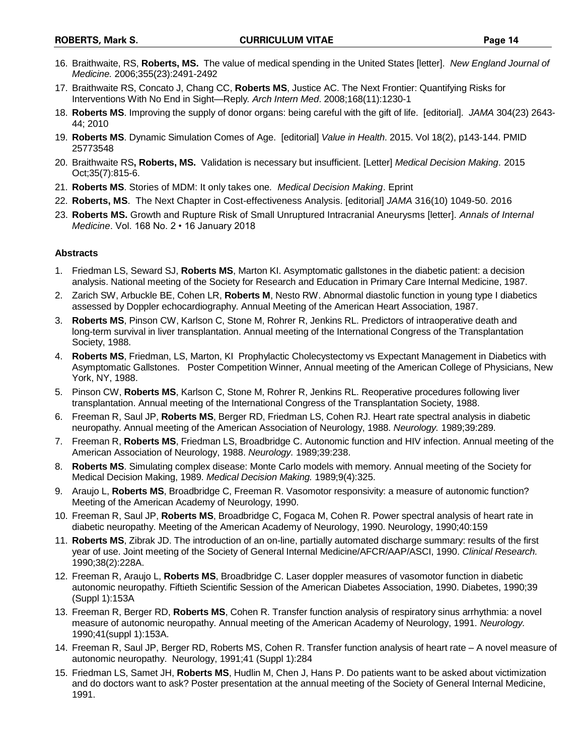- 16. Braithwaite, RS, **Roberts, MS.** The value of medical spending in the United States [letter]. *New England Journal of Medicine.* 2006;355(23):2491-2492
- 17. Braithwaite RS, Concato J, Chang CC, **Roberts MS**, Justice AC. The Next Frontier: Quantifying Risks for Interventions With No End in Sight—Reply*. Arch Intern Med*. 2008;168(11):1230-1
- 18. **Roberts MS**. Improving the supply of donor organs: being careful with the gift of life. [editorial]. *JAMA* 304(23) 2643- 44; 2010
- 19. **Roberts MS**. Dynamic Simulation Comes of Age. [editorial] *Value in Health*. 2015. Vol 18(2), p143-144. PMID 25773548
- 20. Braithwaite RS**, Roberts, MS.** Validation is necessary but insufficient. [Letter] *Medical Decision Making*. 2015 Oct;35(7):815-6.
- 21. **Roberts MS**. Stories of MDM: It only takes one*. Medical Decision Making*. Eprint
- 22. **Roberts, MS**. The Next Chapter in Cost-effectiveness Analysis. [editorial] *JAMA* 316(10) 1049-50. 2016
- 23. **Roberts MS.** Growth and Rupture Risk of Small Unruptured Intracranial Aneurysms [letter]. *Annals of Internal Medicine*. Vol. 168 No. 2 • 16 January 2018

### **Abstracts**

- 1. Friedman LS, Seward SJ, **Roberts MS**, Marton KI. Asymptomatic gallstones in the diabetic patient: a decision analysis. National meeting of the Society for Research and Education in Primary Care Internal Medicine, 1987.
- 2. Zarich SW, Arbuckle BE, Cohen LR, **Roberts M**, Nesto RW. Abnormal diastolic function in young type I diabetics assessed by Doppler echocardiography. Annual Meeting of the American Heart Association, 1987.
- 3. **Roberts MS**, Pinson CW, Karlson C, Stone M, Rohrer R, Jenkins RL. Predictors of intraoperative death and long-term survival in liver transplantation. Annual meeting of the International Congress of the Transplantation Society, 1988.
- 4. **Roberts MS**, Friedman, LS, Marton, KI Prophylactic Cholecystectomy vs Expectant Management in Diabetics with Asymptomatic Gallstones. Poster Competition Winner, Annual meeting of the American College of Physicians, New York, NY, 1988.
- 5. Pinson CW, **Roberts MS**, Karlson C, Stone M, Rohrer R, Jenkins RL. Reoperative procedures following liver transplantation. Annual meeting of the International Congress of the Transplantation Society, 1988.
- 6. Freeman R, Saul JP, **Roberts MS**, Berger RD, Friedman LS, Cohen RJ. Heart rate spectral analysis in diabetic neuropathy. Annual meeting of the American Association of Neurology, 1988. *Neurology.* 1989;39:289.
- 7. Freeman R, **Roberts MS**, Friedman LS, Broadbridge C. Autonomic function and HIV infection. Annual meeting of the American Association of Neurology, 1988. *Neurology.* 1989;39:238.
- 8. **Roberts MS**. Simulating complex disease: Monte Carlo models with memory. Annual meeting of the Society for Medical Decision Making, 1989. *Medical Decision Making.* 1989;9(4):325.
- 9. Araujo L, **Roberts MS**, Broadbridge C, Freeman R. Vasomotor responsivity: a measure of autonomic function? Meeting of the American Academy of Neurology, 1990.
- 10. Freeman R, Saul JP, **Roberts MS**, Broadbridge C, Fogaca M, Cohen R. Power spectral analysis of heart rate in diabetic neuropathy. Meeting of the American Academy of Neurology, 1990. Neurology, 1990;40:159
- 11. **Roberts MS**, Zibrak JD. The introduction of an on-line, partially automated discharge summary: results of the first year of use. Joint meeting of the Society of General Internal Medicine/AFCR/AAP/ASCI, 1990. *Clinical Research.* 1990;38(2):228A.
- 12. Freeman R, Araujo L, **Roberts MS**, Broadbridge C. Laser doppler measures of vasomotor function in diabetic autonomic neuropathy. Fiftieth Scientific Session of the American Diabetes Association, 1990. Diabetes, 1990;39 (Suppl 1):153A
- 13. Freeman R, Berger RD, **Roberts MS**, Cohen R. Transfer function analysis of respiratory sinus arrhythmia: a novel measure of autonomic neuropathy. Annual meeting of the American Academy of Neurology, 1991. *Neurology.* 1990;41(suppl 1):153A.
- 14. Freeman R, Saul JP, Berger RD, Roberts MS, Cohen R. Transfer function analysis of heart rate A novel measure of autonomic neuropathy. Neurology, 1991;41 (Suppl 1):284
- 15. Friedman LS, Samet JH, **Roberts MS**, Hudlin M, Chen J, Hans P. Do patients want to be asked about victimization and do doctors want to ask? Poster presentation at the annual meeting of the Society of General Internal Medicine, 1991.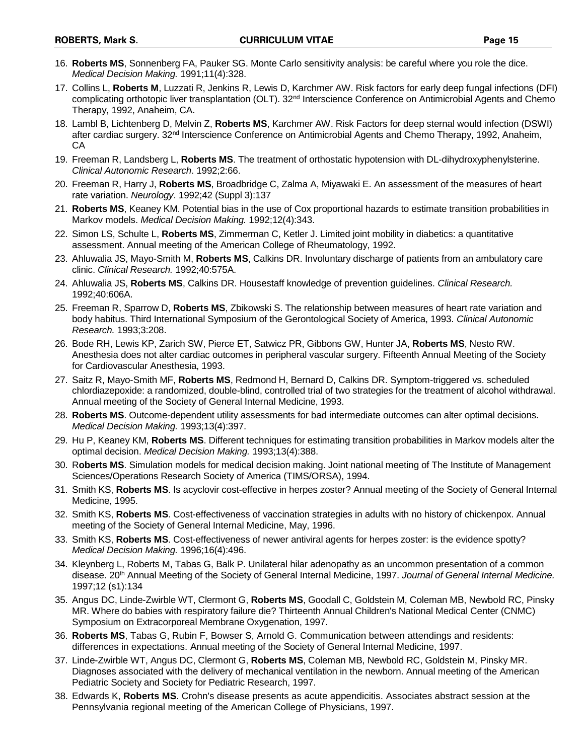- 16. **Roberts MS**, Sonnenberg FA, Pauker SG. Monte Carlo sensitivity analysis: be careful where you role the dice. *Medical Decision Making.* 1991;11(4):328.
- 17. Collins L, **Roberts M**, Luzzati R, Jenkins R, Lewis D, Karchmer AW. Risk factors for early deep fungal infections (DFI) complicating orthotopic liver transplantation (OLT). 32<sup>nd</sup> Interscience Conference on Antimicrobial Agents and Chemo Therapy, 1992, Anaheim, CA.
- 18. Lambl B, Lichtenberg D, Melvin Z, **Roberts MS**, Karchmer AW. Risk Factors for deep sternal would infection (DSWI) after cardiac surgery. 32<sup>nd</sup> Interscience Conference on Antimicrobial Agents and Chemo Therapy, 1992, Anaheim, CA
- 19. Freeman R, Landsberg L, **Roberts MS**. The treatment of orthostatic hypotension with DL-dihydroxyphenylsterine. *Clinical Autonomic Research*. 1992;2:66.
- 20. Freeman R, Harry J, **Roberts MS**, Broadbridge C, Zalma A, Miyawaki E. An assessment of the measures of heart rate variation. *Neurology*. 1992;42 (Suppl 3):137
- 21. **Roberts MS**, Keaney KM. Potential bias in the use of Cox proportional hazards to estimate transition probabilities in Markov models. *Medical Decision Making.* 1992;12(4):343.
- 22. Simon LS, Schulte L, **Roberts MS**, Zimmerman C, Ketler J. Limited joint mobility in diabetics: a quantitative assessment. Annual meeting of the American College of Rheumatology, 1992.
- 23. Ahluwalia JS, Mayo-Smith M, **Roberts MS**, Calkins DR. Involuntary discharge of patients from an ambulatory care clinic. *Clinical Research.* 1992;40:575A.
- 24. Ahluwalia JS, **Roberts MS**, Calkins DR. Housestaff knowledge of prevention guidelines. *Clinical Research.* 1992;40:606A.
- 25. Freeman R, Sparrow D, **Roberts MS**, Zbikowski S. The relationship between measures of heart rate variation and body habitus. Third International Symposium of the Gerontological Society of America, 1993. *Clinical Autonomic Research.* 1993;3:208.
- 26. Bode RH, Lewis KP, Zarich SW, Pierce ET, Satwicz PR, Gibbons GW, Hunter JA, **Roberts MS**, Nesto RW. Anesthesia does not alter cardiac outcomes in peripheral vascular surgery. Fifteenth Annual Meeting of the Society for Cardiovascular Anesthesia, 1993.
- 27. Saitz R, Mayo-Smith MF, **Roberts MS**, Redmond H, Bernard D, Calkins DR. Symptom-triggered vs. scheduled chlordiazepoxide: a randomized, double-blind, controlled trial of two strategies for the treatment of alcohol withdrawal. Annual meeting of the Society of General Internal Medicine, 1993.
- 28. **Roberts MS**. Outcome-dependent utility assessments for bad intermediate outcomes can alter optimal decisions. *Medical Decision Making.* 1993;13(4):397.
- 29. Hu P, Keaney KM, **Roberts MS**. Different techniques for estimating transition probabilities in Markov models alter the optimal decision. *Medical Decision Making.* 1993;13(4):388.
- 30. R**oberts MS**. Simulation models for medical decision making. Joint national meeting of The Institute of Management Sciences/Operations Research Society of America (TIMS/ORSA), 1994.
- 31. Smith KS, **Roberts MS**. Is acyclovir cost-effective in herpes zoster? Annual meeting of the Society of General Internal Medicine, 1995.
- 32. Smith KS, **Roberts MS**. Cost-effectiveness of vaccination strategies in adults with no history of chickenpox. Annual meeting of the Society of General Internal Medicine, May, 1996.
- 33. Smith KS, **Roberts MS**. Cost-effectiveness of newer antiviral agents for herpes zoster: is the evidence spotty? *Medical Decision Making.* 1996;16(4):496.
- 34. Kleynberg L, Roberts M, Tabas G, Balk P. Unilateral hilar adenopathy as an uncommon presentation of a common disease. 20th Annual Meeting of the Society of General Internal Medicine, 1997. *Journal of General Internal Medicine.* 1997;12 (s1):134
- 35. Angus DC, Linde-Zwirble WT, Clermont G, **Roberts MS**, Goodall C, Goldstein M, Coleman MB, Newbold RC, Pinsky MR. Where do babies with respiratory failure die? Thirteenth Annual Children's National Medical Center (CNMC) Symposium on Extracorporeal Membrane Oxygenation, 1997.
- 36. **Roberts MS**, Tabas G, Rubin F, Bowser S, Arnold G. Communication between attendings and residents: differences in expectations. Annual meeting of the Society of General Internal Medicine, 1997.
- 37. Linde-Zwirble WT, Angus DC, Clermont G, **Roberts MS**, Coleman MB, Newbold RC, Goldstein M, Pinsky MR. Diagnoses associated with the delivery of mechanical ventilation in the newborn. Annual meeting of the American Pediatric Society and Society for Pediatric Research, 1997.
- 38. Edwards K, **Roberts MS**. Crohn's disease presents as acute appendicitis. Associates abstract session at the Pennsylvania regional meeting of the American College of Physicians, 1997.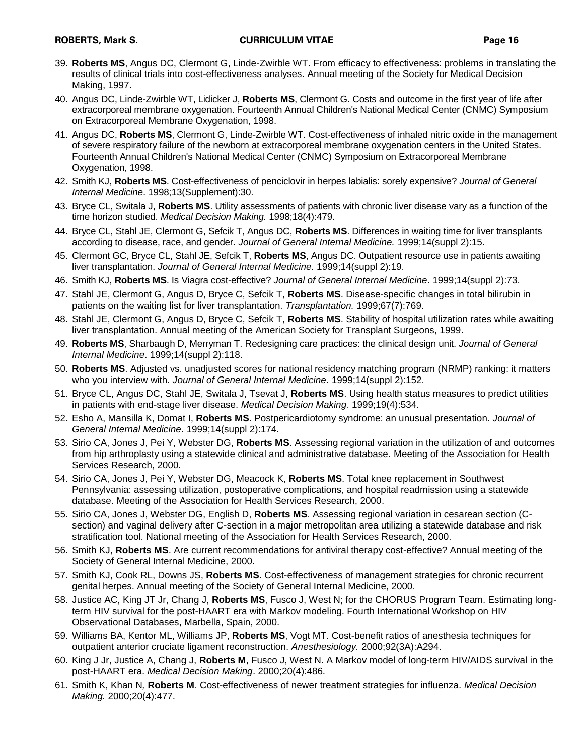- 40. Angus DC, Linde-Zwirble WT, Lidicker J, **Roberts MS**, Clermont G. Costs and outcome in the first year of life after extracorporeal membrane oxygenation. Fourteenth Annual Children's National Medical Center (CNMC) Symposium on Extracorporeal Membrane Oxygenation, 1998.
- 41. Angus DC, **Roberts MS**, Clermont G, Linde-Zwirble WT. Cost-effectiveness of inhaled nitric oxide in the management of severe respiratory failure of the newborn at extracorporeal membrane oxygenation centers in the United States. Fourteenth Annual Children's National Medical Center (CNMC) Symposium on Extracorporeal Membrane Oxygenation, 1998.
- 42. Smith KJ, **Roberts MS**. Cost-effectiveness of penciclovir in herpes labialis: sorely expensive? *Journal of General Internal Medicine*. 1998;13(Supplement):30.
- 43. Bryce CL, Switala J, **Roberts MS**. Utility assessments of patients with chronic liver disease vary as a function of the time horizon studied. *Medical Decision Making.* 1998;18(4):479.
- 44. Bryce CL, Stahl JE, Clermont G, Sefcik T, Angus DC, **Roberts MS**. Differences in waiting time for liver transplants according to disease, race, and gender. *Journal of General Internal Medicine.* 1999;14(suppl 2):15.
- 45. Clermont GC, Bryce CL, Stahl JE, Sefcik T, **Roberts MS**, Angus DC. Outpatient resource use in patients awaiting liver transplantation. *Journal of General Internal Medicine.* 1999;14(suppl 2):19.
- 46. Smith KJ, **Roberts MS**. Is Viagra cost-effective? *Journal of General Internal Medicine*. 1999;14(suppl 2):73.
- 47. Stahl JE, Clermont G, Angus D, Bryce C, Sefcik T, **Roberts MS**. Disease-specific changes in total bilirubin in patients on the waiting list for liver transplantation. *Transplantation.* 1999;67(7):769.
- 48. Stahl JE, Clermont G, Angus D, Bryce C, Sefcik T, **Roberts MS**. Stability of hospital utilization rates while awaiting liver transplantation. Annual meeting of the American Society for Transplant Surgeons, 1999.
- 49. **Roberts MS**, Sharbaugh D, Merryman T. Redesigning care practices: the clinical design unit. *Journal of General Internal Medicine*. 1999;14(suppl 2):118.
- 50. **Roberts MS**. Adjusted vs. unadjusted scores for national residency matching program (NRMP) ranking: it matters who you interview with. *Journal of General Internal Medicine*. 1999;14(suppl 2):152.
- 51. Bryce CL, Angus DC, Stahl JE, Switala J, Tsevat J, **Roberts MS**. Using health status measures to predict utilities in patients with end-stage liver disease. *Medical Decision Making*. 1999;19(4):534.
- 52. Esho A, Mansilla K, Domat I, **Roberts MS**. Postpericardiotomy syndrome: an unusual presentation. *Journal of General Internal Medicine*. 1999;14(suppl 2):174.
- 53. Sirio CA, Jones J, Pei Y, Webster DG, **Roberts MS**. Assessing regional variation in the utilization of and outcomes from hip arthroplasty using a statewide clinical and administrative database. Meeting of the Association for Health Services Research, 2000.
- 54. Sirio CA, Jones J, Pei Y, Webster DG, Meacock K, **Roberts MS**. Total knee replacement in Southwest Pennsylvania: assessing utilization, postoperative complications, and hospital readmission using a statewide database. Meeting of the Association for Health Services Research, 2000.
- 55. Sirio CA, Jones J, Webster DG, English D, **Roberts MS**. Assessing regional variation in cesarean section (Csection) and vaginal delivery after C-section in a major metropolitan area utilizing a statewide database and risk stratification tool. National meeting of the Association for Health Services Research, 2000.
- 56. Smith KJ, **Roberts MS**. Are current recommendations for antiviral therapy cost-effective? Annual meeting of the Society of General Internal Medicine, 2000.
- 57. Smith KJ, Cook RL, Downs JS, **Roberts MS**. Cost-effectiveness of management strategies for chronic recurrent genital herpes. Annual meeting of the Society of General Internal Medicine, 2000.
- 58. Justice AC, King JT Jr, Chang J, **Roberts MS**, Fusco J, West N; for the CHORUS Program Team. Estimating longterm HIV survival for the post-HAART era with Markov modeling. Fourth International Workshop on HIV Observational Databases, Marbella, Spain, 2000.
- 59. Williams BA, Kentor ML, Williams JP, **Roberts MS**, Vogt MT. Cost-benefit ratios of anesthesia techniques for outpatient anterior cruciate ligament reconstruction. *Anesthesiology.* 2000;92(3A):A294.
- 60. King J Jr, Justice A, Chang J, **Roberts M**, Fusco J, West N. A Markov model of long-term HIV/AIDS survival in the post-HAART era. *Medical Decision Making*. 2000;20(4):486.
- 61. Smith K, Khan N*,* **Roberts M**. Cost-effectiveness of newer treatment strategies for influenza. *Medical Decision Making.* 2000;20(4):477.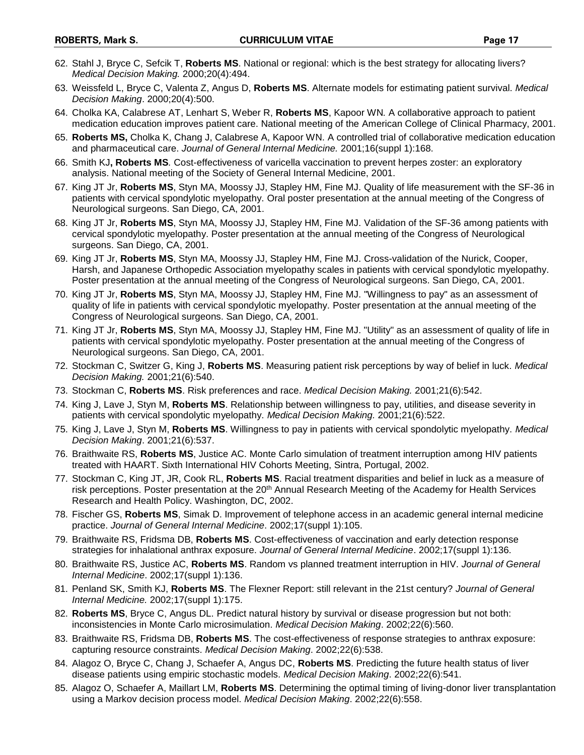- 62. Stahl J, Bryce C, Sefcik T, **Roberts MS**. National or regional: which is the best strategy for allocating livers? *Medical Decision Making.* 2000;20(4):494.
- 63. Weissfeld L, Bryce C, Valenta Z, Angus D, **Roberts MS**. Alternate models for estimating patient survival. *Medical Decision Making*. 2000;20(4):500.
- 64. Cholka KA, Calabrese AT, Lenhart S, Weber R, **Roberts MS**, Kapoor WN*.* A collaborative approach to patient medication education improves patient care. National meeting of the American College of Clinical Pharmacy, 2001.
- 65. **Roberts MS,** Cholka K, Chang J, Calabrese A, Kapoor WN. A controlled trial of collaborative medication education and pharmaceutical care. *Journal of General Internal Medicine.* 2001;16(suppl 1):168.
- 66. Smith KJ**, Roberts MS***.* Cost-effectiveness of varicella vaccination to prevent herpes zoster: an exploratory analysis. National meeting of the Society of General Internal Medicine, 2001.
- 67. King JT Jr, **Roberts MS**, Styn MA, Moossy JJ, Stapley HM, Fine MJ. Quality of life measurement with the SF-36 in patients with cervical spondylotic myelopathy. Oral poster presentation at the annual meeting of the Congress of Neurological surgeons. San Diego, CA, 2001.
- 68. King JT Jr, **Roberts MS**, Styn MA, Moossy JJ, Stapley HM, Fine MJ. Validation of the SF-36 among patients with cervical spondylotic myelopathy. Poster presentation at the annual meeting of the Congress of Neurological surgeons. San Diego, CA, 2001.
- 69. King JT Jr, **Roberts MS**, Styn MA, Moossy JJ, Stapley HM, Fine MJ. Cross-validation of the Nurick, Cooper, Harsh, and Japanese Orthopedic Association myelopathy scales in patients with cervical spondylotic myelopathy. Poster presentation at the annual meeting of the Congress of Neurological surgeons. San Diego, CA, 2001.
- 70. King JT Jr, **Roberts MS**, Styn MA, Moossy JJ, Stapley HM, Fine MJ. "Willingness to pay" as an assessment of quality of life in patients with cervical spondylotic myelopathy. Poster presentation at the annual meeting of the Congress of Neurological surgeons. San Diego, CA, 2001.
- 71. King JT Jr, **Roberts MS**, Styn MA, Moossy JJ, Stapley HM, Fine MJ. "Utility" as an assessment of quality of life in patients with cervical spondylotic myelopathy. Poster presentation at the annual meeting of the Congress of Neurological surgeons. San Diego, CA, 2001.
- 72. Stockman C, Switzer G, King J, **Roberts MS**. Measuring patient risk perceptions by way of belief in luck. *Medical Decision Making.* 2001;21(6):540.
- 73. Stockman C, **Roberts MS**. Risk preferences and race. *Medical Decision Making.* 2001;21(6):542.
- 74. King J, Lave J, Styn M, **Roberts MS**. Relationship between willingness to pay, utilities, and disease severity in patients with cervical spondolytic myelopathy. *Medical Decision Making.* 2001;21(6):522.
- 75. King J, Lave J, Styn M, **Roberts MS**. Willingness to pay in patients with cervical spondolytic myelopathy. *Medical Decision Making*. 2001;21(6):537.
- 76. Braithwaite RS, **Roberts MS**, Justice AC. Monte Carlo simulation of treatment interruption among HIV patients treated with HAART. Sixth International HIV Cohorts Meeting, Sintra, Portugal, 2002.
- 77. Stockman C, King JT, JR, Cook RL, **Roberts MS**. Racial treatment disparities and belief in luck as a measure of risk perceptions. Poster presentation at the 20<sup>th</sup> Annual Research Meeting of the Academy for Health Services Research and Health Policy. Washington, DC, 2002.
- 78. Fischer GS, **Roberts MS**, Simak D. Improvement of telephone access in an academic general internal medicine practice. *Journal of General Internal Medicine*. 2002;17(suppl 1):105.
- 79. Braithwaite RS, Fridsma DB, **Roberts MS**. Cost-effectiveness of vaccination and early detection response strategies for inhalational anthrax exposure. *Journal of General Internal Medicine*. 2002;17(suppl 1):136.
- 80. Braithwaite RS, Justice AC, **Roberts MS**. Random vs planned treatment interruption in HIV. *Journal of General Internal Medicine*. 2002;17(suppl 1):136.
- 81. Penland SK, Smith KJ, **Roberts MS**. The Flexner Report: still relevant in the 21st century? *Journal of General Internal Medicine.* 2002;17(suppl 1):175.
- 82. **Roberts MS**, Bryce C, Angus DL. Predict natural history by survival or disease progression but not both: inconsistencies in Monte Carlo microsimulation. *Medical Decision Making*. 2002;22(6):560.
- 83. Braithwaite RS, Fridsma DB, **Roberts MS**. The cost-effectiveness of response strategies to anthrax exposure: capturing resource constraints. *Medical Decision Making*. 2002;22(6):538.
- 84. Alagoz O, Bryce C, Chang J, Schaefer A, Angus DC, **Roberts MS**. Predicting the future health status of liver disease patients using empiric stochastic models. *Medical Decision Making*. 2002;22(6):541.
- 85. Alagoz O, Schaefer A, Maillart LM, **Roberts MS**. Determining the optimal timing of living-donor liver transplantation using a Markov decision process model. *Medical Decision Making*. 2002;22(6):558.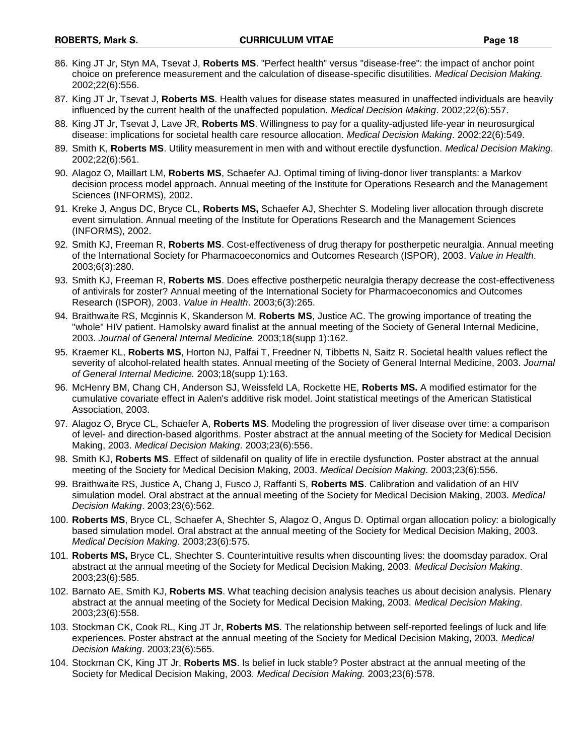- 86. King JT Jr, Styn MA, Tsevat J, **Roberts MS**. "Perfect health" versus "disease-free": the impact of anchor point choice on preference measurement and the calculation of disease-specific disutilities. *Medical Decision Making.*  2002;22(6):556.
- 87. King JT Jr, Tsevat J, **Roberts MS**. Health values for disease states measured in unaffected individuals are heavily influenced by the current health of the unaffected population. *Medical Decision Making*. 2002;22(6):557.
- 88. King JT Jr, Tsevat J, Lave JR, **Roberts MS**. Willingness to pay for a quality-adjusted life-year in neurosurgical disease: implications for societal health care resource allocation. *Medical Decision Making*. 2002;22(6):549.
- 89. Smith K, **Roberts MS**. Utility measurement in men with and without erectile dysfunction. *Medical Decision Making*. 2002;22(6):561.
- 90. Alagoz O, Maillart LM, **Roberts MS**, Schaefer AJ. Optimal timing of living-donor liver transplants: a Markov decision process model approach. Annual meeting of the Institute for Operations Research and the Management Sciences (INFORMS), 2002.
- 91. Kreke J, Angus DC, Bryce CL, **Roberts MS,** Schaefer AJ, Shechter S. Modeling liver allocation through discrete event simulation. Annual meeting of the Institute for Operations Research and the Management Sciences (INFORMS), 2002.
- 92. Smith KJ, Freeman R, **Roberts MS**. Cost-effectiveness of drug therapy for postherpetic neuralgia. Annual meeting of the International Society for Pharmacoeconomics and Outcomes Research (ISPOR), 2003. *Value in Health*. 2003;6(3):280.
- 93. Smith KJ, Freeman R, **Roberts MS**. Does effective postherpetic neuralgia therapy decrease the cost-effectiveness of antivirals for zoster? Annual meeting of the International Society for Pharmacoeconomics and Outcomes Research (ISPOR), 2003. *Value in Health*. 2003;6(3):265.
- 94. Braithwaite RS, Mcginnis K, Skanderson M, **Roberts MS**, Justice AC. The growing importance of treating the "whole" HIV patient. Hamolsky award finalist at the annual meeting of the Society of General Internal Medicine, 2003. *Journal of General Internal Medicine.* 2003;18(supp 1):162.
- 95. Kraemer KL, **Roberts MS**, Horton NJ, Palfai T, Freedner N, Tibbetts N, Saitz R. Societal health values reflect the severity of alcohol-related health states. Annual meeting of the Society of General Internal Medicine, 2003. *Journal of General Internal Medicine.* 2003;18(supp 1):163.
- 96. McHenry BM, Chang CH, Anderson SJ, Weissfeld LA, Rockette HE, **Roberts MS.** A modified estimator for the cumulative covariate effect in Aalen's additive risk model. Joint statistical meetings of the American Statistical Association, 2003.
- 97. Alagoz O, Bryce CL, Schaefer A, **Roberts MS**. Modeling the progression of liver disease over time: a comparison of level- and direction-based algorithms. Poster abstract at the annual meeting of the Society for Medical Decision Making, 2003. *Medical Decision Making*. 2003;23(6):556.
- 98. Smith KJ, **Roberts MS**. Effect of sildenafil on quality of life in erectile dysfunction. Poster abstract at the annual meeting of the Society for Medical Decision Making, 2003. *Medical Decision Making*. 2003;23(6):556.
- 99. Braithwaite RS, Justice A, Chang J, Fusco J, Raffanti S, **Roberts MS**. Calibration and validation of an HIV simulation model. Oral abstract at the annual meeting of the Society for Medical Decision Making, 2003. *Medical Decision Making*. 2003;23(6):562.
- 100. **Roberts MS**, Bryce CL, Schaefer A, Shechter S, Alagoz O, Angus D. Optimal organ allocation policy: a biologically based simulation model. Oral abstract at the annual meeting of the Society for Medical Decision Making, 2003. *Medical Decision Making*. 2003;23(6):575.
- 101. **Roberts MS,** Bryce CL, Shechter S. Counterintuitive results when discounting lives: the doomsday paradox. Oral abstract at the annual meeting of the Society for Medical Decision Making, 2003. *Medical Decision Making*. 2003;23(6):585.
- 102. Barnato AE, Smith KJ, **Roberts MS**. What teaching decision analysis teaches us about decision analysis. Plenary abstract at the annual meeting of the Society for Medical Decision Making, 2003. *Medical Decision Making*. 2003;23(6):558.
- 103. Stockman CK, Cook RL, King JT Jr, **Roberts MS**. The relationship between self-reported feelings of luck and life experiences. Poster abstract at the annual meeting of the Society for Medical Decision Making, 2003. *Medical Decision Making*. 2003;23(6):565.
- 104. Stockman CK, King JT Jr, **Roberts MS**. Is belief in luck stable? Poster abstract at the annual meeting of the Society for Medical Decision Making, 2003. *Medical Decision Making.* 2003;23(6):578.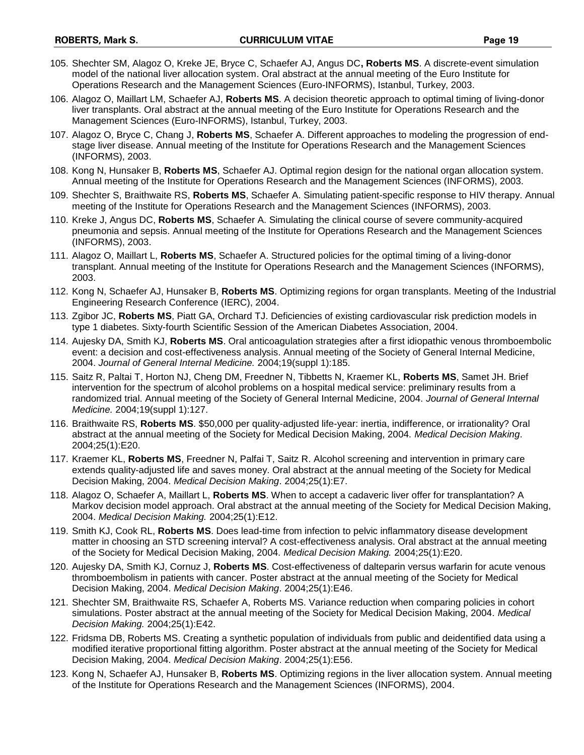- 105. Shechter SM, Alagoz O, Kreke JE, Bryce C, Schaefer AJ, Angus DC**, Roberts MS**. [A discrete-event simulation](http://dumrul.ie.boun.edu.tr/schedule/query_results.php##)  [model of the national liver allocation system.](http://dumrul.ie.boun.edu.tr/schedule/query_results.php##) Oral abstract at the annual meeting of the Euro Institute for Operations Research and the Management Sciences (Euro-INFORMS), Istanbul, Turkey, 2003.
- 106. Alagoz O, Maillart LM, Schaefer AJ, **Roberts MS**. A decision theoretic approach to optimal timing of living-donor liver transplants. Oral abstract at the annual meeting of the Euro Institute for Operations Research and the Management Sciences (Euro-INFORMS), Istanbul, Turkey, 2003.
- 107. Alagoz O, Bryce C, Chang J, **Roberts MS**, Schaefer A. Different approaches to modeling the progression of endstage liver disease. Annual meeting of the Institute for Operations Research and the Management Sciences (INFORMS), 2003.
- 108. Kong N, Hunsaker B, **Roberts MS**, Schaefer AJ. Optimal region design for the national organ allocation system. Annual meeting of the Institute for Operations Research and the Management Sciences (INFORMS), 2003.
- 109. Shechter S, Braithwaite RS, **Roberts MS**, Schaefer A. Simulating patient-specific response to HIV therapy. Annual meeting of the Institute for Operations Research and the Management Sciences (INFORMS), 2003.
- 110. Kreke J, Angus DC, **Roberts MS**, Schaefer A. Simulating the clinical course of severe community-acquired pneumonia and sepsis. Annual meeting of the Institute for Operations Research and the Management Sciences (INFORMS), 2003.
- 111. Alagoz O, Maillart L, **Roberts MS**, Schaefer A. Structured policies for the optimal timing of a living-donor transplant. Annual meeting of the Institute for Operations Research and the Management Sciences (INFORMS), 2003.
- 112. Kong N, Schaefer AJ, Hunsaker B, **Roberts MS**. Optimizing regions for organ transplants. Meeting of the Industrial Engineering Research Conference (IERC), 2004.
- 113. Zgibor JC, **Roberts MS**, Piatt GA, Orchard TJ. Deficiencies of existing cardiovascular risk prediction models in type 1 diabetes. Sixty-fourth Scientific Session of the American Diabetes Association, 2004.
- 114. Aujesky DA, Smith KJ, **Roberts MS**. Oral anticoagulation strategies after a first idiopathic venous thromboembolic event: a decision and cost-effectiveness analysis. Annual meeting of the Society of General Internal Medicine, 2004. *Journal of General Internal Medicine.* 2004;19(suppl 1):185.
- 115. Saitz R, Paltai T, Horton NJ, Cheng DM, Freedner N, Tibbetts N, Kraemer KL, **Roberts MS**, Samet JH. Brief intervention for the spectrum of alcohol problems on a hospital medical service: preliminary results from a randomized trial. Annual meeting of the Society of General Internal Medicine, 2004. *Journal of General Internal Medicine.* 2004;19(suppl 1):127.
- 116. Braithwaite RS, **Roberts MS**. \$50,000 per quality-adjusted life-year: inertia, indifference, or irrationality? Oral abstract at the annual meeting of the Society for Medical Decision Making, 2004. *Medical Decision Making*. 2004;25(1):E20.
- 117. Kraemer KL, **Roberts MS**, Freedner N, Palfai T, Saitz R. Alcohol screening and intervention in primary care extends quality-adjusted life and saves money. Oral abstract at the annual meeting of the Society for Medical Decision Making, 2004. *Medical Decision Making*. 2004;25(1):E7.
- 118. Alagoz O, Schaefer A, Maillart L, **Roberts MS**. When to accept a cadaveric liver offer for transplantation? A Markov decision model approach. Oral abstract at the annual meeting of the Society for Medical Decision Making, 2004. *Medical Decision Making.* 2004;25(1):E12.
- 119. Smith KJ, Cook RL, **Roberts MS**. Does lead-time from infection to pelvic inflammatory disease development matter in choosing an STD screening interval? A cost-effectiveness analysis. Oral abstract at the annual meeting of the Society for Medical Decision Making, 2004. *Medical Decision Making.* 2004;25(1):E20.
- 120. Aujesky DA, Smith KJ, Cornuz J, **Roberts MS**. Cost-effectiveness of dalteparin versus warfarin for acute venous thromboembolism in patients with cancer. Poster abstract at the annual meeting of the Society for Medical Decision Making, 2004. *Medical Decision Making*. 2004;25(1):E46.
- 121. Shechter SM, Braithwaite RS, Schaefer A, Roberts MS. Variance reduction when comparing policies in cohort simulations. Poster abstract at the annual meeting of the Society for Medical Decision Making, 2004. *Medical Decision Making.* 2004;25(1):E42.
- 122. Fridsma DB, Roberts MS. Creating a synthetic population of individuals from public and deidentified data using a modified iterative proportional fitting algorithm. Poster abstract at the annual meeting of the Society for Medical Decision Making, 2004. *Medical Decision Making*. 2004;25(1):E56.
- 123. Kong N, Schaefer AJ, Hunsaker B, **Roberts MS**. Optimizing regions in the liver allocation system. Annual meeting of the Institute for Operations Research and the Management Sciences (INFORMS), 2004.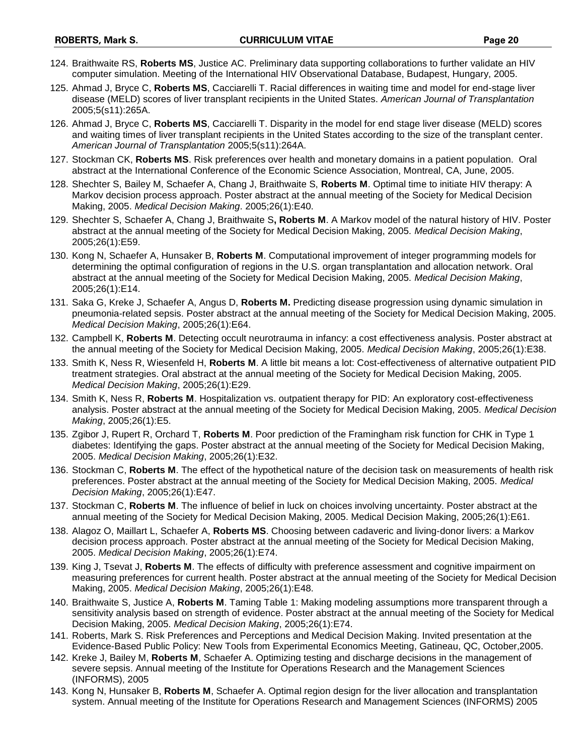- 124. Braithwaite RS, **Roberts MS**, Justice AC. Preliminary data supporting collaborations to further validate an HIV computer simulation. Meeting of the International HIV Observational Database, Budapest, Hungary, 2005.
- 125. Ahmad J, Bryce C, **Roberts MS**, Cacciarelli T. Racial differences in waiting time and model for end-stage liver disease (MELD) scores of liver transplant recipients in the United States. *American Journal of Transplantation* 2005;5(s11):265A.
- 126. Ahmad J, Bryce C, **Roberts MS**, Cacciarelli T. Disparity in the model for end stage liver disease (MELD) scores and waiting times of liver transplant recipients in the United States according to the size of the transplant center. *American Journal of Transplantation* 2005;5(s11):264A.
- 127. Stockman CK, **Roberts MS**. Risk preferences over health and monetary domains in a patient population. Oral abstract at the International Conference of the Economic Science Association, Montreal, CA, June, 2005.
- 128. Shechter S, Bailey M, Schaefer A, Chang J, Braithwaite S, **Roberts M**. Optimal time to initiate HIV therapy: A Markov decision process approach. Poster abstract at the annual meeting of the Society for Medical Decision Making, 2005. *Medical Decision Making*. 2005;26(1):E40.
- 129. Shechter S, Schaefer A, Chang J, Braithwaite S**, Roberts M**. A Markov model of the natural history of HIV. Poster abstract at the annual meeting of the Society for Medical Decision Making, 2005. *Medical Decision Making*, 2005;26(1):E59.
- 130. Kong N, Schaefer A, Hunsaker B, **Roberts M**. Computational improvement of integer programming models for determining the optimal configuration of regions in the U.S. organ transplantation and allocation network. Oral abstract at the annual meeting of the Society for Medical Decision Making, 2005. *Medical Decision Making*, 2005;26(1):E14.
- 131. Saka G, Kreke J, Schaefer A, Angus D, **Roberts M.** Predicting disease progression using dynamic simulation in pneumonia-related sepsis. Poster abstract at the annual meeting of the Society for Medical Decision Making, 2005. *Medical Decision Making*, 2005;26(1):E64.
- 132. Campbell K, **Roberts M**. Detecting occult neurotrauma in infancy: a cost effectiveness analysis. Poster abstract at the annual meeting of the Society for Medical Decision Making, 2005. *Medical Decision Making*, 2005;26(1):E38.
- 133. Smith K, Ness R, Wiesenfeld H, **Roberts M**. A little bit means a lot: Cost-effectiveness of alternative outpatient PID treatment strategies. Oral abstract at the annual meeting of the Society for Medical Decision Making, 2005. *Medical Decision Making*, 2005;26(1):E29.
- 134. Smith K, Ness R, **Roberts M**. Hospitalization vs. outpatient therapy for PID: An exploratory cost-effectiveness analysis. Poster abstract at the annual meeting of the Society for Medical Decision Making, 2005. *Medical Decision Making*, 2005;26(1):E5.
- 135. Zgibor J, Rupert R, Orchard T, **Roberts M**. Poor prediction of the Framingham risk function for CHK in Type 1 diabetes: Identifying the gaps. Poster abstract at the annual meeting of the Society for Medical Decision Making, 2005. *Medical Decision Making*, 2005;26(1):E32.
- 136. Stockman C, **Roberts M**. The effect of the hypothetical nature of the decision task on measurements of health risk preferences. Poster abstract at the annual meeting of the Society for Medical Decision Making, 2005. *Medical Decision Making*, 2005;26(1):E47.
- 137. Stockman C, **Roberts M**. The influence of belief in luck on choices involving uncertainty. Poster abstract at the annual meeting of the Society for Medical Decision Making, 2005. Medical Decision Making, 2005;26(1):E61.
- 138. Alagoz O, Maillart L, Schaefer A, **Roberts MS**. Choosing between cadaveric and living-donor livers: a Markov decision process approach. Poster abstract at the annual meeting of the Society for Medical Decision Making, 2005. *Medical Decision Making*, 2005;26(1):E74.
- 139. King J, Tsevat J, **Roberts M**. The effects of difficulty with preference assessment and cognitive impairment on measuring preferences for current health. Poster abstract at the annual meeting of the Society for Medical Decision Making, 2005. *Medical Decision Making*, 2005;26(1):E48.
- 140. Braithwaite S, Justice A, **Roberts M**. Taming Table 1: Making modeling assumptions more transparent through a sensitivity analysis based on strength of evidence. Poster abstract at the annual meeting of the Society for Medical Decision Making, 2005. *Medical Decision Making*, 2005;26(1):E74.
- 141. Roberts, Mark S. Risk Preferences and Perceptions and Medical Decision Making. Invited presentation at the Evidence-Based Public Policy: New Tools from Experimental Economics Meeting, Gatineau, QC, October,2005.
- 142. Kreke J, Bailey M, **Roberts M**, Schaefer A. Optimizing testing and discharge decisions in the management of severe sepsis. Annual meeting of the Institute for Operations Research and the Management Sciences (INFORMS), 2005
- 143. Kong N, Hunsaker B, **Roberts M**, Schaefer A. Optimal region design for the liver allocation and transplantation system. Annual meeting of the Institute for Operations Research and Management Sciences (INFORMS) 2005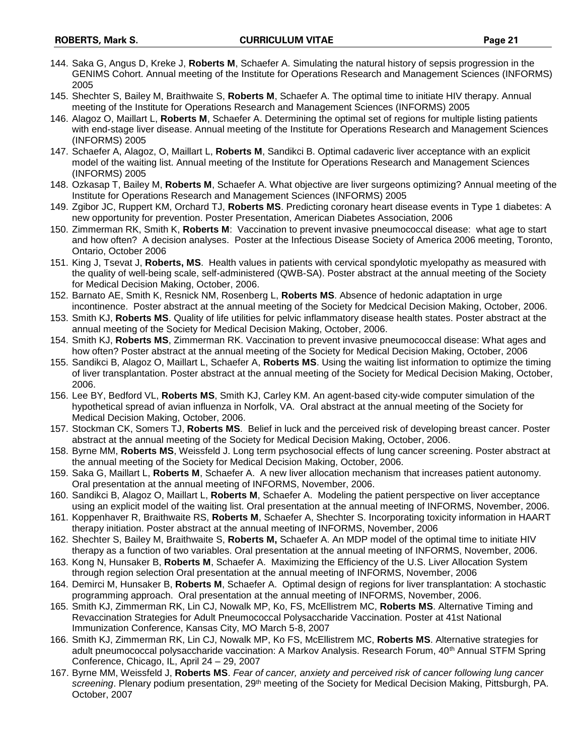- 144. Saka G, Angus D, Kreke J, **Roberts M**, Schaefer A. Simulating the natural history of sepsis progression in the GENIMS Cohort. Annual meeting of the Institute for Operations Research and Management Sciences (INFORMS) 2005
- 145. Shechter S, Bailey M, Braithwaite S, **Roberts M**, Schaefer A. The optimal time to initiate HIV therapy. Annual meeting of the Institute for Operations Research and Management Sciences (INFORMS) 2005
- 146. Alagoz O, Maillart L, **Roberts M**, Schaefer A. Determining the optimal set of regions for multiple listing patients with end-stage liver disease. Annual meeting of the Institute for Operations Research and Management Sciences (INFORMS) 2005
- 147. Schaefer A, Alagoz, O, Maillart L, **Roberts M**, Sandikci B. Optimal cadaveric liver acceptance with an explicit model of the waiting list. Annual meeting of the Institute for Operations Research and Management Sciences (INFORMS) 2005
- 148. Ozkasap T, Bailey M, **Roberts M**, Schaefer A. What objective are liver surgeons optimizing? Annual meeting of the Institute for Operations Research and Management Sciences (INFORMS) 2005
- 149. Zgibor JC, Ruppert KM, Orchard TJ, **Roberts MS**. Predicting coronary heart disease events in Type 1 diabetes: A new opportunity for prevention. Poster Presentation, American Diabetes Association, 2006
- 150. Zimmerman RK, Smith K, **Roberts M**: Vaccination to prevent invasive pneumococcal disease: what age to start and how often? A decision analyses. Poster at the Infectious Disease Society of America 2006 meeting, Toronto, Ontario, October 2006
- 151. King J, Tsevat J, **Roberts, MS**. Health values in patients with cervical spondylotic myelopathy as measured with the quality of well-being scale, self-administered (QWB-SA). Poster abstract at the annual meeting of the Society for Medical Decision Making, October, 2006.
- 152. Barnato AE, Smith K, Resnick NM, Rosenberg L, **Roberts MS**. Absence of hedonic adaptation in urge incontinence. Poster abstract at the annual meeting of the Society for Medcical Decision Making, October, 2006.
- 153. Smith KJ, **Roberts MS**. Quality of life utilities for pelvic inflammatory disease health states. Poster abstract at the annual meeting of the Society for Medical Decision Making, October, 2006.
- 154. Smith KJ, **Roberts MS**, Zimmerman RK. Vaccination to prevent invasive pneumococcal disease: What ages and how often? Poster abstract at the annual meeting of the Society for Medical Decision Making, October, 2006
- 155. Sandikci B, Alagoz O, Maillart L, Schaefer A, **Roberts MS**. Using the waiting list information to optimize the timing of liver transplantation. Poster abstract at the annual meeting of the Society for Medical Decision Making, October, 2006.
- 156. Lee BY, Bedford VL, **Roberts MS**, Smith KJ, Carley KM. An agent-based city-wide computer simulation of the hypothetical spread of avian influenza in Norfolk, VA. Oral abstract at the annual meeting of the Society for Medical Decision Making, October, 2006.
- 157. Stockman CK, Somers TJ, **Roberts MS**. Belief in luck and the perceived risk of developing breast cancer. Poster abstract at the annual meeting of the Society for Medical Decision Making, October, 2006.
- 158. Byrne MM, **Roberts MS**, Weissfeld J. Long term psychosocial effects of lung cancer screening. Poster abstract at the annual meeting of the Society for Medical Decision Making, October, 2006.
- 159. Saka G, Maillart L, **Roberts M**, Schaefer A. A new liver allocation mechanism that increases patient autonomy. Oral presentation at the annual meeting of INFORMS, November, 2006.
- 160. Sandikci B, Alagoz O, Maillart L, **Roberts M**, Schaefer A. Modeling the patient perspective on liver acceptance using an explicit model of the waiting list. Oral presentation at the annual meeting of INFORMS, November, 2006.
- 161. Koppenhaver R, Braithwaite RS, **Roberts M**, Schaefer A, Shechter S. Incorporating toxicity information in HAART therapy initiation. Poster abstract at the annual meeting of INFORMS, November, 2006
- 162. Shechter S, Bailey M, Braithwaite S, **Roberts M,** Schaefer A. An MDP model of the optimal time to initiate HIV therapy as a function of two variables. Oral presentation at the annual meeting of INFORMS, November, 2006.
- 163. Kong N, Hunsaker B, **Roberts M**, Schaefer A. Maximizing the Efficiency of the U.S. Liver Allocation System through region selection Oral presentation at the annual meeting of INFORMS, November, 2006
- 164. Demirci M, Hunsaker B, **Roberts M**, Schaefer A. Optimal design of regions for liver transplantation: A stochastic programming approach. Oral presentation at the annual meeting of INFORMS, November, 2006.
- 165. Smith KJ, Zimmerman RK, Lin CJ, Nowalk MP, Ko, FS, McEllistrem MC, **Roberts MS**. Alternative Timing and Revaccination Strategies for Adult Pneumococcal Polysaccharide Vaccination. Poster at 41st National Immunization Conference, Kansas City, MO March 5-8, 2007
- 166. Smith KJ, Zimmerman RK, Lin CJ, Nowalk MP, Ko FS, McEllistrem MC, **Roberts MS**. Alternative strategies for adult pneumococcal polysaccharide vaccination: A Markov Analysis. Research Forum, 40<sup>th</sup> Annual STFM Spring Conference, Chicago, IL, April 24 – 29, 2007
- 167. Byrne MM, Weissfeld J, **Roberts MS**. *Fear of cancer, anxiety and perceived risk of cancer following lung cancer screening*. Plenary podium presentation, 29th meeting of the Society for Medical Decision Making, Pittsburgh, PA. October, 2007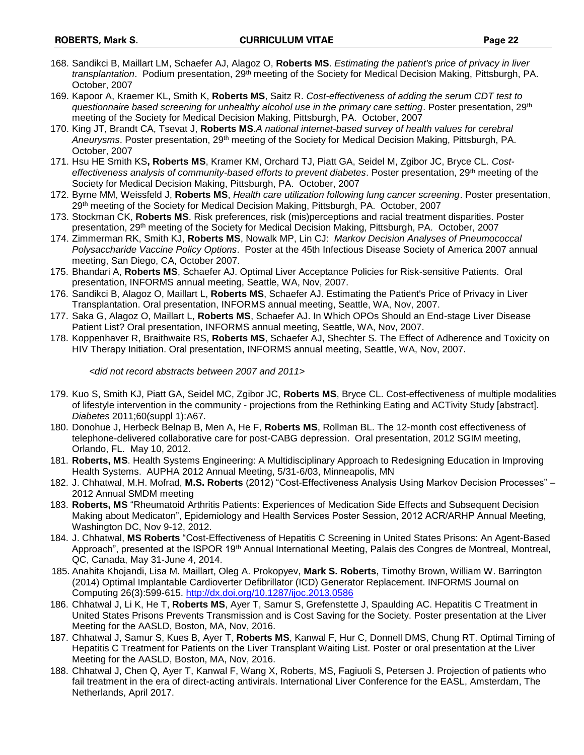- 168. Sandikci B, Maillart LM, Schaefer AJ, Alagoz O, **Roberts MS**. *Estimating the patient's price of privacy in liver transplantation*. Podium presentation, 29th meeting of the Society for Medical Decision Making, Pittsburgh, PA. October, 2007
- 169. Kapoor A, Kraemer KL, Smith K, **Roberts MS**, Saitz R. *Cost-effectiveness of adding the serum CDT test to questionnaire based screening for unhealthy alcohol use in the primary care setting*. Poster presentation, 29th meeting of the Society for Medical Decision Making, Pittsburgh, PA. October, 2007
- 170. King JT, Brandt CA, Tsevat J, **Roberts MS**.*A national internet-based survey of health values for cerebral Aneurysms*. Poster presentation, 29th meeting of the Society for Medical Decision Making, Pittsburgh, PA. October, 2007
- 171. Hsu HE Smith KS**, Roberts MS**, Kramer KM, Orchard TJ, Piatt GA, Seidel M, Zgibor JC, Bryce CL. *Costeffectiveness analysis of community-based efforts to prevent diabetes*. Poster presentation, 29th meeting of the Society for Medical Decision Making, Pittsburgh, PA. October, 2007
- 172. Byrne MM, Weissfeld J, **Roberts MS**, *Health care utilization following lung cancer screening*. Poster presentation, 29th meeting of the Society for Medical Decision Making, Pittsburgh, PA. October, 2007
- 173. Stockman CK, **Roberts MS**. Risk preferences, risk (mis)perceptions and racial treatment disparities. Poster presentation, 29<sup>th</sup> meeting of the Society for Medical Decision Making, Pittsburgh, PA. October, 2007
- 174. Zimmerman RK, Smith KJ, **Roberts MS**, Nowalk MP, Lin CJ: *Markov Decision Analyses of Pneumococcal Polysaccharide Vaccine Policy Options*. Poster at the 45th Infectious Disease Society of America 2007 annual meeting, San Diego, CA, October 2007.
- 175. Bhandari A, **Roberts MS**, Schaefer AJ. Optimal Liver Acceptance Policies for Risk-sensitive Patients. Oral presentation, INFORMS annual meeting, Seattle, WA, Nov, 2007.
- 176. Sandikci B, Alagoz O, Maillart L, **Roberts MS**, Schaefer AJ. Estimating the Patient's Price of Privacy in Liver Transplantation. Oral presentation, INFORMS annual meeting, Seattle, WA, Nov, 2007.
- 177. Saka G, Alagoz O, Maillart L, **Roberts MS**, Schaefer AJ. In Which OPOs Should an End-stage Liver Disease Patient List? Oral presentation, INFORMS annual meeting, Seattle, WA, Nov, 2007.
- 178. Koppenhaver R, Braithwaite RS, **Roberts MS**, Schaefer AJ, Shechter S. The Effect of Adherence and Toxicity on HIV Therapy Initiation. Oral presentation, INFORMS annual meeting, Seattle, WA, Nov, 2007.

*<did not record abstracts between 2007 and 2011>*

- 179. Kuo S, Smith KJ, Piatt GA, Seidel MC, Zgibor JC, **Roberts MS**, Bryce CL. Cost-effectiveness of multiple modalities of lifestyle intervention in the community - projections from the Rethinking Eating and ACTivity Study [abstract]. *Diabetes* 2011;60(suppl 1):A67.
- 180. Donohue J, Herbeck Belnap B, Men A, He F, **Roberts MS**, Rollman BL. The 12-month cost effectiveness of telephone-delivered collaborative care for post-CABG depression. Oral presentation, 2012 SGIM meeting, Orlando, FL. May 10, 2012.
- 181. **Roberts, MS**. Health Systems Engineering: A Multidisciplinary Approach to Redesigning Education in Improving Health Systems. AUPHA 2012 Annual Meeting, 5/31-6/03, Minneapolis, MN
- 182. J. Chhatwal, M.H. Mofrad, **M.S. Roberts** (2012) "Cost-Effectiveness Analysis Using Markov Decision Processes" 2012 Annual SMDM meeting
- 183. **Roberts, MS** "Rheumatoid Arthritis Patients: Experiences of Medication Side Effects and Subsequent Decision Making about Medicaton", Epidemiology and Health Services Poster Session, 2012 ACR/ARHP Annual Meeting, Washington DC, Nov 9-12, 2012.
- 184. J. Chhatwal, **MS Roberts** "Cost-Effectiveness of Hepatitis C Screening in United States Prisons: An Agent-Based Approach", presented at the ISPOR 19th Annual International Meeting, Palais des Congres de Montreal, Montreal, QC, Canada, May 31-June 4, 2014.
- 185. Anahita Khojandi, Lisa M. Maillart, Oleg A. Prokopyev, **Mark S. Roberts**, Timothy Brown, William W. Barrington (2014) Optimal Implantable Cardioverter Defibrillator (ICD) Generator Replacement. INFORMS Journal on Computing 26(3):599-615.<http://dx.doi.org/10.1287/ijoc.2013.0586>
- 186. Chhatwal J, Li K, He T, **Roberts MS**, Ayer T, Samur S, Grefenstette J, Spaulding AC. Hepatitis C Treatment in United States Prisons Prevents Transmission and is Cost Saving for the Society. Poster presentation at the Liver Meeting for the AASLD, Boston, MA, Nov, 2016.
- 187. Chhatwal J, Samur S, Kues B, Ayer T, **Roberts MS**, Kanwal F, Hur C, Donnell DMS, Chung RT. Optimal Timing of Hepatitis C Treatment for Patients on the Liver Transplant Waiting List. Poster or oral presentation at the Liver Meeting for the AASLD, Boston, MA, Nov, 2016.
- 188. Chhatwal J, Chen Q, Ayer T, Kanwal F, Wang X, Roberts, MS, Fagiuoli S, Petersen J. Projection of patients who fail treatment in the era of direct-acting antivirals. International Liver Conference for the EASL, Amsterdam, The Netherlands, April 2017.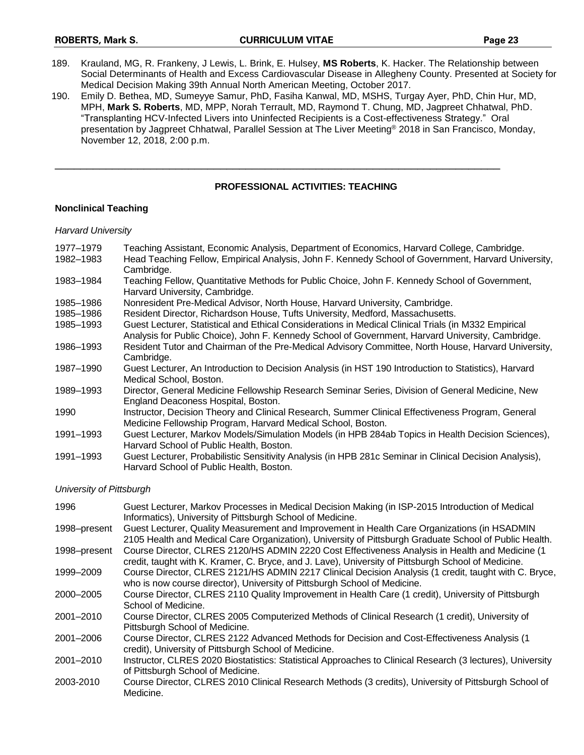- 189. Krauland, MG, R. Frankeny, J Lewis, L. Brink, E. Hulsey, **MS Roberts**, K. Hacker. The Relationship between Social Determinants of Health and Excess Cardiovascular Disease in Allegheny County. Presented at Society for Medical Decision Making 39th Annual North American Meeting, October 2017.
- 190. Emily D. Bethea, MD, Sumeyye Samur, PhD, Fasiha Kanwal, MD, MSHS, Turgay Ayer, PhD, Chin Hur, MD, MPH, **Mark S. Roberts**, MD, MPP, Norah Terrault, MD, Raymond T. Chung, MD, Jagpreet Chhatwal, PhD. "Transplanting HCV-Infected Livers into Uninfected Recipients is a Cost-effectiveness Strategy." Oral presentation by Jagpreet Chhatwal, Parallel Session at The Liver Meeting® 2018 in San Francisco, Monday, November 12, 2018, 2:00 p.m.

\_\_\_\_\_\_\_\_\_\_\_\_\_\_\_\_\_\_\_\_\_\_\_\_\_\_\_\_\_\_\_\_\_\_\_\_\_\_\_\_\_\_\_\_\_\_\_\_\_\_\_\_\_\_\_\_\_\_\_\_\_\_\_\_\_\_\_\_\_\_

### **PROFESSIONAL ACTIVITIES: TEACHING**

### **Nonclinical Teaching**

### *Harvard University*

| 1977–1979 | Teaching Assistant, Economic Analysis, Department of Economics, Harvard College, Cambridge.                                                                                                               |
|-----------|-----------------------------------------------------------------------------------------------------------------------------------------------------------------------------------------------------------|
| 1982-1983 | Head Teaching Fellow, Empirical Analysis, John F. Kennedy School of Government, Harvard University,<br>Cambridge.                                                                                         |
| 1983-1984 | Teaching Fellow, Quantitative Methods for Public Choice, John F. Kennedy School of Government,<br>Harvard University, Cambridge.                                                                          |
| 1985–1986 | Nonresident Pre-Medical Advisor, North House, Harvard University, Cambridge.                                                                                                                              |
| 1985-1986 | Resident Director, Richardson House, Tufts University, Medford, Massachusetts.                                                                                                                            |
| 1985-1993 | Guest Lecturer, Statistical and Ethical Considerations in Medical Clinical Trials (in M332 Empirical<br>Analysis for Public Choice), John F. Kennedy School of Government, Harvard University, Cambridge. |
| 1986-1993 | Resident Tutor and Chairman of the Pre-Medical Advisory Committee, North House, Harvard University,<br>Cambridge.                                                                                         |
| 1987-1990 | Guest Lecturer, An Introduction to Decision Analysis (in HST 190 Introduction to Statistics), Harvard<br>Medical School, Boston.                                                                          |
| 1989-1993 | Director, General Medicine Fellowship Research Seminar Series, Division of General Medicine, New<br>England Deaconess Hospital, Boston.                                                                   |
| 1990      | Instructor, Decision Theory and Clinical Research, Summer Clinical Effectiveness Program, General<br>Medicine Fellowship Program, Harvard Medical School, Boston.                                         |
| 1991-1993 | Guest Lecturer, Markov Models/Simulation Models (in HPB 284ab Topics in Health Decision Sciences),<br>Harvard School of Public Health, Boston.                                                            |
| 1991-1993 | Guest Lecturer, Probabilistic Sensitivity Analysis (in HPB 281c Seminar in Clinical Decision Analysis),<br>Harvard School of Public Health, Boston.                                                       |

*University of Pittsburgh*

| 1996         | Guest Lecturer, Markov Processes in Medical Decision Making (in ISP-2015 Introduction of Medical<br>Informatics), University of Pittsburgh School of Medicine.                                         |
|--------------|--------------------------------------------------------------------------------------------------------------------------------------------------------------------------------------------------------|
| 1998-present | Guest Lecturer, Quality Measurement and Improvement in Health Care Organizations (in HSADMIN<br>2105 Health and Medical Care Organization), University of Pittsburgh Graduate School of Public Health. |
| 1998-present | Course Director, CLRES 2120/HS ADMIN 2220 Cost Effectiveness Analysis in Health and Medicine (1<br>credit, taught with K. Kramer, C. Bryce, and J. Lave), University of Pittsburgh School of Medicine. |
| 1999-2009    | Course Director, CLRES 2121/HS ADMIN 2217 Clinical Decision Analysis (1 credit, taught with C. Bryce,<br>who is now course director), University of Pittsburgh School of Medicine.                     |
| 2000-2005    | Course Director, CLRES 2110 Quality Improvement in Health Care (1 credit), University of Pittsburgh<br>School of Medicine.                                                                             |
| 2001-2010    | Course Director, CLRES 2005 Computerized Methods of Clinical Research (1 credit), University of<br>Pittsburgh School of Medicine.                                                                      |
| 2001-2006    | Course Director, CLRES 2122 Advanced Methods for Decision and Cost-Effectiveness Analysis (1<br>credit), University of Pittsburgh School of Medicine.                                                  |
| 2001-2010    | Instructor, CLRES 2020 Biostatistics: Statistical Approaches to Clinical Research (3 lectures), University<br>of Pittsburgh School of Medicine.                                                        |
| 2003-2010    | Course Director, CLRES 2010 Clinical Research Methods (3 credits), University of Pittsburgh School of<br>Medicine.                                                                                     |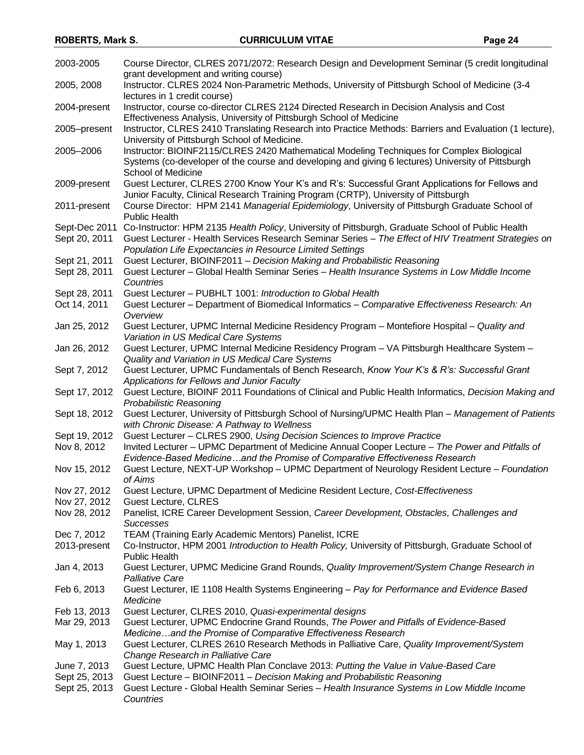| 2003-2005                    | Course Director, CLRES 2071/2072: Research Design and Development Seminar (5 credit longitudinal                                                                             |
|------------------------------|------------------------------------------------------------------------------------------------------------------------------------------------------------------------------|
|                              | grant development and writing course)                                                                                                                                        |
| 2005, 2008                   | Instructor. CLRES 2024 Non-Parametric Methods, University of Pittsburgh School of Medicine (3-4                                                                              |
|                              | lectures in 1 credit course)                                                                                                                                                 |
| 2004-present                 | Instructor, course co-director CLRES 2124 Directed Research in Decision Analysis and Cost                                                                                    |
|                              | Effectiveness Analysis, University of Pittsburgh School of Medicine                                                                                                          |
| 2005-present                 | Instructor, CLRES 2410 Translating Research into Practice Methods: Barriers and Evaluation (1 lecture),<br>University of Pittsburgh School of Medicine.                      |
| 2005-2006                    | Instructor: BIOINF2115/CLRES 2420 Mathematical Modeling Techniques for Complex Biological                                                                                    |
|                              | Systems (co-developer of the course and developing and giving 6 lectures) University of Pittsburgh                                                                           |
|                              | School of Medicine                                                                                                                                                           |
| 2009-present                 | Guest Lecturer, CLRES 2700 Know Your K's and R's: Successful Grant Applications for Fellows and                                                                              |
|                              | Junior Faculty, Clinical Research Training Program (CRTP), University of Pittsburgh                                                                                          |
| 2011-present                 | Course Director: HPM 2141 Managerial Epidemiology, University of Pittsburgh Graduate School of                                                                               |
|                              | <b>Public Health</b>                                                                                                                                                         |
| Sept-Dec 2011                | Co-Instructor: HPM 2135 Health Policy, University of Pittsburgh, Graduate School of Public Health                                                                            |
| Sept 20, 2011                | Guest Lecturer - Health Services Research Seminar Series - The Effect of HIV Treatment Strategies on                                                                         |
|                              | Population Life Expectancies in Resource Limited Settings                                                                                                                    |
| Sept 21, 2011                | Guest Lecturer, BIOINF2011 - Decision Making and Probabilistic Reasoning                                                                                                     |
| Sept 28, 2011                | Guest Lecturer - Global Health Seminar Series - Health Insurance Systems in Low Middle Income                                                                                |
|                              | Countries                                                                                                                                                                    |
| Sept 28, 2011                | Guest Lecturer - PUBHLT 1001: Introduction to Global Health                                                                                                                  |
| Oct 14, 2011                 | Guest Lecturer - Department of Biomedical Informatics - Comparative Effectiveness Research: An<br>Overview                                                                   |
| Jan 25, 2012                 | Guest Lecturer, UPMC Internal Medicine Residency Program - Montefiore Hospital - Quality and                                                                                 |
|                              | Variation in US Medical Care Systems                                                                                                                                         |
| Jan 26, 2012                 | Guest Lecturer, UPMC Internal Medicine Residency Program - VA Pittsburgh Healthcare System -                                                                                 |
|                              | Quality and Variation in US Medical Care Systems                                                                                                                             |
| Sept 7, 2012                 | Guest Lecturer, UPMC Fundamentals of Bench Research, Know Your K's & R's: Successful Grant                                                                                   |
|                              | Applications for Fellows and Junior Faculty                                                                                                                                  |
| Sept 17, 2012                | Guest Lecture, BIOINF 2011 Foundations of Clinical and Public Health Informatics, Decision Making and                                                                        |
|                              | Probabilistic Reasoning                                                                                                                                                      |
| Sept 18, 2012                | Guest Lecturer, University of Pittsburgh School of Nursing/UPMC Health Plan - Management of Patients                                                                         |
|                              | with Chronic Disease: A Pathway to Wellness                                                                                                                                  |
| Sept 19, 2012                | Guest Lecturer - CLRES 2900, Using Decision Sciences to Improve Practice                                                                                                     |
| Nov 8, 2012                  | Invited Lecturer - UPMC Department of Medicine Annual Cooper Lecture - The Power and Pitfalls of                                                                             |
|                              | Evidence-Based Medicineand the Promise of Comparative Effectiveness Research<br>Guest Lecture, NEXT-UP Workshop - UPMC Department of Neurology Resident Lecture - Foundation |
| Nov 15, 2012                 | of Aims                                                                                                                                                                      |
| Nov 27, 2012                 | Guest Lecture, UPMC Department of Medicine Resident Lecture, Cost-Effectiveness                                                                                              |
| Nov 27, 2012                 | <b>Guest Lecture, CLRES</b>                                                                                                                                                  |
| Nov 28, 2012                 | Panelist, ICRE Career Development Session, Career Development, Obstacles, Challenges and                                                                                     |
|                              | <b>Successes</b>                                                                                                                                                             |
| Dec 7, 2012                  | TEAM (Training Early Academic Mentors) Panelist, ICRE                                                                                                                        |
| 2013-present                 | Co-Instructor, HPM 2001 Introduction to Health Policy, University of Pittsburgh, Graduate School of                                                                          |
|                              | <b>Public Health</b>                                                                                                                                                         |
| Jan 4, 2013                  | Guest Lecturer, UPMC Medicine Grand Rounds, Quality Improvement/System Change Research in                                                                                    |
|                              | Palliative Care                                                                                                                                                              |
| Feb 6, 2013                  | Guest Lecturer, IE 1108 Health Systems Engineering - Pay for Performance and Evidence Based                                                                                  |
|                              | Medicine                                                                                                                                                                     |
| Feb 13, 2013<br>Mar 29, 2013 | Guest Lecturer, CLRES 2010, Quasi-experimental designs<br>Guest Lecturer, UPMC Endocrine Grand Rounds, The Power and Pitfalls of Evidence-Based                              |
|                              | Medicineand the Promise of Comparative Effectiveness Research                                                                                                                |
| May 1, 2013                  | Guest Lecturer, CLRES 2610 Research Methods in Palliative Care, Quality Improvement/System                                                                                   |
|                              | Change Research in Palliative Care                                                                                                                                           |
| June 7, 2013                 | Guest Lecture, UPMC Health Plan Conclave 2013: Putting the Value in Value-Based Care                                                                                         |
| Sept 25, 2013                | Guest Lecture - BIOINF2011 - Decision Making and Probabilistic Reasoning                                                                                                     |
| Sept 25, 2013                | Guest Lecture - Global Health Seminar Series - Health Insurance Systems in Low Middle Income                                                                                 |
|                              | Countries                                                                                                                                                                    |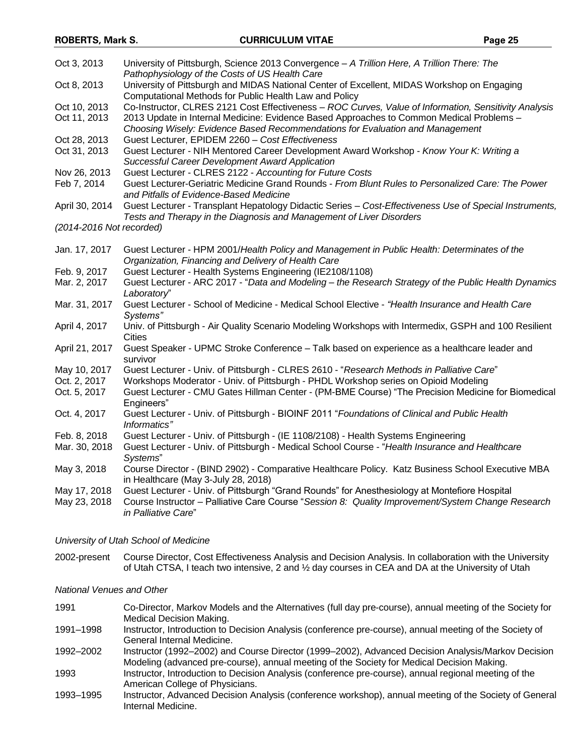| Oct 3, 2013                  | University of Pittsburgh, Science 2013 Convergence - A Trillion Here, A Trillion There: The<br>Pathophysiology of the Costs of US Health Care                                   |
|------------------------------|---------------------------------------------------------------------------------------------------------------------------------------------------------------------------------|
| Oct 8, 2013                  | University of Pittsburgh and MIDAS National Center of Excellent, MIDAS Workshop on Engaging                                                                                     |
|                              | Computational Methods for Public Health Law and Policy<br>Co-Instructor, CLRES 2121 Cost Effectiveness - ROC Curves, Value of Information, Sensitivity Analysis                 |
| Oct 10, 2013<br>Oct 11, 2013 | 2013 Update in Internal Medicine: Evidence Based Approaches to Common Medical Problems -<br>Choosing Wisely: Evidence Based Recommendations for Evaluation and Management       |
| Oct 28, 2013                 | Guest Lecturer, EPIDEM 2260 - Cost Effectiveness                                                                                                                                |
| Oct 31, 2013                 | Guest Lecturer - NIH Mentored Career Development Award Workshop - Know Your K: Writing a<br><b>Successful Career Development Award Application</b>                              |
| Nov 26, 2013                 | Guest Lecturer - CLRES 2122 - Accounting for Future Costs                                                                                                                       |
| Feb 7, 2014                  | Guest Lecturer-Geriatric Medicine Grand Rounds - From Blunt Rules to Personalized Care: The Power<br>and Pitfalls of Evidence-Based Medicine                                    |
| April 30, 2014               | Guest Lecturer - Transplant Hepatology Didactic Series - Cost-Effectiveness Use of Special Instruments,<br>Tests and Therapy in the Diagnosis and Management of Liver Disorders |
| (2014-2016 Not recorded)     |                                                                                                                                                                                 |
| Jan. 17, 2017                | Guest Lecturer - HPM 2001/Health Policy and Management in Public Health: Determinates of the<br>Organization, Financing and Delivery of Health Care                             |
| Feb. 9, 2017                 | Guest Lecturer - Health Systems Engineering (IE2108/1108)                                                                                                                       |
| Mar. 2, 2017                 | Guest Lecturer - ARC 2017 - "Data and Modeling - the Research Strategy of the Public Health Dynamics<br>Laboratory"                                                             |
| Mar. 31, 2017                | Guest Lecturer - School of Medicine - Medical School Elective - "Health Insurance and Health Care<br>Systems"                                                                   |
| April 4, 2017                | Univ. of Pittsburgh - Air Quality Scenario Modeling Workshops with Intermedix, GSPH and 100 Resilient<br><b>Cities</b>                                                          |
| April 21, 2017               | Guest Speaker - UPMC Stroke Conference - Talk based on experience as a healthcare leader and<br>survivor                                                                        |
| May 10, 2017                 | Guest Lecturer - Univ. of Pittsburgh - CLRES 2610 - "Research Methods in Palliative Care"                                                                                       |
| Oct. 2, 2017                 | Workshops Moderator - Univ. of Pittsburgh - PHDL Workshop series on Opioid Modeling                                                                                             |
| Oct. 5, 2017                 | Guest Lecturer - CMU Gates Hillman Center - (PM-BME Course) "The Precision Medicine for Biomedical<br>Engineers"                                                                |
| Oct. 4, 2017                 | Guest Lecturer - Univ. of Pittsburgh - BIOINF 2011 "Foundations of Clinical and Public Health<br>Informatics"                                                                   |
| Feb. 8, 2018                 | Guest Lecturer - Univ. of Pittsburgh - (IE 1108/2108) - Health Systems Engineering                                                                                              |
| Mar. 30, 2018                | Guest Lecturer - Univ. of Pittsburgh - Medical School Course - "Health Insurance and Healthcare<br>Systems"                                                                     |
| May 3, 2018                  | Course Director - (BIND 2902) - Comparative Healthcare Policy. Katz Business School Executive MBA<br>in Healthcare (May 3-July 28, 2018)                                        |
| May 17, 2018                 | Guest Lecturer - Univ. of Pittsburgh "Grand Rounds" for Anesthesiology at Montefiore Hospital                                                                                   |
| May 23, 2018                 | Course Instructor - Palliative Care Course "Session 8: Quality Improvement/System Change Research<br>in Palliative Care"                                                        |
|                              |                                                                                                                                                                                 |

### *University of Utah School of Medicine*

2002-present Course Director, Cost Effectiveness Analysis and Decision Analysis. In collaboration with the University of Utah CTSA, I teach two intensive, 2 and ½ day courses in CEA and DA at the University of Utah

### *National Venues and Other*

- 1991 Co-Director, Markov Models and the Alternatives (full day pre-course), annual meeting of the Society for Medical Decision Making. 1991–1998 Instructor, Introduction to Decision Analysis (conference pre-course), annual meeting of the Society of General Internal Medicine. 1992–2002 Instructor (1992–2002) and Course Director (1999–2002), Advanced Decision Analysis/Markov Decision Modeling (advanced pre-course), annual meeting of the Society for Medical Decision Making. 1993 Instructor, Introduction to Decision Analysis (conference pre-course), annual regional meeting of the American College of Physicians.
- 1993–1995 Instructor, Advanced Decision Analysis (conference workshop), annual meeting of the Society of General Internal Medicine.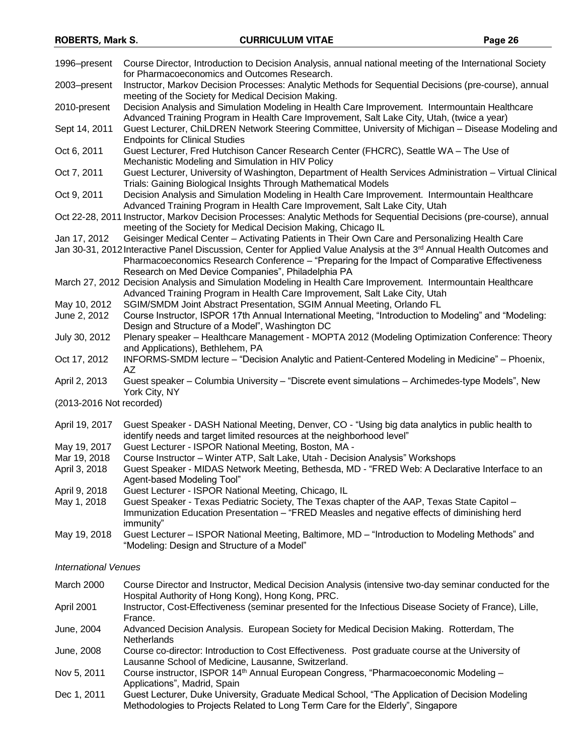| 1996-present                | Course Director, Introduction to Decision Analysis, annual national meeting of the International Society                                                                                                                            |  |
|-----------------------------|-------------------------------------------------------------------------------------------------------------------------------------------------------------------------------------------------------------------------------------|--|
| 2003-present                | for Pharmacoeconomics and Outcomes Research.<br>Instructor, Markov Decision Processes: Analytic Methods for Sequential Decisions (pre-course), annual                                                                               |  |
| 2010-present                | meeting of the Society for Medical Decision Making.<br>Decision Analysis and Simulation Modeling in Health Care Improvement. Intermountain Healthcare                                                                               |  |
| Sept 14, 2011               | Advanced Training Program in Health Care Improvement, Salt Lake City, Utah, (twice a year)<br>Guest Lecturer, ChiLDREN Network Steering Committee, University of Michigan - Disease Modeling and                                    |  |
| Oct 6, 2011                 | <b>Endpoints for Clinical Studies</b><br>Guest Lecturer, Fred Hutchison Cancer Research Center (FHCRC), Seattle WA - The Use of                                                                                                     |  |
| Oct 7, 2011                 | Mechanistic Modeling and Simulation in HIV Policy<br>Guest Lecturer, University of Washington, Department of Health Services Administration - Virtual Clinical                                                                      |  |
| Oct 9, 2011                 | Trials: Gaining Biological Insights Through Mathematical Models<br>Decision Analysis and Simulation Modeling in Health Care Improvement. Intermountain Healthcare                                                                   |  |
|                             | Advanced Training Program in Health Care Improvement, Salt Lake City, Utah<br>Oct 22-28, 2011 Instructor, Markov Decision Processes: Analytic Methods for Sequential Decisions (pre-course), annual                                 |  |
| Jan 17, 2012                | meeting of the Society for Medical Decision Making, Chicago IL<br>Geisinger Medical Center - Activating Patients in Their Own Care and Personalizing Health Care                                                                    |  |
|                             | Jan 30-31, 2012 Interactive Panel Discussion, Center for Applied Value Analysis at the 3 <sup>rd</sup> Annual Health Outcomes and<br>Pharmacoeconomics Research Conference - "Preparing for the Impact of Comparative Effectiveness |  |
|                             | Research on Med Device Companies", Philadelphia PA                                                                                                                                                                                  |  |
|                             | March 27, 2012 Decision Analysis and Simulation Modeling in Health Care Improvement. Intermountain Healthcare<br>Advanced Training Program in Health Care Improvement, Salt Lake City, Utah                                         |  |
| May 10, 2012                | SGIM/SMDM Joint Abstract Presentation, SGIM Annual Meeting, Orlando FL                                                                                                                                                              |  |
| June 2, 2012                | Course Instructor, ISPOR 17th Annual International Meeting, "Introduction to Modeling" and "Modeling:                                                                                                                               |  |
|                             | Design and Structure of a Model", Washington DC                                                                                                                                                                                     |  |
| July 30, 2012               | Plenary speaker - Healthcare Management - MOPTA 2012 (Modeling Optimization Conference: Theory                                                                                                                                      |  |
|                             | and Applications), Bethlehem, PA                                                                                                                                                                                                    |  |
| Oct 17, 2012                | INFORMS-SMDM lecture - "Decision Analytic and Patient-Centered Modeling in Medicine" - Phoenix,<br>AZ                                                                                                                               |  |
| April 2, 2013               | Guest speaker - Columbia University - "Discrete event simulations - Archimedes-type Models", New<br>York City, NY                                                                                                                   |  |
| (2013-2016 Not recorded)    |                                                                                                                                                                                                                                     |  |
| April 19, 2017              | Guest Speaker - DASH National Meeting, Denver, CO - "Using big data analytics in public health to                                                                                                                                   |  |
|                             | identify needs and target limited resources at the neighborhood level"                                                                                                                                                              |  |
| May 19, 2017                | Guest Lecturer - ISPOR National Meeting, Boston, MA -                                                                                                                                                                               |  |
| Mar 19, 2018                | Course Instructor - Winter ATP, Salt Lake, Utah - Decision Analysis" Workshops                                                                                                                                                      |  |
| April 3, 2018               | Guest Speaker - MIDAS Network Meeting, Bethesda, MD - "FRED Web: A Declarative Interface to an<br>Agent-based Modeling Tool"                                                                                                        |  |
| April 9, 2018               | Guest Lecturer - ISPOR National Meeting, Chicago, IL                                                                                                                                                                                |  |
| May 1, 2018                 | Guest Speaker - Texas Pediatric Society, The Texas chapter of the AAP, Texas State Capitol -<br>Immunization Education Presentation - "FRED Measles and negative effects of diminishing herd                                        |  |
|                             | immunity"                                                                                                                                                                                                                           |  |
| May 19, 2018                | Guest Lecturer - ISPOR National Meeting, Baltimore, MD - "Introduction to Modeling Methods" and<br>"Modeling: Design and Structure of a Model"                                                                                      |  |
| <b>International Venues</b> |                                                                                                                                                                                                                                     |  |
| March 2000                  | Course Director and Instructor, Medical Decision Analysis (intensive two-day seminar conducted for the                                                                                                                              |  |
| April 2001                  | Hospital Authority of Hong Kong), Hong Kong, PRC.<br>Instructor, Cost-Effectiveness (seminar presented for the Infectious Disease Society of France), Lille,<br>France.                                                             |  |
| June, 2004                  | Advanced Decision Analysis. European Society for Medical Decision Making. Rotterdam, The<br>Netherlands                                                                                                                             |  |
| June, 2008                  | Course co-director: Introduction to Cost Effectiveness. Post graduate course at the University of<br>Lausanne School of Medicine, Lausanne, Switzerland.                                                                            |  |
| Nov 5, 2011                 | Course instructor, ISPOR 14 <sup>th</sup> Annual European Congress, "Pharmacoeconomic Modeling -                                                                                                                                    |  |

- Applications", Madrid, Spain
- Dec 1, 2011 Guest Lecturer, Duke University, Graduate Medical School, "The Application of Decision Modeling Methodologies to Projects Related to Long Term Care for the Elderly", Singapore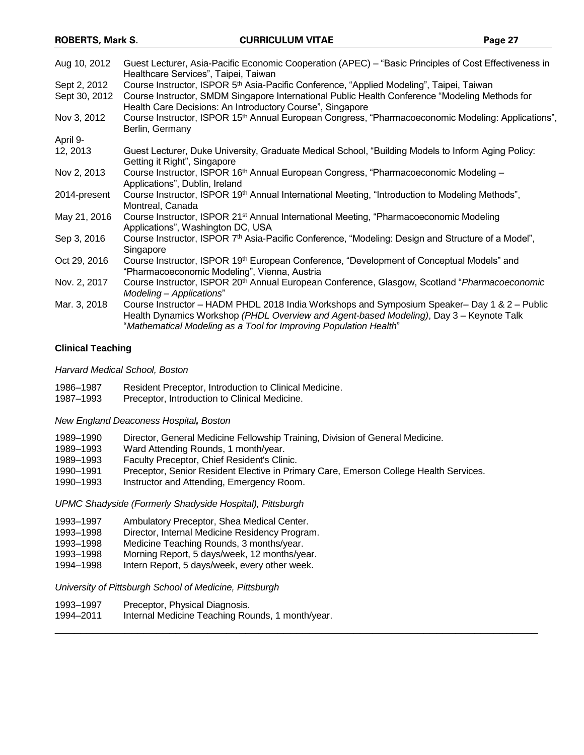| Aug 10, 2012  | Guest Lecturer, Asia-Pacific Economic Cooperation (APEC) – "Basic Principles of Cost Effectiveness in<br>Healthcare Services", Taipei, Taiwan                                                                                                                |
|---------------|--------------------------------------------------------------------------------------------------------------------------------------------------------------------------------------------------------------------------------------------------------------|
| Sept 2, 2012  | Course Instructor, ISPOR 5 <sup>th</sup> Asia-Pacific Conference, "Applied Modeling", Taipei, Taiwan                                                                                                                                                         |
| Sept 30, 2012 | Course Instructor, SMDM Singapore International Public Health Conference "Modeling Methods for<br>Health Care Decisions: An Introductory Course", Singapore                                                                                                  |
| Nov 3, 2012   | Course Instructor, ISPOR 15 <sup>th</sup> Annual European Congress, "Pharmacoeconomic Modeling: Applications",<br>Berlin, Germany                                                                                                                            |
| April 9-      |                                                                                                                                                                                                                                                              |
| 12, 2013      | Guest Lecturer, Duke University, Graduate Medical School, "Building Models to Inform Aging Policy:<br>Getting it Right", Singapore                                                                                                                           |
| Nov 2, 2013   | Course Instructor, ISPOR 16 <sup>th</sup> Annual European Congress, "Pharmacoeconomic Modeling -<br>Applications", Dublin, Ireland                                                                                                                           |
| 2014-present  | Course Instructor, ISPOR 19th Annual International Meeting, "Introduction to Modeling Methods",<br>Montreal, Canada                                                                                                                                          |
| May 21, 2016  | Course Instructor, ISPOR 21 <sup>st</sup> Annual International Meeting, "Pharmacoeconomic Modeling<br>Applications", Washington DC, USA                                                                                                                      |
| Sep 3, 2016   | Course Instructor, ISPOR 7 <sup>th</sup> Asia-Pacific Conference, "Modeling: Design and Structure of a Model",<br>Singapore                                                                                                                                  |
| Oct 29, 2016  | Course Instructor, ISPOR 19th European Conference, "Development of Conceptual Models" and<br>"Pharmacoeconomic Modeling", Vienna, Austria                                                                                                                    |
| Nov. 2, 2017  | Course Instructor, ISPOR 20 <sup>th</sup> Annual European Conference, Glasgow, Scotland "Pharmacoeconomic"<br>Modeling - Applications"                                                                                                                       |
| Mar. 3, 2018  | Course Instructor – HADM PHDL 2018 India Workshops and Symposium Speaker– Day 1 & 2 – Public<br>Health Dynamics Workshop (PHDL Overview and Agent-based Modeling), Day 3 - Keynote Talk<br>"Mathematical Modeling as a Tool for Improving Population Health" |

## **Clinical Teaching**

*Harvard Medical School, Boston*

- 1986–1987 Resident Preceptor, Introduction to Clinical Medicine.
- 1987–1993 Preceptor, Introduction to Clinical Medicine.

*New England Deaconess Hospital, Boston*

- 1989–1990 Director, General Medicine Fellowship Training, Division of General Medicine.
- 1989–1993 Ward Attending Rounds, 1 month/year.
- 1989–1993 Faculty Preceptor, Chief Resident's Clinic.
- 1990–1991 Preceptor, Senior Resident Elective in Primary Care, Emerson College Health Services.
- 1990–1993 Instructor and Attending, Emergency Room.

*UPMC Shadyside (Formerly Shadyside Hospital), Pittsburgh*

- 1993–1997 Ambulatory Preceptor, Shea Medical Center.
- 1993–1998 Director, Internal Medicine Residency Program.
- 1993–1998 Medicine Teaching Rounds, 3 months/year.
- 1993–1998 Morning Report, 5 days/week, 12 months/year.
- 1994–1998 Intern Report, 5 days/week, every other week.

*University of Pittsburgh School of Medicine, Pittsburgh*

- 1993–1997 Preceptor, Physical Diagnosis.
- 1994–2011 Internal Medicine Teaching Rounds, 1 month/year. \_\_\_\_\_\_\_\_\_\_\_\_\_\_\_\_\_\_\_\_\_\_\_\_\_\_\_\_\_\_\_\_\_\_\_\_\_\_\_\_\_\_\_\_\_\_\_\_\_\_\_\_\_\_\_\_\_\_\_\_\_\_\_\_\_\_\_\_\_\_\_\_\_\_\_\_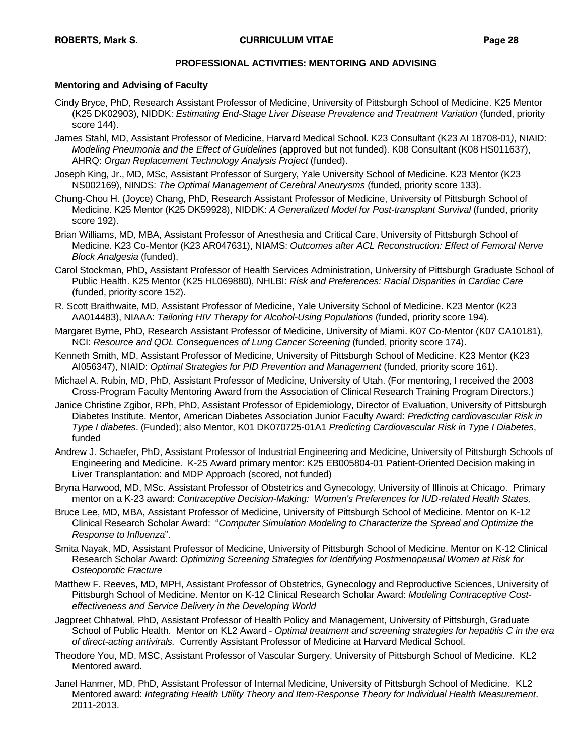### **PROFESSIONAL ACTIVITIES: MENTORING AND ADVISING**

### **Mentoring and Advising of Faculty**

- Cindy Bryce, PhD, Research Assistant Professor of Medicine, University of Pittsburgh School of Medicine. K25 Mentor (K25 DK02903), NIDDK: *Estimating End-Stage Liver Disease Prevalence and Treatment Variation* (funded, priority score 144).
- James Stahl, MD, Assistant Professor of Medicine, Harvard Medical School. K23 Consultant (K23 AI 18708-01*)*, NIAID: *Modeling Pneumonia and the Effect of Guidelines* (approved but not funded). K08 Consultant (K08 HS011637), AHRQ: *Organ Replacement Technology Analysis Project* (funded).
- Joseph King, Jr., MD, MSc, Assistant Professor of Surgery, Yale University School of Medicine. K23 Mentor (K23 NS002169), NINDS: *The Optimal Management of Cerebral Aneurysms* (funded, priority score 133).
- Chung-Chou H. (Joyce) Chang, PhD, Research Assistant Professor of Medicine, University of Pittsburgh School of Medicine. K25 Mentor (K25 DK59928), NIDDK: *A Generalized Model for Post-transplant Survival* (funded, priority score 192).
- Brian Williams, MD, MBA, Assistant Professor of Anesthesia and Critical Care, University of Pittsburgh School of Medicine. K23 Co-Mentor (K23 AR047631), NIAMS: *Outcomes after ACL Reconstruction: Effect of Femoral Nerve Block Analgesia* (funded).
- Carol Stockman, PhD, Assistant Professor of Health Services Administration, University of Pittsburgh Graduate School of Public Health. K25 Mentor (K25 HL069880), NHLBI: *Risk and Preferences: Racial Disparities in Cardiac Care* (funded, priority score 152).
- R. Scott Braithwaite, MD, Assistant Professor of Medicine, Yale University School of Medicine. K23 Mentor (K23 AA014483), NIAAA: *Tailoring HIV Therapy for Alcohol-Using Populations* (funded, priority score 194).
- Margaret Byrne, PhD, Research Assistant Professor of Medicine, University of Miami. K07 Co-Mentor (K07 CA10181), NCI: *Resource and QOL Consequences of Lung Cancer Screening* (funded, priority score 174).
- Kenneth Smith, MD, Assistant Professor of Medicine, University of Pittsburgh School of Medicine. K23 Mentor (K23 AI056347), NIAID: *Optimal Strategies for PID Prevention and Management* (funded, priority score 161).
- Michael A. Rubin, MD, PhD, Assistant Professor of Medicine, University of Utah. (For mentoring, I received the 2003 Cross-Program Faculty Mentoring Award from the Association of Clinical Research Training Program Directors.)
- Janice Christine Zgibor, RPh, PhD, Assistant Professor of Epidemiology, Director of Evaluation, University of Pittsburgh Diabetes Institute. Mentor, American Diabetes Association Junior Faculty Award: *Predicting cardiovascular Risk in Type I diabetes*. (Funded); also Mentor, K01 DK070725-01A1 *Predicting Cardiovascular Risk in Type I Diabetes*, funded
- Andrew J. Schaefer, PhD, Assistant Professor of Industrial Engineering and Medicine, University of Pittsburgh Schools of Engineering and Medicine. K-25 Award primary mentor: K25 EB005804-01 Patient-Oriented Decision making in Liver Transplantation: and MDP Approach (scored, not funded)
- Bryna Harwood, MD, MSc. Assistant Professor of Obstetrics and Gynecology, University of Illinois at Chicago. Primary mentor on a K-23 award: *Contraceptive Decision-Making: Women's Preferences for IUD-related Health States,*
- Bruce Lee, MD, MBA, Assistant Professor of Medicine, University of Pittsburgh School of Medicine. Mentor on K-12 Clinical Research Scholar Award: "*Computer Simulation Modeling to Characterize the Spread and Optimize the Response to Influenza*".
- Smita Nayak, MD, Assistant Professor of Medicine, University of Pittsburgh School of Medicine. Mentor on K-12 Clinical Research Scholar Award: *Optimizing Screening Strategies for Identifying Postmenopausal Women at Risk for Osteoporotic Fracture*
- Matthew F. Reeves, MD, MPH, Assistant Professor of Obstetrics, Gynecology and Reproductive Sciences, University of Pittsburgh School of Medicine. Mentor on K-12 Clinical Research Scholar Award: *Modeling Contraceptive Costeffectiveness and Service Delivery in the Developing World*
- Jagpreet Chhatwal, PhD, Assistant Professor of Health Policy and Management, University of Pittsburgh, Graduate School of Public Health. Mentor on KL2 Award - *Optimal treatment and screening strategies for hepatitis C in the era of direct-acting antivirals.* Currently Assistant Professor of Medicine at Harvard Medical School.
- Theodore You, MD, MSC, Assistant Professor of Vascular Surgery, University of Pittsburgh School of Medicine. KL2 Mentored award.
- Janel Hanmer, MD, PhD, Assistant Professor of Internal Medicine, University of Pittsburgh School of Medicine. KL2 Mentored award: *Integrating Health Utility Theory and Item-Response Theory for Individual Health Measurement*. 2011-2013.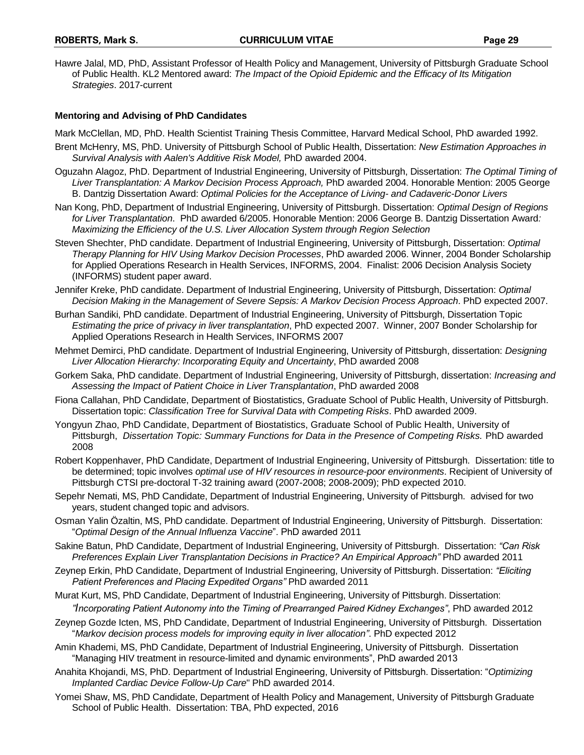Hawre Jalal, MD, PhD, Assistant Professor of Health Policy and Management, University of Pittsburgh Graduate School of Public Health. KL2 Mentored award: *The Impact of the Opioid Epidemic and the Efficacy of Its Mitigation Strategies*. 2017-current

### **Mentoring and Advising of PhD Candidates**

Mark McClellan, MD, PhD. Health Scientist Training Thesis Committee, Harvard Medical School, PhD awarded 1992.

- Brent McHenry, MS, PhD. University of Pittsburgh School of Public Health, Dissertation: *New Estimation Approaches in Survival Analysis with Aalen's Additive Risk Model,* PhD awarded 2004.
- Oguzahn Alagoz, PhD. Department of Industrial Engineering, University of Pittsburgh, Dissertation: *The Optimal Timing of Liver Transplantation: A Markov Decision Process Approach,* PhD awarded 2004. Honorable Mention: 2005 George B. Dantzig Dissertation Award: *Optimal Policies for the Acceptance of Living- and Cadaveric-Donor Livers*
- Nan Kong, PhD, Department of Industrial Engineering, University of Pittsburgh. Dissertation: *Optimal Design of Regions for Liver Transplantation*. PhD awarded 6/2005. Honorable Mention: 2006 George B. Dantzig Dissertation Award*: Maximizing the Efficiency of the U.S. Liver Allocation System through Region Selection*
- Steven Shechter, PhD candidate. Department of Industrial Engineering, University of Pittsburgh, Dissertation: *Optimal Therapy Planning for HIV Using Markov Decision Processes*, PhD awarded 2006. Winner, 2004 Bonder Scholarship for Applied Operations Research in Health Services, INFORMS, 2004. Finalist: 2006 Decision Analysis Society (INFORMS) student paper award.
- Jennifer Kreke, PhD candidate. Department of Industrial Engineering, University of Pittsburgh, Dissertation: *Optimal Decision Making in the Management of Severe Sepsis: A Markov Decision Process Approach*. PhD expected 2007.
- Burhan Sandiki, PhD candidate. Department of Industrial Engineering, University of Pittsburgh, Dissertation Topic *Estimating the price of privacy in liver transplantation*, PhD expected 2007. Winner, 2007 Bonder Scholarship for Applied Operations Research in Health Services, INFORMS 2007
- Mehmet Demirci, PhD candidate. Department of Industrial Engineering, University of Pittsburgh, dissertation: *Designing Liver Allocation Hierarchy: Incorporating Equity and Uncertainty*, PhD awarded 2008
- Gorkem Saka, PhD candidate. Department of Industrial Engineering, University of Pittsburgh, dissertation: *Increasing and Assessing the Impact of Patient Choice in Liver Transplantation*, PhD awarded 2008
- Fiona Callahan, PhD Candidate, Department of Biostatistics, Graduate School of Public Health, University of Pittsburgh. Dissertation topic: *Classification Tree for Survival Data with Competing Risks*. PhD awarded 2009.
- Yongyun Zhao, PhD Candidate, Department of Biostatistics, Graduate School of Public Health, University of Pittsburgh, *Dissertation Topic: Summary Functions for Data in the Presence of Competing Risks.* PhD awarded 2008
- Robert Koppenhaver, PhD Candidate, Department of Industrial Engineering, University of Pittsburgh. Dissertation: title to be determined; topic involves *optimal use of HIV resources in resource-poor environments*. Recipient of University of Pittsburgh CTSI pre-doctoral T-32 training award (2007-2008; 2008-2009); PhD expected 2010.
- Sepehr Nemati, MS, PhD Candidate, Department of Industrial Engineering, University of Pittsburgh. advised for two years, student changed topic and advisors.
- Osman Yalin Özaltin, MS, PhD candidate. Department of Industrial Engineering, University of Pittsburgh. Dissertation: "*Optimal Design of the Annual Influenza Vaccine*". PhD awarded 2011
- Sakine Batun, PhD Candidate, Department of Industrial Engineering, University of Pittsburgh. Dissertation: *"Can Risk Preferences Explain Liver Transplantation Decisions in Practice? An Empirical Approach"* PhD awarded 2011
- Zeynep Erkin, PhD Candidate, Department of Industrial Engineering, University of Pittsburgh. Dissertation: *"Eliciting Patient Preferences and Placing Expedited Organs"* PhD awarded 2011
- Murat Kurt, MS, PhD Candidate, Department of Industrial Engineering, University of Pittsburgh. Dissertation: *"Incorporating Patient Autonomy into the Timing of Prearranged Paired Kidney Exchanges"*, PhD awarded 2012
- Zeynep Gozde Icten, MS, PhD Candidate, Department of Industrial Engineering, University of Pittsburgh. Dissertation "*Markov decision process models for improving equity in liver allocation"*. PhD expected 2012
- Amin Khademi, MS, PhD Candidate, Department of Industrial Engineering, University of Pittsburgh. Dissertation "Managing HIV treatment in resource-limited and dynamic environments", PhD awarded 2013
- Anahita Khojandi, MS, PhD. Department of Industrial Engineering, University of Pittsburgh. Dissertation: "*Optimizing Implanted Cardiac Device Follow-Up Care*" PhD awarded 2014.
- Yomei Shaw, MS, PhD Candidate, Department of Health Policy and Management, University of Pittsburgh Graduate School of Public Health. Dissertation: TBA, PhD expected, 2016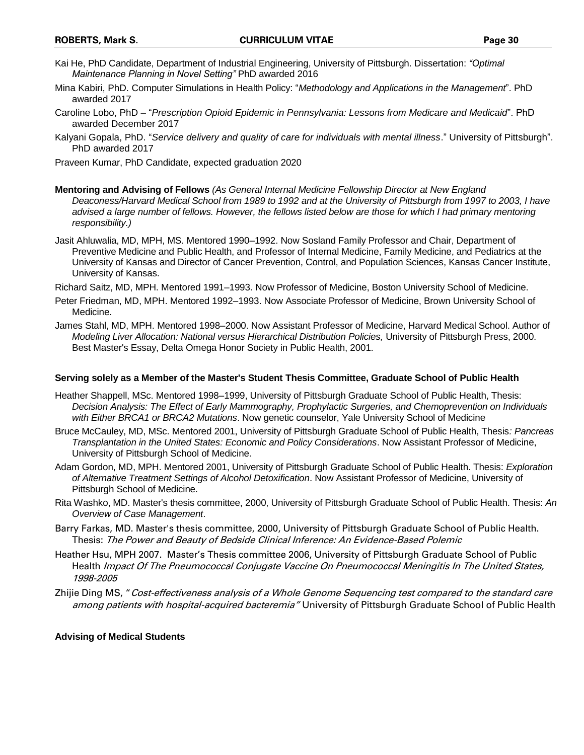- Kai He, PhD Candidate, Department of Industrial Engineering, University of Pittsburgh. Dissertation: *"Optimal Maintenance Planning in Novel Setting"* PhD awarded 2016
- Mina Kabiri, PhD. Computer Simulations in Health Policy: "*Methodology and Applications in the Management*". PhD awarded 2017
- Caroline Lobo, PhD "*Prescription Opioid Epidemic in Pennsylvania: Lessons from Medicare and Medicaid*". PhD awarded December 2017
- Kalyani Gopala, PhD. "*Service delivery and quality of care for individuals with mental illness*." University of Pittsburgh". PhD awarded 2017

Praveen Kumar, PhD Candidate, expected graduation 2020

- **Mentoring and Advising of Fellows** *(As General Internal Medicine Fellowship Director at New England Deaconess/Harvard Medical School from 1989 to 1992 and at the University of Pittsburgh from 1997 to 2003, I have advised a large number of fellows. However, the fellows listed below are those for which I had primary mentoring responsibility.)*
- Jasit Ahluwalia, MD, MPH, MS. Mentored 1990–1992. Now Sosland Family Professor and Chair, Department of Preventive Medicine and Public Health, and Professor of Internal Medicine, Family Medicine, and Pediatrics at the University of Kansas and Director of Cancer Prevention, Control, and Population Sciences, Kansas Cancer Institute, University of Kansas.
- Richard Saitz, MD, MPH. Mentored 1991–1993. Now Professor of Medicine, Boston University School of Medicine.
- Peter Friedman, MD, MPH. Mentored 1992–1993. Now Associate Professor of Medicine, Brown University School of Medicine.
- James Stahl, MD, MPH. Mentored 1998–2000. Now Assistant Professor of Medicine, Harvard Medical School. Author of *Modeling Liver Allocation: National versus Hierarchical Distribution Policies,* University of Pittsburgh Press, 2000. Best Master's Essay, Delta Omega Honor Society in Public Health, 2001.

#### **Serving solely as a Member of the Master's Student Thesis Committee, Graduate School of Public Health**

- Heather Shappell, MSc. Mentored 1998–1999, University of Pittsburgh Graduate School of Public Health, Thesis: *Decision Analysis: The Effect of Early Mammography, Prophylactic Surgeries, and Chemoprevention on Individuals with Either BRCA1 or BRCA2 Mutations*. Now genetic counselor, Yale University School of Medicine
- Bruce McCauley, MD, MSc. Mentored 2001, University of Pittsburgh Graduate School of Public Health, Thesis*: Pancreas Transplantation in the United States: Economic and Policy Considerations*. Now Assistant Professor of Medicine, University of Pittsburgh School of Medicine.
- Adam Gordon, MD, MPH. Mentored 2001, University of Pittsburgh Graduate School of Public Health. Thesis: *Exploration of Alternative Treatment Settings of Alcohol Detoxification*. Now Assistant Professor of Medicine, University of Pittsburgh School of Medicine.
- Rita Washko, MD. Master's thesis committee, 2000, University of Pittsburgh Graduate School of Public Health. Thesis: *An Overview of Case Management*.
- Barry Farkas, MD. Master's thesis committee, 2000, University of Pittsburgh Graduate School of Public Health. Thesis: The Power and Beauty of Bedside Clinical Inference: An Evidence-Based Polemic
- Heather Hsu, MPH 2007. Master's Thesis committee 2006, University of Pittsburgh Graduate School of Public Health Impact Of The Pneumococcal Conjugate Vaccine On Pneumococcal Meningitis In The United States, 1998-2005
- Zhijie Ding MS, "Cost-effectiveness analysis of a Whole Genome Sequencing test compared to the standard care among patients with hospital-acquired bacteremia" University of Pittsburgh Graduate School of Public Health

#### **Advising of Medical Students**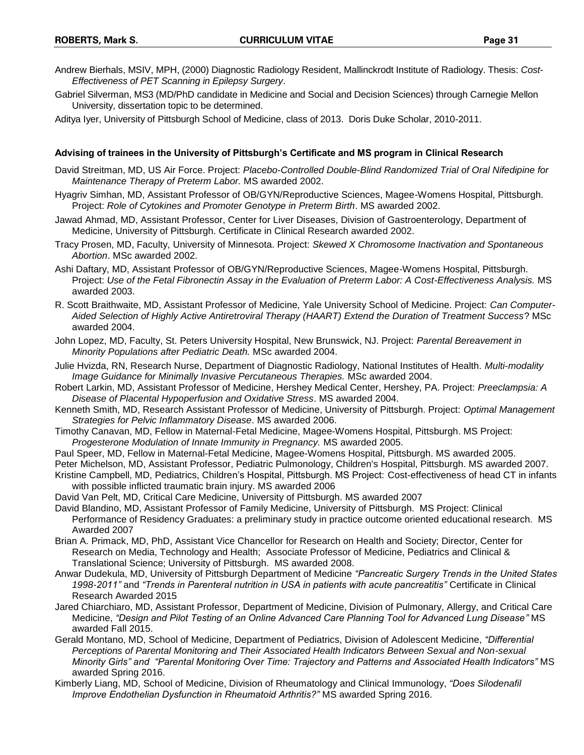- Andrew Bierhals, MSIV, MPH, (2000) Diagnostic Radiology Resident, Mallinckrodt Institute of Radiology. Thesis: *Cost-Effectiveness of PET Scanning in Epilepsy Surgery*.
- Gabriel Silverman, MS3 (MD/PhD candidate in Medicine and Social and Decision Sciences) through Carnegie Mellon University, dissertation topic to be determined.

Aditya Iyer, University of Pittsburgh School of Medicine, class of 2013. Doris Duke Scholar, 2010-2011.

#### **Advising of trainees in the University of Pittsburgh's Certificate and MS program in Clinical Research**

- David Streitman, MD, US Air Force. Project: *Placebo-Controlled Double-Blind Randomized Trial of Oral Nifedipine for Maintenance Therapy of Preterm Labor.* MS awarded 2002.
- Hyagriv Simhan, MD, Assistant Professor of OB/GYN/Reproductive Sciences, Magee-Womens Hospital, Pittsburgh. Project: *Role of Cytokines and Promoter Genotype in Preterm Birth*. MS awarded 2002.
- Jawad Ahmad, MD, Assistant Professor, Center for Liver Diseases, Division of Gastroenterology, Department of Medicine, University of Pittsburgh. Certificate in Clinical Research awarded 2002.
- Tracy Prosen, MD, Faculty, University of Minnesota. Project: *Skewed X Chromosome Inactivation and Spontaneous Abortion*. MSc awarded 2002.
- Ashi Daftary, MD, Assistant Professor of OB/GYN/Reproductive Sciences, Magee-Womens Hospital, Pittsburgh. Project: *Use of the Fetal Fibronectin Assay in the Evaluation of Preterm Labor: A Cost-Effectiveness Analysis.* MS awarded 2003.
- R. Scott Braithwaite, MD, Assistant Professor of Medicine, Yale University School of Medicine. Project: *Can Computer-Aided Selection of Highly Active Antiretroviral Therapy (HAART) Extend the Duration of Treatment Success*? MSc awarded 2004.
- John Lopez, MD, Faculty, St. Peters University Hospital, New Brunswick, NJ. Project: *Parental Bereavement in Minority Populations after Pediatric Death.* MSc awarded 2004.
- Julie Hvizda, RN, Research Nurse, Department of Diagnostic Radiology, National Institutes of Health. *Multi-modality Image Guidance for Minimally Invasive Percutaneous Therapies.* MSc awarded 2004.
- Robert Larkin, MD, Assistant Professor of Medicine, Hershey Medical Center, Hershey, PA. Project: *Preeclampsia: A Disease of Placental Hypoperfusion and Oxidative Stress*. MS awarded 2004.
- Kenneth Smith, MD, Research Assistant Professor of Medicine, University of Pittsburgh. Project: *Optimal Management Strategies for Pelvic Inflammatory Disease*. MS awarded 2006.
- Timothy Canavan, MD, Fellow in Maternal-Fetal Medicine, Magee-Womens Hospital, Pittsburgh. MS Project: *Progesterone Modulation of Innate Immunity in Pregnancy.* MS awarded 2005.
- Paul Speer, MD, Fellow in Maternal-Fetal Medicine, Magee-Womens Hospital, Pittsburgh. MS awarded 2005.
- Peter Michelson, MD, Assistant Professor, Pediatric Pulmonology, Children's Hospital, Pittsburgh. MS awarded 2007.
- Kristine Campbell, MD, Pediatrics, Children's Hospital, Pittsburgh. MS Project: Cost-effectiveness of head CT in infants with possible inflicted traumatic brain injury. MS awarded 2006
- David Van Pelt, MD, Critical Care Medicine, University of Pittsburgh. MS awarded 2007
- David Blandino, MD, Assistant Professor of Family Medicine, University of Pittsburgh. MS Project: Clinical Performance of Residency Graduates: a preliminary study in practice outcome oriented educational research. MS Awarded 2007
- Brian A. Primack, MD, PhD, Assistant Vice Chancellor for Research on Health and Society; Director, Center for Research on Media, Technology and Health; Associate Professor of Medicine, Pediatrics and Clinical & Translational Science; University of Pittsburgh. MS awarded 2008.
- Anwar Dudekula, MD, University of Pittsburgh Department of Medicine *"Pancreatic Surgery Trends in the United States 1998-2011"* and *"Trends in Parenteral nutrition in USA in patients with acute pancreatitis"* Certificate in Clinical Research Awarded 2015
- Jared Chiarchiaro, MD, Assistant Professor, Department of Medicine, Division of Pulmonary, Allergy, and Critical Care Medicine, *"Design and Pilot Testing of an Online Advanced Care Planning Tool for Advanced Lung Disease"* MS awarded Fall 2015.
- Gerald Montano, MD, School of Medicine, Department of Pediatrics, Division of Adolescent Medicine, *"Differential Perceptions of Parental Monitoring and Their Associated Health Indicators Between Sexual and Non-sexual Minority Girls" and "Parental Monitoring Over Time: Trajectory and Patterns and Associated Health Indicators"* MS awarded Spring 2016.
- Kimberly Liang, MD, School of Medicine, Division of Rheumatology and Clinical Immunology, *"Does Silodenafil Improve Endothelian Dysfunction in Rheumatoid Arthritis?"* MS awarded Spring 2016.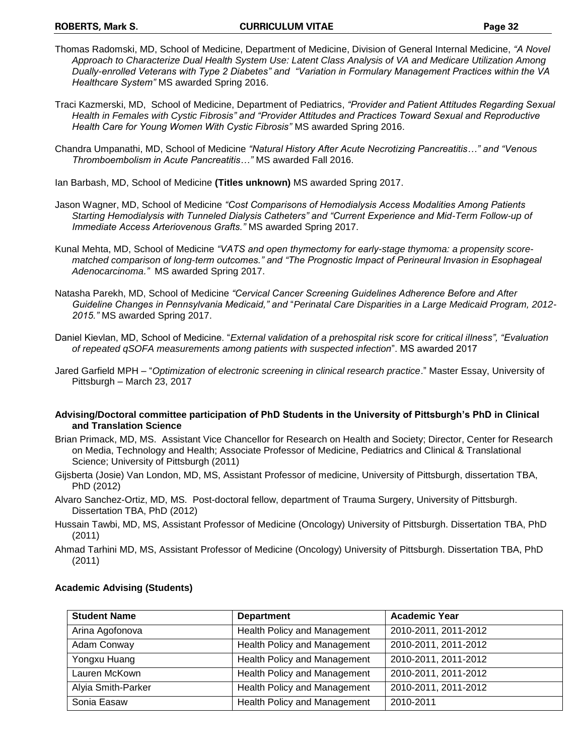- Thomas Radomski, MD, School of Medicine, Department of Medicine, Division of General Internal Medicine, *"A Novel Approach to Characterize Dual Health System Use: Latent Class Analysis of VA and Medicare Utilization Among Dually-enrolled Veterans with Type 2 Diabetes" and "Variation in Formulary Management Practices within the VA Healthcare System"* MS awarded Spring 2016.
- Traci Kazmerski, MD, School of Medicine, Department of Pediatrics, *"Provider and Patient Attitudes Regarding Sexual Health in Females with Cystic Fibrosis" and "Provider Attitudes and Practices Toward Sexual and Reproductive Health Care for Young Women With Cystic Fibrosis"* MS awarded Spring 2016.
- Chandra Umpanathi, MD, School of Medicine *"Natural History After Acute Necrotizing Pancreatitis…" and "Venous Thromboembolism in Acute Pancreatitis…"* MS awarded Fall 2016.
- Ian Barbash, MD, School of Medicine **(Titles unknown)** MS awarded Spring 2017.
- Jason Wagner, MD, School of Medicine *"Cost Comparisons of Hemodialysis Access Modalities Among Patients Starting Hemodialysis with Tunneled Dialysis Catheters" and "Current Experience and Mid-Term Follow-up of Immediate Access Arteriovenous Grafts."* MS awarded Spring 2017.
- Kunal Mehta, MD, School of Medicine *"VATS and open thymectomy for early-stage thymoma: a propensity scorematched comparison of long-term outcomes." and "The Prognostic Impact of Perineural Invasion in Esophageal Adenocarcinoma."* MS awarded Spring 2017.
- Natasha Parekh, MD, School of Medicine *"Cervical Cancer Screening Guidelines Adherence Before and After Guideline Changes in Pennsylvania Medicaid," and* "*Perinatal Care Disparities in a Large Medicaid Program, 2012- 2015."* MS awarded Spring 2017.
- Daniel Kievlan, MD, School of Medicine. "*External validation of a prehospital risk score for critical illness", "Evaluation of repeated qSOFA measurements among patients with suspected infection*". MS awarded 2017
- Jared Garfield MPH "*Optimization of electronic screening in clinical research practice*." Master Essay, University of Pittsburgh – March 23, 2017
- **Advising/Doctoral committee participation of PhD Students in the University of Pittsburgh's PhD in Clinical and Translation Science**
- Brian Primack, MD, MS. Assistant Vice Chancellor for Research on Health and Society; Director, Center for Research on Media, Technology and Health; Associate Professor of Medicine, Pediatrics and Clinical & Translational Science; University of Pittsburgh (2011)
- Gijsberta (Josie) Van London, MD, MS, Assistant Professor of medicine, University of Pittsburgh, dissertation TBA, PhD (2012)
- Alvaro Sanchez-Ortiz, MD, MS. Post-doctoral fellow, department of Trauma Surgery, University of Pittsburgh. Dissertation TBA, PhD (2012)
- Hussain Tawbi, MD, MS, Assistant Professor of Medicine (Oncology) University of Pittsburgh. Dissertation TBA, PhD (2011)
- Ahmad Tarhini MD, MS, Assistant Professor of Medicine (Oncology) University of Pittsburgh. Dissertation TBA, PhD (2011)

| <b>Student Name</b> | <b>Department</b>            | <b>Academic Year</b> |
|---------------------|------------------------------|----------------------|
| Arina Agofonova     | Health Policy and Management | 2010-2011, 2011-2012 |
| Adam Conway         | Health Policy and Management | 2010-2011, 2011-2012 |
| Yongxu Huang        | Health Policy and Management | 2010-2011, 2011-2012 |
| Lauren McKown       | Health Policy and Management | 2010-2011, 2011-2012 |
| Alyia Smith-Parker  | Health Policy and Management | 2010-2011, 2011-2012 |
| Sonia Easaw         | Health Policy and Management | 2010-2011            |

### **Academic Advising (Students)**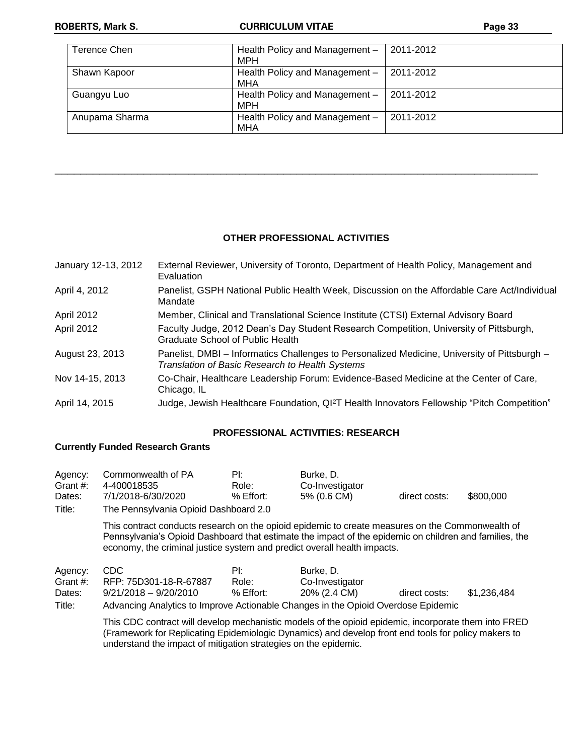| Terence Chen   | Health Policy and Management -<br>MPH | 2011-2012 |
|----------------|---------------------------------------|-----------|
| Shawn Kapoor   | Health Policy and Management -<br>MHA | 2011-2012 |
| Guangyu Luo    | Health Policy and Management -<br>MPH | 2011-2012 |
| Anupama Sharma | Health Policy and Management -<br>MHA | 2011-2012 |

### **OTHER PROFESSIONAL ACTIVITIES**

\_\_\_\_\_\_\_\_\_\_\_\_\_\_\_\_\_\_\_\_\_\_\_\_\_\_\_\_\_\_\_\_\_\_\_\_\_\_\_\_\_\_\_\_\_\_\_\_\_\_\_\_\_\_\_\_\_\_\_\_\_\_\_\_\_\_\_\_\_\_\_\_\_\_\_\_

| January 12-13, 2012 | External Reviewer, University of Toronto, Department of Health Policy, Management and<br>Evaluation                                             |
|---------------------|-------------------------------------------------------------------------------------------------------------------------------------------------|
| April 4, 2012       | Panelist, GSPH National Public Health Week, Discussion on the Affordable Care Act/Individual<br>Mandate                                         |
| April 2012          | Member, Clinical and Translational Science Institute (CTSI) External Advisory Board                                                             |
| April 2012          | Faculty Judge, 2012 Dean's Day Student Research Competition, University of Pittsburgh,<br>Graduate School of Public Health                      |
| August 23, 2013     | Panelist, DMBI - Informatics Challenges to Personalized Medicine, University of Pittsburgh -<br>Translation of Basic Research to Health Systems |
| Nov 14-15, 2013     | Co-Chair, Healthcare Leadership Forum: Evidence-Based Medicine at the Center of Care,<br>Chicago, IL                                            |
| April 14, 2015      | Judge, Jewish Healthcare Foundation, QI <sup>2</sup> T Health Innovators Fellowship "Pitch Competition"                                         |

### **PROFESSIONAL ACTIVITIES: RESEARCH**

## **Currently Funded Research Grants**

| Agency:<br>Grant #:<br>Dates:<br>Title: | Commonwealth of PA<br>4-400018535<br>7/1/2018-6/30/2020<br>The Pennsylvania Opioid Dashboard 2.0                                                                                                                                                                                       | ₽Ŀ<br>Role:<br>$%$ Effort: | Burke, D.<br>Co-Investigator<br>5% (0.6 CM)  | direct costs: | \$800,000   |
|-----------------------------------------|----------------------------------------------------------------------------------------------------------------------------------------------------------------------------------------------------------------------------------------------------------------------------------------|----------------------------|----------------------------------------------|---------------|-------------|
|                                         | This contract conducts research on the opioid epidemic to create measures on the Commonwealth of<br>Pennsylvania's Opioid Dashboard that estimate the impact of the epidemic on children and families, the<br>economy, the criminal justice system and predict overall health impacts. |                            |                                              |               |             |
| Agency:<br>Grant #:<br>Dates:<br>Title: | CDC.<br>RFP: 75D301-18-R-67887<br>$9/21/2018 - 9/20/2010$<br>Advancing Analytics to Improve Actionable Changes in the Opioid Overdose Epidemic                                                                                                                                         | ₽Ŀ<br>Role:<br>$%$ Effort: | Burke. D.<br>Co-Investigator<br>20% (2.4 CM) | direct costs: | \$1,236,484 |

This CDC contract will develop mechanistic models of the opioid epidemic, incorporate them into FRED (Framework for Replicating Epidemiologic Dynamics) and develop front end tools for policy makers to understand the impact of mitigation strategies on the epidemic.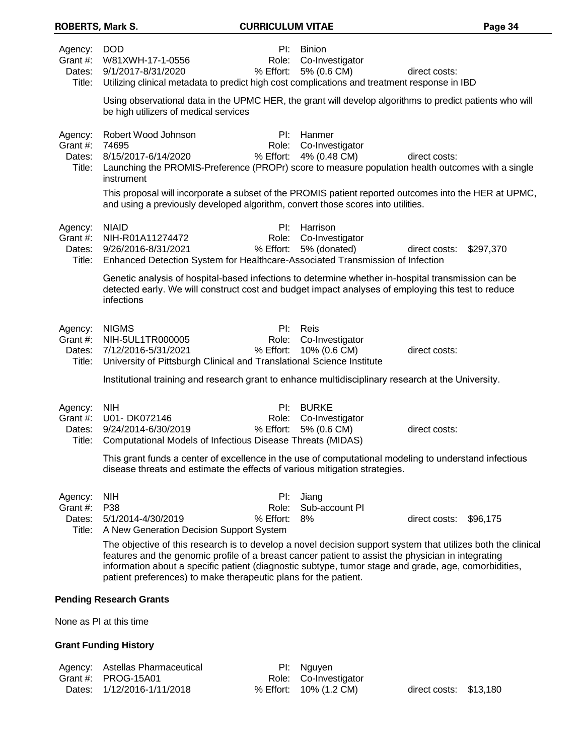| <b>ROBERTS, Mark S.</b>                 |                                                                                                                                                                                                                                                                                                                                                                                               | <b>CURRICULUM VITAE</b>      |                                                 |                        | Page 34   |
|-----------------------------------------|-----------------------------------------------------------------------------------------------------------------------------------------------------------------------------------------------------------------------------------------------------------------------------------------------------------------------------------------------------------------------------------------------|------------------------------|-------------------------------------------------|------------------------|-----------|
| Agency:<br>Grant #:<br>Dates:<br>Title: | <b>DOD</b><br>W81XWH-17-1-0556<br>9/1/2017-8/31/2020<br>Utilizing clinical metadata to predict high cost complications and treatment response in IBD                                                                                                                                                                                                                                          | Pl:<br>Role:<br>% Effort:    | <b>Binion</b><br>Co-Investigator<br>5% (0.6 CM) | direct costs:          |           |
|                                         | Using observational data in the UPMC HER, the grant will develop algorithms to predict patients who will<br>be high utilizers of medical services                                                                                                                                                                                                                                             |                              |                                                 |                        |           |
| Agency:<br>Grant #:<br>Dates:<br>Title: | Robert Wood Johnson<br>74695<br>8/15/2017-6/14/2020<br>Launching the PROMIS-Preference (PROPr) score to measure population health outcomes with a single<br>instrument                                                                                                                                                                                                                        | $PL =$<br>Role:<br>% Effort: | Hanmer<br>Co-Investigator<br>4% (0.48 CM)       | direct costs:          |           |
|                                         | This proposal will incorporate a subset of the PROMIS patient reported outcomes into the HER at UPMC,<br>and using a previously developed algorithm, convert those scores into utilities.                                                                                                                                                                                                     |                              |                                                 |                        |           |
| Agency:<br>Grant #:<br>Dates:<br>Title: | <b>NIAID</b><br>NIH-R01A11274472<br>9/26/2016-8/31/2021<br>Enhanced Detection System for Healthcare-Associated Transmission of Infection                                                                                                                                                                                                                                                      | Pl:<br>Role:<br>% Effort:    | Harrison<br>Co-Investigator<br>5% (donated)     | direct costs:          | \$297,370 |
|                                         | Genetic analysis of hospital-based infections to determine whether in-hospital transmission can be<br>detected early. We will construct cost and budget impact analyses of employing this test to reduce<br>infections                                                                                                                                                                        |                              |                                                 |                        |           |
| Agency:<br>Grant #:<br>Title:           | <b>NIGMS</b><br>NIH-5UL1TR000005<br>Dates: 7/12/2016-5/31/2021<br>University of Pittsburgh Clinical and Translational Science Institute                                                                                                                                                                                                                                                       | PI:<br>Role:<br>% Effort:    | Reis<br>Co-Investigator<br>10% (0.6 CM)         | direct costs:          |           |
|                                         | Institutional training and research grant to enhance multidisciplinary research at the University.                                                                                                                                                                                                                                                                                            |                              |                                                 |                        |           |
| Agency:<br>Grant #:<br>Dates:<br>Title: | <b>NIH</b><br>U01-DK072146<br>9/24/2014-6/30/2019<br>Computational Models of Infectious Disease Threats (MIDAS)                                                                                                                                                                                                                                                                               | PI:<br>Role:<br>% Effort:    | <b>BURKE</b><br>Co-Investigator<br>5% (0.6 CM)  | direct costs:          |           |
|                                         | This grant funds a center of excellence in the use of computational modeling to understand infectious<br>disease threats and estimate the effects of various mitigation strategies.                                                                                                                                                                                                           |                              |                                                 |                        |           |
| Agency:<br>Grant #:<br>Dates:<br>Title: | <b>NIH</b><br>P38<br>5/1/2014-4/30/2019<br>A New Generation Decision Support System                                                                                                                                                                                                                                                                                                           | PI:<br>Role:<br>% Effort:    | Jiang<br>Sub-account PI<br>8%                   | direct costs: \$96,175 |           |
|                                         | The objective of this research is to develop a novel decision support system that utilizes both the clinical<br>features and the genomic profile of a breast cancer patient to assist the physician in integrating<br>information about a specific patient (diagnostic subtype, tumor stage and grade, age, comorbidities,<br>patient preferences) to make therapeutic plans for the patient. |                              |                                                 |                        |           |
|                                         | <b>Pending Research Grants</b>                                                                                                                                                                                                                                                                                                                                                                |                              |                                                 |                        |           |
|                                         | None as PI at this time                                                                                                                                                                                                                                                                                                                                                                       |                              |                                                 |                        |           |

# **Grant Funding History**

| Agency: Astellas Pharmaceutical | PI: Nguyen             |                        |  |
|---------------------------------|------------------------|------------------------|--|
| Grant #: $PROG-15A01$           | Role: Co-Investigator  |                        |  |
| Dates: 1/12/2016-1/11/2018      | % Effort: 10% (1.2 CM) | direct costs: \$13,180 |  |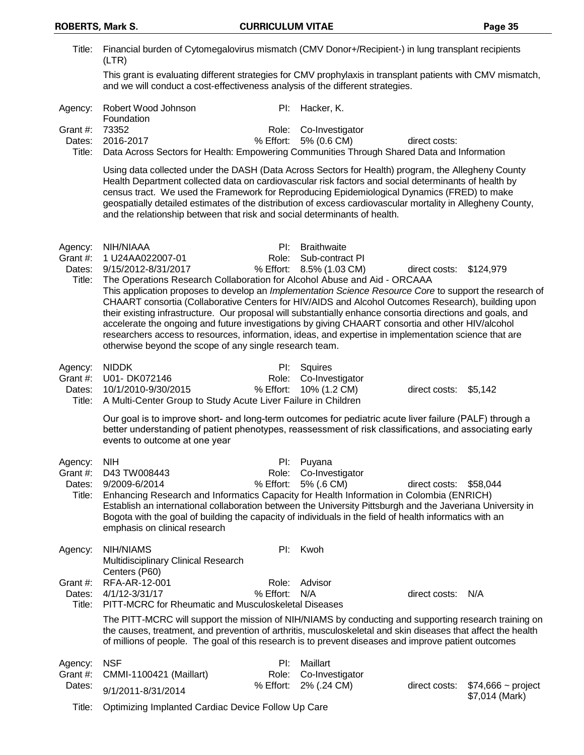**ROBERTS, Mark S. CURRICULUM VITAE Page 35** Title: Financial burden of Cytomegalovirus mismatch (CMV Donor+/Recipient-) in lung transplant recipients (LTR) This grant is evaluating different strategies for CMV prophylaxis in transplant patients with CMV mismatch, and we will conduct a cost-effectiveness analysis of the different strategies. Agency: Robert Wood Johnson **Foundation** PI: Hacker, K. Grant #: 73352 Role: Co-Investigator Dates: 2016-2017 % Effort: 5% (0.6 CM) direct costs: Title: Data Across Sectors for Health: Empowering Communities Through Shared Data and Information Using data collected under the DASH (Data Across Sectors for Health) program, the Allegheny County Health Department collected data on cardiovascular risk factors and social determinants of health by census tract. We used the Framework for Reproducing Epidemiological Dynamics (FRED) to make geospatially detailed estimates of the distribution of excess cardiovascular mortality in Allegheny County, and the relationship between that risk and social determinants of health. Agency: NIH/NIAAA PI: Braithwaite Grant #: 1 U24AA022007-01 Role: Sub-contract PI Dates: 9/15/2012-8/31/2017 % Effort: 8.5% (1.03 CM) direct costs: \$124,979 Title: The Operations Research Collaboration for Alcohol Abuse and Aid - ORCAAA This application proposes to develop an *Implementation Science Resource Core* to support the research of CHAART consortia (Collaborative Centers for HIV/AIDS and Alcohol Outcomes Research), building upon their existing infrastructure. Our proposal will substantially enhance consortia directions and goals, and accelerate the ongoing and future investigations by giving CHAART consortia and other HIV/alcohol researchers access to resources, information, ideas, and expertise in implementation science that are otherwise beyond the scope of any single research team. Agency: NIDDK PI: Squires Grant #: U01- DK072146 Role: Co-Investigator Dates:  $10/1/2010-9/30/2015$  % Effort:  $10% (1.2 \text{ CM})$  direct costs: \$5,142 Title: A Multi-Center Group to Study Acute Liver Failure in Children Our goal is to improve short- and long-term outcomes for pediatric acute liver failure (PALF) through a better understanding of patient phenotypes, reassessment of risk classifications, and associating early events to outcome at one year Agency: NIH PI: Puyana Grant #: D43 TW008443 Role: Co-Investigator Dates: 9/2009-6/2014 % Effort: 5% (.6 CM) direct costs: \$58,044 Title: Enhancing Research and Informatics Capacity for Health Information in Colombia (ENRICH) Establish an international collaboration between the University Pittsburgh and the Javeriana University in Bogota with the goal of building the capacity of individuals in the field of health informatics with an emphasis on clinical research Agency: NIH/NIAMS Multidisciplinary Clinical Research Centers (P60) PI: Kwoh Grant #: RFA-AR-12-001 Role: Advisor Dates: 4/1/12-3/31/17 % Effort: N/A direct costs: N/A Title: PITT-MCRC for Rheumatic and Musculoskeletal Diseases The PITT-MCRC will support the mission of NIH/NIAMS by conducting and supporting research training on the causes, treatment, and prevention of arthritis, musculoskeletal and skin diseases that affect the health of millions of people. The goal of this research is to prevent diseases and improve patient outcomes Agency: NSF PI: Maillart Grant #: CMMI-1100421 (Maillart) Role: Co-Investigator

Dates:  $9/1/2011 - 8/31/2014$  % Effort: 2% (.24 CM) direct costs: \$74,666 ~ project<br>  $3/1/2011 - 8/31/2014$ 

\$7,014 (Mark)

Title: Optimizing Implanted Cardiac Device Follow Up Care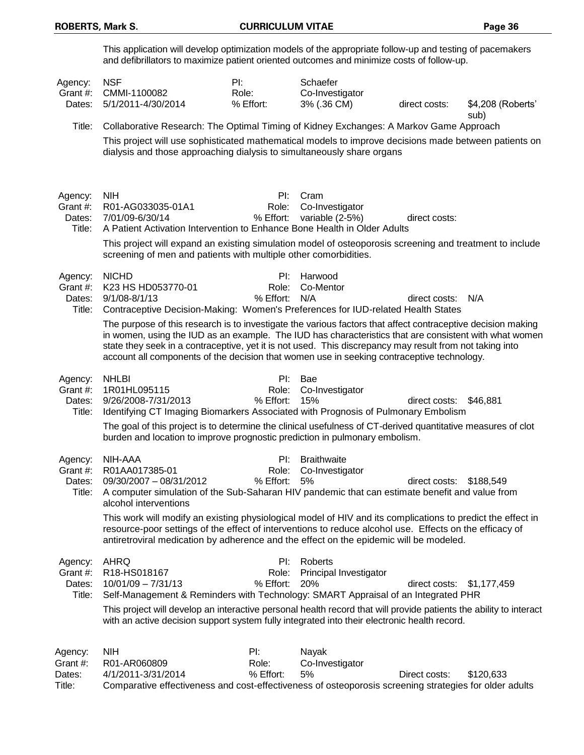|                                         | This application will develop optimization models of the appropriate follow-up and testing of pacemakers<br>and defibrillators to maximize patient oriented outcomes and minimize costs of follow-up.                                                                                                                                                                                                                            |                           |                                             |                         |                   |
|-----------------------------------------|----------------------------------------------------------------------------------------------------------------------------------------------------------------------------------------------------------------------------------------------------------------------------------------------------------------------------------------------------------------------------------------------------------------------------------|---------------------------|---------------------------------------------|-------------------------|-------------------|
| Agency:<br>Grant #:<br>Dates:           | <b>NSF</b><br>CMMI-1100082<br>5/1/2011-4/30/2014                                                                                                                                                                                                                                                                                                                                                                                 | PI:<br>Role:<br>% Effort: | Schaefer<br>Co-Investigator<br>3% (.36 CM)  | direct costs:           | \$4,208 (Roberts' |
| Title:                                  | Collaborative Research: The Optimal Timing of Kidney Exchanges: A Markov Game Approach                                                                                                                                                                                                                                                                                                                                           |                           |                                             |                         | sub)              |
|                                         | This project will use sophisticated mathematical models to improve decisions made between patients on<br>dialysis and those approaching dialysis to simultaneously share organs                                                                                                                                                                                                                                                  |                           |                                             |                         |                   |
| Agency:<br>Grant #:<br>Dates:<br>Title: | <b>NIH</b><br>R01-AG033035-01A1<br>7/01/09-6/30/14<br>A Patient Activation Intervention to Enhance Bone Health in Older Adults                                                                                                                                                                                                                                                                                                   | Pl:<br>Role:<br>% Effort: | Cram<br>Co-Investigator<br>variable (2-5%)  | direct costs:           |                   |
|                                         | This project will expand an existing simulation model of osteoporosis screening and treatment to include<br>screening of men and patients with multiple other comorbidities.                                                                                                                                                                                                                                                     |                           |                                             |                         |                   |
| Agency:<br>Grant #:<br>Dates:<br>Title: | <b>NICHD</b><br>K23 HS HD053770-01<br>$9/1/08 - 8/1/13$<br>Contraceptive Decision-Making: Women's Preferences for IUD-related Health States                                                                                                                                                                                                                                                                                      | PI:<br>Role:<br>% Effort: | Harwood<br>Co-Mentor<br>N/A                 | direct costs:           | N/A               |
|                                         | The purpose of this research is to investigate the various factors that affect contraceptive decision making<br>in women, using the IUD as an example. The IUD has characteristics that are consistent with what women<br>state they seek in a contraceptive, yet it is not used. This discrepancy may result from not taking into<br>account all components of the decision that women use in seeking contraceptive technology. |                           |                                             |                         |                   |
| Agency:<br>Grant #:<br>Dates:<br>Title: | <b>NHLBI</b><br>1R01HL095115<br>9/26/2008-7/31/2013<br>Identifying CT Imaging Biomarkers Associated with Prognosis of Pulmonary Embolism                                                                                                                                                                                                                                                                                         | Pl:<br>Role:<br>% Effort: | Bae<br>Co-Investigator<br>15%               | direct costs:           | \$46,881          |
|                                         | The goal of this project is to determine the clinical usefulness of CT-derived quantitative measures of clot<br>burden and location to improve prognostic prediction in pulmonary embolism.                                                                                                                                                                                                                                      |                           |                                             |                         |                   |
| Agency:<br>Grant #:<br>Dates:<br>Title: | NIH-AAA<br>R01AA017385-01<br>09/30/2007 - 08/31/2012<br>A computer simulation of the Sub-Saharan HIV pandemic that can estimate benefit and value from<br>alcohol interventions                                                                                                                                                                                                                                                  | Pl:<br>Role:<br>% Effort: | <b>Braithwaite</b><br>Co-Investigator<br>5% | direct costs: \$188,549 |                   |
|                                         | This work will modify an existing physiological model of HIV and its complications to predict the effect in<br>resource-poor settings of the effect of interventions to reduce alcohol use. Effects on the efficacy of<br>antiretroviral medication by adherence and the effect on the epidemic will be modeled.                                                                                                                 |                           |                                             |                         |                   |
| Agency:<br>Grant #:<br>Dates:<br>Title: | <b>AHRQ</b><br>R18-HS018167<br>$10/01/09 - 7/31/13$<br>Self-Management & Reminders with Technology: SMART Appraisal of an Integrated PHR                                                                                                                                                                                                                                                                                         | Pl:<br>Role:<br>% Effort: | Roberts<br>Principal Investigator<br>20%    | direct costs:           | \$1,177,459       |
|                                         | This project will develop an interactive personal health record that will provide patients the ability to interact<br>with an active decision support system fully integrated into their electronic health record.                                                                                                                                                                                                               |                           |                                             |                         |                   |
| Agency:<br>Grant #:<br>Dates:           | <b>NIH</b><br>R01-AR060809<br>4/1/2011-3/31/2014                                                                                                                                                                                                                                                                                                                                                                                 | PI:<br>Role:<br>% Effort: | Nayak<br>Co-Investigator<br>5%              | Direct costs:           | \$120,633         |

Title: Comparative effectiveness and cost-effectiveness of osteoporosis screening strategies for older adults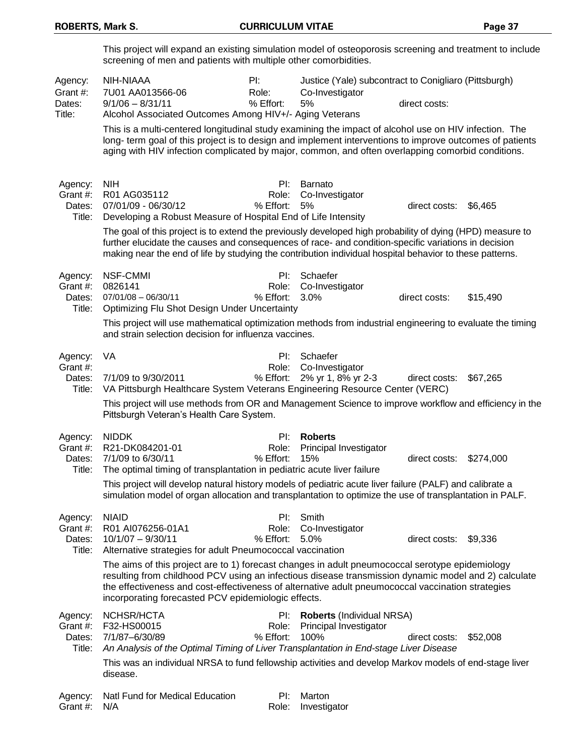|                                         | This project will expand an existing simulation model of osteoporosis screening and treatment to include<br>screening of men and patients with multiple other comorbidities.                                                                                                                                                                                        |                           |                                                                                |                       |           |  |  |
|-----------------------------------------|---------------------------------------------------------------------------------------------------------------------------------------------------------------------------------------------------------------------------------------------------------------------------------------------------------------------------------------------------------------------|---------------------------|--------------------------------------------------------------------------------|-----------------------|-----------|--|--|
| Agency:<br>Grant #:<br>Dates:<br>Title: | NIH-NIAAA<br>7U01 AA013566-06<br>$9/1/06 - 8/31/11$<br>Alcohol Associated Outcomes Among HIV+/- Aging Veterans                                                                                                                                                                                                                                                      | PI:<br>Role:<br>% Effort: | Justice (Yale) subcontract to Conigliaro (Pittsburgh)<br>Co-Investigator<br>5% | direct costs:         |           |  |  |
|                                         | This is a multi-centered longitudinal study examining the impact of alcohol use on HIV infection. The<br>long- term goal of this project is to design and implement interventions to improve outcomes of patients<br>aging with HIV infection complicated by major, common, and often overlapping comorbid conditions.                                              |                           |                                                                                |                       |           |  |  |
| Agency:<br>Grant #:<br>Dates:<br>Title: | <b>NIH</b><br>R01 AG035112<br>07/01/09 - 06/30/12<br>Developing a Robust Measure of Hospital End of Life Intensity                                                                                                                                                                                                                                                  | Pl:<br>Role:<br>% Effort: | Barnato<br>Co-Investigator<br>5%                                               | direct costs:         | \$6,465   |  |  |
|                                         | The goal of this project is to extend the previously developed high probability of dying (HPD) measure to<br>further elucidate the causes and consequences of race- and condition-specific variations in decision<br>making near the end of life by studying the contribution individual hospital behavior to these patterns.                                       |                           |                                                                                |                       |           |  |  |
| Agency:<br>Grant #:<br>Dates:<br>Title: | <b>NSF-CMMI</b><br>0826141<br>$07/01/08 - 06/30/11$<br>Optimizing Flu Shot Design Under Uncertainty                                                                                                                                                                                                                                                                 | PI:<br>Role:<br>% Effort: | Schaefer<br>Co-Investigator<br>3.0%                                            | direct costs:         | \$15,490  |  |  |
|                                         | This project will use mathematical optimization methods from industrial engineering to evaluate the timing<br>and strain selection decision for influenza vaccines.                                                                                                                                                                                                 |                           |                                                                                |                       |           |  |  |
| Agency:<br>Grant #:<br>Dates:<br>Title: | VA<br>7/1/09 to 9/30/2011<br>VA Pittsburgh Healthcare System Veterans Engineering Resource Center (VERC)                                                                                                                                                                                                                                                            | PI:<br>Role:<br>% Effort: | Schaefer<br>Co-Investigator<br>2% yr 1, 8% yr 2-3                              | direct costs:         | \$67,265  |  |  |
|                                         | This project will use methods from OR and Management Science to improve workflow and efficiency in the<br>Pittsburgh Veteran's Health Care System.                                                                                                                                                                                                                  |                           |                                                                                |                       |           |  |  |
| Agency:<br>Grant #:<br>Dates:<br>Title: | <b>NIDDK</b><br>R21-DK084201-01<br>7/1/09 to 6/30/11<br>The optimal timing of transplantation in pediatric acute liver failure                                                                                                                                                                                                                                      | PI:<br>Role:<br>% Effort: | <b>Roberts</b><br>Principal Investigator<br>15%                                | direct costs:         | \$274,000 |  |  |
|                                         | This project will develop natural history models of pediatric acute liver failure (PALF) and calibrate a<br>simulation model of organ allocation and transplantation to optimize the use of transplantation in PALF.                                                                                                                                                |                           |                                                                                |                       |           |  |  |
| Agency:<br>Grant #:<br>Dates:<br>Title: | <b>NIAID</b><br>R01 AI076256-01A1<br>$10/1/07 - 9/30/11$<br>Alternative strategies for adult Pneumococcal vaccination                                                                                                                                                                                                                                               | Pl:<br>Role:<br>% Effort: | Smith<br>Co-Investigator<br>5.0%                                               | direct costs: \$9,336 |           |  |  |
|                                         | The aims of this project are to 1) forecast changes in adult pneumococcal serotype epidemiology<br>resulting from childhood PCV using an infectious disease transmission dynamic model and 2) calculate<br>the effectiveness and cost-effectiveness of alternative adult pneumococcal vaccination strategies<br>incorporating forecasted PCV epidemiologic effects. |                           |                                                                                |                       |           |  |  |
| Agency:<br>Grant #:<br>Dates:<br>Title: | NCHSR/HCTA<br>F32-HS00015<br>7/1/87-6/30/89<br>An Analysis of the Optimal Timing of Liver Transplantation in End-stage Liver Disease                                                                                                                                                                                                                                | PI:<br>Role:<br>% Effort: | <b>Roberts (Individual NRSA)</b><br>Principal Investigator<br>100%             | direct costs:         | \$52,008  |  |  |
|                                         | This was an individual NRSA to fund fellowship activities and develop Markov models of end-stage liver<br>disease.                                                                                                                                                                                                                                                  |                           |                                                                                |                       |           |  |  |
| Agency:<br>Grant #:                     | Natl Fund for Medical Education<br>N/A                                                                                                                                                                                                                                                                                                                              | PI:<br>Role:              | Marton<br>Investigator                                                         |                       |           |  |  |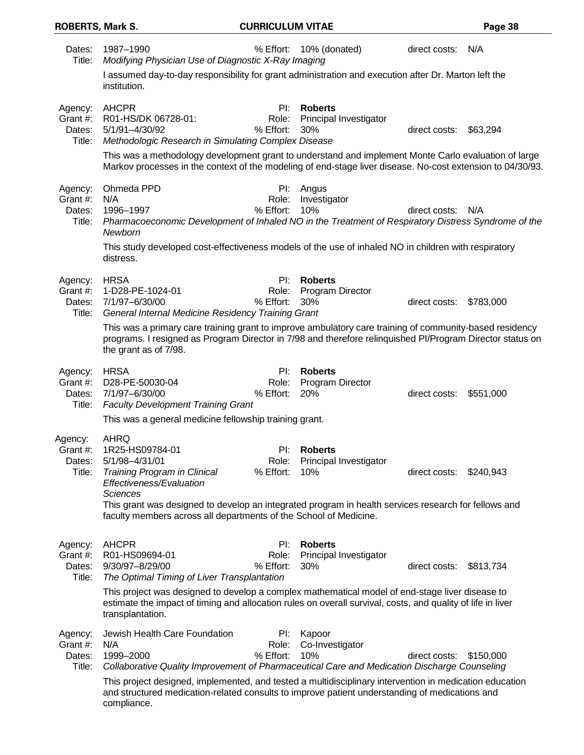| Dates:<br>Title:                        | 1987-1990<br>Modifying Physician Use of Diagnostic X-Ray Imaging                                                                                                                                                                                                                                                                   | % Effort:                 | 10% (donated)                                    | direct costs: N/A |           |
|-----------------------------------------|------------------------------------------------------------------------------------------------------------------------------------------------------------------------------------------------------------------------------------------------------------------------------------------------------------------------------------|---------------------------|--------------------------------------------------|-------------------|-----------|
|                                         | I assumed day-to-day responsibility for grant administration and execution after Dr. Marton left the<br>institution.                                                                                                                                                                                                               |                           |                                                  |                   |           |
| Agency:<br>Grant #:<br>Dates:<br>Title: | <b>AHCPR</b><br>R01-HS/DK 06728-01:<br>5/1/91-4/30/92<br>Methodologic Research in Simulating Complex Disease<br>This was a methodology development grant to understand and implement Monte Carlo evaluation of large<br>Markov processes in the context of the modeling of end-stage liver disease. No-cost extension to 04/30/93. | Pl:<br>Role:<br>% Effort: | <b>Roberts</b><br>Principal Investigator<br>30%  | direct costs:     | \$63,294  |
| Agency:<br>Grant #:<br>Dates:<br>Title: | Ohmeda PPD<br>N/A<br>1996-1997<br>Pharmacoeconomic Development of Inhaled NO in the Treatment of Respiratory Distress Syndrome of the<br>Newborn<br>This study developed cost-effectiveness models of the use of inhaled NO in children with respiratory                                                                           | PI:<br>Role:<br>% Effort: | Angus<br>Investigator<br>10%                     | direct costs:     | N/A       |
|                                         | distress.                                                                                                                                                                                                                                                                                                                          |                           |                                                  |                   |           |
| Agency:<br>Grant #:<br>Dates:<br>Title: | <b>HRSA</b><br>1-D28-PE-1024-01<br>7/1/97-6/30/00<br><b>General Internal Medicine Residency Training Grant</b>                                                                                                                                                                                                                     | PI:<br>Role:<br>% Effort: | <b>Roberts</b><br>Program Director<br>30%        | direct costs:     | \$783,000 |
|                                         | This was a primary care training grant to improve ambulatory care training of community-based residency<br>programs. I resigned as Program Director in 7/98 and therefore relinquished PI/Program Director status on<br>the grant as of 7/98.                                                                                      |                           |                                                  |                   |           |
| Agency:<br>Grant #:<br>Dates:<br>Title: | <b>HRSA</b><br>D28-PE-50030-04<br>7/1/97-6/30/00<br><b>Faculty Development Training Grant</b>                                                                                                                                                                                                                                      | PI:<br>Role:<br>% Effort: | <b>Roberts</b><br><b>Program Director</b><br>20% | direct costs:     | \$551,000 |
|                                         | This was a general medicine fellowship training grant.                                                                                                                                                                                                                                                                             |                           |                                                  |                   |           |
| Agency:<br>Grant #:<br>Dates:<br>Title: | AHRQ<br>1R25-HS09784-01<br>5/1/98-4/31/01<br>Training Program in Clinical<br>Effectiveness/Evaluation<br><b>Sciences</b><br>This grant was designed to develop an integrated program in health services research for fellows and<br>faculty members across all departments of the School of Medicine.                              | Pl:<br>Role:<br>% Effort: | <b>Roberts</b><br>Principal Investigator<br>10%  | direct costs:     | \$240,943 |
| Agency:<br>Grant #:<br>Dates:<br>Title: | <b>AHCPR</b><br>R01-HS09694-01<br>9/30/97-8/29/00<br>The Optimal Timing of Liver Transplantation                                                                                                                                                                                                                                   | PI:<br>Role:<br>% Effort: | <b>Roberts</b><br>Principal Investigator<br>30%  | direct costs:     | \$813,734 |
|                                         | This project was designed to develop a complex mathematical model of end-stage liver disease to<br>estimate the impact of timing and allocation rules on overall survival, costs, and quality of life in liver<br>transplantation.                                                                                                 |                           |                                                  |                   |           |
| Agency:<br>Grant #:<br>Dates:<br>Title: | Jewish Health Care Foundation<br>N/A<br>1999-2000<br>Collaborative Quality Improvement of Pharmaceutical Care and Medication Discharge Counseling                                                                                                                                                                                  | PI:<br>Role:<br>% Effort: | Kapoor<br>Co-Investigator<br>10%                 | direct costs:     | \$150,000 |
|                                         | This project designed, implemented, and tested a multidisciplinary intervention in medication education<br>and structured medication-related consults to improve patient understanding of medications and<br>compliance.                                                                                                           |                           |                                                  |                   |           |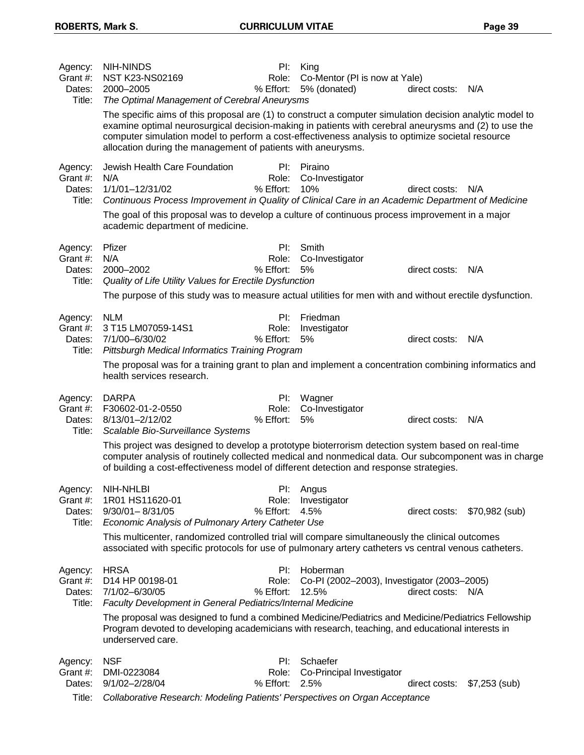| Agency:<br>Grant #:<br>Dates:<br>Title: | <b>NIH-NINDS</b><br>NST K23-NS02169<br>2000-2005<br>The Optimal Management of Cerebral Aneurysms                                                                                                                                                                                                                                                                                     | PI:<br>Role:<br>% Effort: | King<br>Co-Mentor (PI is now at Yale)<br>5% (donated)            | direct costs: N/A |                |
|-----------------------------------------|--------------------------------------------------------------------------------------------------------------------------------------------------------------------------------------------------------------------------------------------------------------------------------------------------------------------------------------------------------------------------------------|---------------------------|------------------------------------------------------------------|-------------------|----------------|
|                                         | The specific aims of this proposal are (1) to construct a computer simulation decision analytic model to<br>examine optimal neurosurgical decision-making in patients with cerebral aneurysms and (2) to use the<br>computer simulation model to perform a cost-effectiveness analysis to optimize societal resource<br>allocation during the management of patients with aneurysms. |                           |                                                                  |                   |                |
| Agency:<br>Grant #:<br>Dates:<br>Title: | Jewish Health Care Foundation<br>N/A<br>1/1/01-12/31/02<br>Continuous Process Improvement in Quality of Clinical Care in an Academic Department of Medicine<br>The goal of this proposal was to develop a culture of continuous process improvement in a major                                                                                                                       | PI:<br>Role:<br>% Effort: | Piraino<br>Co-Investigator<br>10%                                | direct costs:     | N/A            |
|                                         | academic department of medicine.                                                                                                                                                                                                                                                                                                                                                     |                           |                                                                  |                   |                |
| Agency:<br>Grant #:<br>Dates:<br>Title: | Pfizer<br>N/A<br>2000-2002<br>Quality of Life Utility Values for Erectile Dysfunction                                                                                                                                                                                                                                                                                                | PI:<br>Role:<br>% Effort: | Smith<br>Co-Investigator<br>5%                                   | direct costs: N/A |                |
|                                         | The purpose of this study was to measure actual utilities for men with and without erectile dysfunction.                                                                                                                                                                                                                                                                             |                           |                                                                  |                   |                |
| Agency:<br>Grant #:<br>Dates:<br>Title: | <b>NLM</b><br>3 T15 LM07059-14S1<br>7/1/00-6/30/02<br>Pittsburgh Medical Informatics Training Program                                                                                                                                                                                                                                                                                | Pl:<br>Role:<br>% Effort: | Friedman<br>Investigator<br>5%                                   | direct costs:     | N/A            |
|                                         | The proposal was for a training grant to plan and implement a concentration combining informatics and<br>health services research.                                                                                                                                                                                                                                                   |                           |                                                                  |                   |                |
| Agency:<br>Grant #:<br>Dates:<br>Title: | <b>DARPA</b><br>F30602-01-2-0550<br>8/13/01-2/12/02<br>Scalable Bio-Surveillance Systems                                                                                                                                                                                                                                                                                             | Pl:<br>Role:<br>% Effort: | Wagner<br>Co-Investigator<br>5%                                  | direct costs: N/A |                |
|                                         | This project was designed to develop a prototype bioterrorism detection system based on real-time<br>computer analysis of routinely collected medical and nonmedical data. Our subcomponent was in charge<br>of building a cost-effectiveness model of different detection and response strategies.                                                                                  |                           |                                                                  |                   |                |
| Agency:<br>Grant #:<br>Dates:<br>Title: | NIH-NHLBI<br>1R01 HS11620-01<br>$9/30/01 - 8/31/05$<br>Economic Analysis of Pulmonary Artery Catheter Use                                                                                                                                                                                                                                                                            | Role:<br>% Effort:        | PI: Angus<br>Investigator<br>4.5%                                | direct costs:     | \$70,982 (sub) |
|                                         | This multicenter, randomized controlled trial will compare simultaneously the clinical outcomes<br>associated with specific protocols for use of pulmonary artery catheters vs central venous catheters.                                                                                                                                                                             |                           |                                                                  |                   |                |
| Agency:<br>Grant #:<br>Dates:<br>Title: | <b>HRSA</b><br>D14 HP 00198-01<br>7/1/02-6/30/05<br>Faculty Development in General Pediatrics/Internal Medicine                                                                                                                                                                                                                                                                      | PI:<br>Role:<br>% Effort: | Hoberman<br>Co-PI (2002-2003), Investigator (2003-2005)<br>12.5% | direct costs:     | N/A            |
|                                         | The proposal was designed to fund a combined Medicine/Pediatrics and Medicine/Pediatrics Fellowship<br>Program devoted to developing academicians with research, teaching, and educational interests in<br>underserved care.                                                                                                                                                         |                           |                                                                  |                   |                |
| Agency:<br>Grant #:<br>Dates:<br>Title: | <b>NSF</b><br>DMI-0223084<br>9/1/02-2/28/04<br>Collaborative Research: Modeling Patients' Perspectives on Organ Acceptance                                                                                                                                                                                                                                                           | PI:<br>Role:<br>% Effort: | Schaefer<br>Co-Principal Investigator<br>2.5%                    | direct costs:     | $$7,253$ (sub) |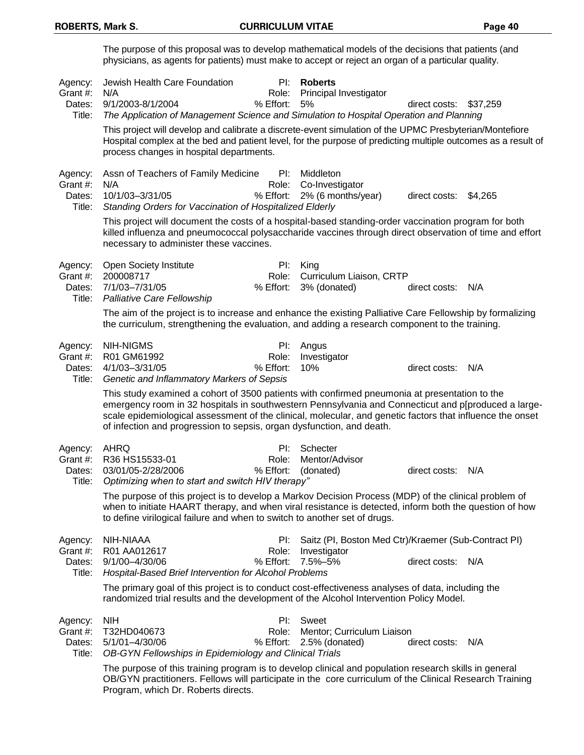The purpose of this proposal was to develop mathematical models of the decisions that patients (and physicians, as agents for patients) must make to accept or reject an organ of a particular quality. Agency: Jewish Health Care Foundation PI: **Roberts** Grant #: N/A **Role: Principal Investigator** Role: Principal Investigator Dates: 9/1/2003-8/1/2004 % Effort: 5% direct costs: \$37,259 Title: *The Application of Management Science and Simulation to Hospital Operation and Planning* This project will develop and calibrate a discrete-event simulation of the UPMC Presbyterian/Montefiore Hospital complex at the bed and patient level, for the purpose of predicting multiple outcomes as a result of process changes in hospital departments. Agency: Assn of Teachers of Family Medicine PI: Middleton Grant #: N/A **Role: Co-Investigator** Role: Co-Investigator Dates: 10/1/03–3/31/05 % Effort: 2% (6 months/year) direct costs: \$4,265 Title: *Standing Orders for Vaccination of Hospitalized Elderly* This project will document the costs of a hospital-based standing-order vaccination program for both killed influenza and pneumococcal polysaccharide vaccines through direct observation of time and effort necessary to administer these vaccines. Agency: Open Society Institute **PI:** King Grant #: 200008717 Role: Curriculum Liaison, CRTP Dates: 7/1/03–7/31/05 % Effort: 3% (donated) direct costs: N/A Title: *Palliative Care Fellowship* The aim of the project is to increase and enhance the existing Palliative Care Fellowship by formalizing the curriculum, strengthening the evaluation, and adding a research component to the training. Agency: NIH-NIGMS **PI: Angus** Grant #: R01 GM61992 Role: Investigator Dates: 4/1/03–3/31/05 % Effort: 10% direct costs: N/A Title: *Genetic and Inflammatory Markers of Sepsis* This study examined a cohort of 3500 patients with confirmed pneumonia at presentation to the emergency room in 32 hospitals in southwestern Pennsylvania and Connecticut and p[produced a largescale epidemiological assessment of the clinical, molecular, and genetic factors that influence the onset of infection and progression to sepsis, organ dysfunction, and death. Agency: AHRQ PI: Schecter Grant #: R36 HS15533-01 Role: Mentor/Advisor Dates: 03/01/05-2/28/2006 % Effort: (donated) direct costs: N/A Title: *Optimizing when to start and switch HIV therapy"* The purpose of this project is to develop a Markov Decision Process (MDP) of the clinical problem of when to initiate HAART therapy, and when viral resistance is detected, inform both the question of how to define virilogical failure and when to switch to another set of drugs. Agency: NIH-NIAAA **PI:** Saitz (PI, Boston Med Ctr)/Kraemer (Sub-Contract PI) Grant #: R01 AA012617 Role: Investigator Dates: 9/1/00–4/30/06 % Effort: 7.5%–5% direct costs: N/A Title: *Hospital-Based Brief Intervention for Alcohol Problems* The primary goal of this project is to conduct cost-effectiveness analyses of data, including the randomized trial results and the development of the Alcohol Intervention Policy Model. Agency: NIH PI: Sweet Grant #: T32HD040673 Role: Mentor; Curriculum Liaison Dates: 5/1/01–4/30/06 % Effort: 2.5% (donated) direct costs: N/A Title: *OB-GYN Fellowships in Epidemiology and Clinical Trials* The purpose of this training program is to develop clinical and population research skills in general OB/GYN practitioners. Fellows will participate in the core curriculum of the Clinical Research Training

Program, which Dr. Roberts directs.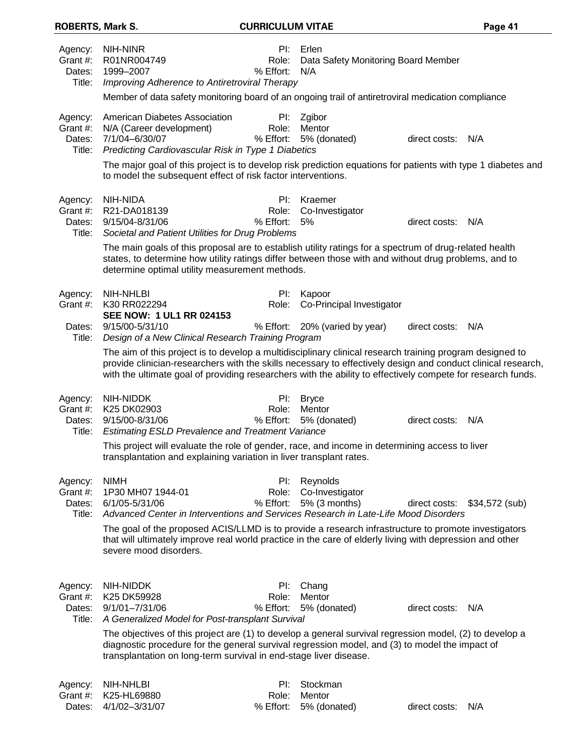| <b>ROBERTS, Mark S.</b>                 |                                                                                                                                                                                                                                                                                                                                         | <b>CURRICULUM VITAE</b>   |                                                     |                   | Page 41                      |
|-----------------------------------------|-----------------------------------------------------------------------------------------------------------------------------------------------------------------------------------------------------------------------------------------------------------------------------------------------------------------------------------------|---------------------------|-----------------------------------------------------|-------------------|------------------------------|
| Agency:<br>Grant #:<br>Dates:<br>Title: | NIH-NINR<br>R01NR004749<br>1999-2007<br>Improving Adherence to Antiretroviral Therapy                                                                                                                                                                                                                                                   | PI:<br>Role:<br>% Effort: | Erlen<br>Data Safety Monitoring Board Member<br>N/A |                   |                              |
|                                         | Member of data safety monitoring board of an ongoing trail of antiretroviral medication compliance                                                                                                                                                                                                                                      |                           |                                                     |                   |                              |
| Agency:<br>Grant #:<br>Dates:<br>Title: | American Diabetes Association<br>N/A (Career development)<br>7/1/04-6/30/07<br>Predicting Cardiovascular Risk in Type 1 Diabetics                                                                                                                                                                                                       | PI:<br>Role:<br>% Effort: | Zgibor<br>Mentor<br>5% (donated)                    | direct costs:     | N/A                          |
|                                         | The major goal of this project is to develop risk prediction equations for patients with type 1 diabetes and<br>to model the subsequent effect of risk factor interventions.                                                                                                                                                            |                           |                                                     |                   |                              |
| Agency:<br>Grant #:<br>Dates:<br>Title: | NIH-NIDA<br>R21-DA018139<br>9/15/04-8/31/06<br>Societal and Patient Utilities for Drug Problems                                                                                                                                                                                                                                         | PI:<br>Role:<br>% Effort: | Kraemer<br>Co-Investigator<br>5%                    | direct costs:     | N/A                          |
|                                         | The main goals of this proposal are to establish utility ratings for a spectrum of drug-related health<br>states, to determine how utility ratings differ between those with and without drug problems, and to<br>determine optimal utility measurement methods.                                                                        |                           |                                                     |                   |                              |
| Agency:<br>Grant #:                     | NIH-NHLBI<br>K30 RR022294<br>SEE NOW: 1 UL1 RR 024153                                                                                                                                                                                                                                                                                   | PI:<br>Role:              | Kapoor<br>Co-Principal Investigator                 |                   |                              |
| Dates:<br>Title:                        | 9/15/00-5/31/10<br>Design of a New Clinical Research Training Program                                                                                                                                                                                                                                                                   | % Effort:                 | 20% (varied by year)                                | direct costs: N/A |                              |
|                                         | The aim of this project is to develop a multidisciplinary clinical research training program designed to<br>provide clinician-researchers with the skills necessary to effectively design and conduct clinical research,<br>with the ultimate goal of providing researchers with the ability to effectively compete for research funds. |                           |                                                     |                   |                              |
| Agency:<br>Grant #:<br>Dates:           | NIH-NIDDK<br>K25 DK02903<br>9/15/00-8/31/06                                                                                                                                                                                                                                                                                             | PI:<br>Role:<br>% Effort: | <b>Bryce</b><br>Mentor<br>5% (donated)              | direct costs:     | N/A                          |
| Title:                                  | <b>Estimating ESLD Prevalence and Treatment Variance</b><br>This project will evaluate the role of gender, race, and income in determining access to liver<br>transplantation and explaining variation in liver transplant rates.                                                                                                       |                           |                                                     |                   |                              |
| Agency:<br>Grant #:<br>Dates:<br>Title: | <b>NIMH</b><br>1P30 MH07 1944-01<br>6/1/05-5/31/06<br>Advanced Center in Interventions and Services Research in Late-Life Mood Disorders                                                                                                                                                                                                | PI:<br>Role:<br>% Effort: | Reynolds<br>Co-Investigator<br>5% (3 months)        |                   | direct costs: \$34,572 (sub) |
|                                         | The goal of the proposed ACIS/LLMD is to provide a research infrastructure to promote investigators<br>that will ultimately improve real world practice in the care of elderly living with depression and other<br>severe mood disorders.                                                                                               |                           |                                                     |                   |                              |
| Agency:<br>Grant #:<br>Dates:           | NIH-NIDDK<br>K25 DK59928<br>$9/1/01 - 7/31/06$                                                                                                                                                                                                                                                                                          | PI:<br>Role:<br>% Effort: | Chang<br>Mentor<br>5% (donated)                     | direct costs: N/A |                              |
| Title:                                  | A Generalized Model for Post-transplant Survival                                                                                                                                                                                                                                                                                        |                           |                                                     |                   |                              |
|                                         | The objectives of this project are (1) to develop a general survival regression model, (2) to develop a<br>diagnostic procedure for the general survival regression model, and (3) to model the impact of<br>transplantation on long-term survival in end-stage liver disease.                                                          |                           |                                                     |                   |                              |
| Agency:                                 | <b>NIH-NHLBI</b>                                                                                                                                                                                                                                                                                                                        | Pl:                       | Stockman                                            |                   |                              |
| Grant #:<br>Dates:                      | K25-HL69880<br>4/1/02-3/31/07                                                                                                                                                                                                                                                                                                           | Role:<br>% Effort:        | Mentor<br>5% (donated)                              | direct costs:     | N/A                          |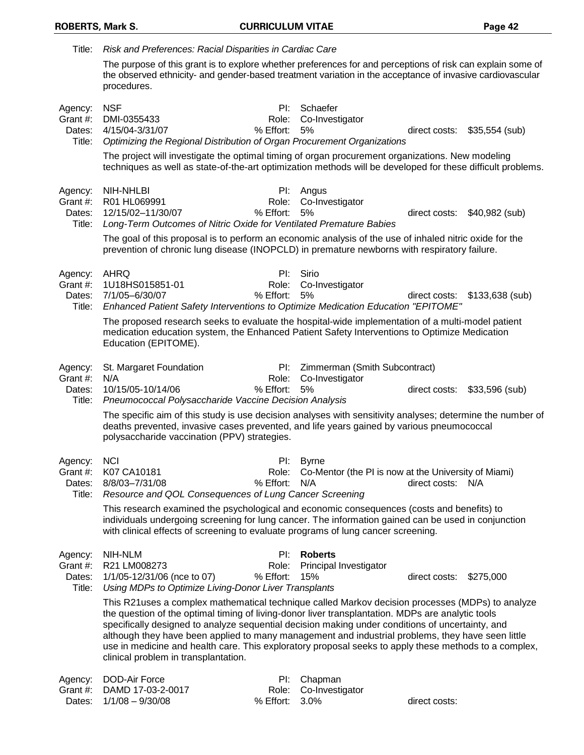| Title:                                  | Risk and Preferences: Racial Disparities in Cardiac Care                                                                                                                                                                                                                                                                                                                                                                                                                                                                                                        |                           |                                                                             |                   |                  |
|-----------------------------------------|-----------------------------------------------------------------------------------------------------------------------------------------------------------------------------------------------------------------------------------------------------------------------------------------------------------------------------------------------------------------------------------------------------------------------------------------------------------------------------------------------------------------------------------------------------------------|---------------------------|-----------------------------------------------------------------------------|-------------------|------------------|
|                                         | The purpose of this grant is to explore whether preferences for and perceptions of risk can explain some of<br>the observed ethnicity- and gender-based treatment variation in the acceptance of invasive cardiovascular<br>procedures.                                                                                                                                                                                                                                                                                                                         |                           |                                                                             |                   |                  |
| Agency:<br>Grant #:<br>Dates:<br>Title: | <b>NSF</b><br>DMI-0355433<br>4/15/04-3/31/07<br>Optimizing the Regional Distribution of Organ Procurement Organizations                                                                                                                                                                                                                                                                                                                                                                                                                                         | PI:<br>Role:<br>% Effort: | Schaefer<br>Co-Investigator<br>5%                                           | direct costs:     | $$35,554$ (sub)  |
|                                         | The project will investigate the optimal timing of organ procurement organizations. New modeling<br>techniques as well as state-of-the-art optimization methods will be developed for these difficult problems.                                                                                                                                                                                                                                                                                                                                                 |                           |                                                                             |                   |                  |
| Agency:<br>Grant #:<br>Dates:<br>Title: | <b>NIH-NHLBI</b><br>R01 HL069991<br>12/15/02-11/30/07<br>Long-Term Outcomes of Nitric Oxide for Ventilated Premature Babies<br>The goal of this proposal is to perform an economic analysis of the use of inhaled nitric oxide for the                                                                                                                                                                                                                                                                                                                          | PI:<br>Role:<br>% Effort: | Angus<br>Co-Investigator<br>5%                                              | direct costs:     | \$40,982 (sub)   |
|                                         | prevention of chronic lung disease (INOPCLD) in premature newborns with respiratory failure.                                                                                                                                                                                                                                                                                                                                                                                                                                                                    |                           |                                                                             |                   |                  |
| Agency:<br>Grant #:<br>Dates:<br>Title: | <b>AHRQ</b><br>1U18HS015851-01<br>7/1/05-6/30/07<br>Enhanced Patient Safety Interventions to Optimize Medication Education "EPITOME"                                                                                                                                                                                                                                                                                                                                                                                                                            | PI:<br>Role:<br>% Effort: | Sirio<br>Co-Investigator<br>5%                                              | direct costs:     | $$133,638$ (sub) |
|                                         | The proposed research seeks to evaluate the hospital-wide implementation of a multi-model patient<br>medication education system, the Enhanced Patient Safety Interventions to Optimize Medication<br>Education (EPITOME).                                                                                                                                                                                                                                                                                                                                      |                           |                                                                             |                   |                  |
| Agency:<br>Grant #:<br>Dates:<br>Title: | St. Margaret Foundation<br>N/A<br>10/15/05-10/14/06<br>Pneumococcal Polysaccharide Vaccine Decision Analysis                                                                                                                                                                                                                                                                                                                                                                                                                                                    | PI:<br>Role:<br>% Effort: | Zimmerman (Smith Subcontract)<br>Co-Investigator<br>5%                      | direct costs:     | \$33,596 (sub)   |
|                                         | The specific aim of this study is use decision analyses with sensitivity analyses; determine the number of<br>deaths prevented, invasive cases prevented, and life years gained by various pneumococcal<br>polysaccharide vaccination (PPV) strategies.                                                                                                                                                                                                                                                                                                         |                           |                                                                             |                   |                  |
| Agency:<br>Grant #:<br>Dates:<br>Title: | <b>NCI</b><br>K07 CA10181<br>8/8/03-7/31/08<br>Resource and QOL Consequences of Lung Cancer Screening                                                                                                                                                                                                                                                                                                                                                                                                                                                           | PI:<br>Role:<br>% Effort: | <b>Byrne</b><br>Co-Mentor (the PI is now at the University of Miami)<br>N/A | direct costs: N/A |                  |
|                                         | This research examined the psychological and economic consequences (costs and benefits) to<br>individuals undergoing screening for lung cancer. The information gained can be used in conjunction<br>with clinical effects of screening to evaluate programs of lung cancer screening.                                                                                                                                                                                                                                                                          |                           |                                                                             |                   |                  |
| Agency:<br>Grant #:<br>Dates:<br>Title: | NIH-NLM<br>R21 LM008273<br>1/1/05-12/31/06 (nce to 07)<br>Using MDPs to Optimize Living-Donor Liver Transplants                                                                                                                                                                                                                                                                                                                                                                                                                                                 | Pl:<br>Role:<br>% Effort: | <b>Roberts</b><br>Principal Investigator<br>15%                             | direct costs:     | \$275,000        |
|                                         | This R21uses a complex mathematical technique called Markov decision processes (MDPs) to analyze<br>the question of the optimal timing of living-donor liver transplantation. MDPs are analytic tools<br>specifically designed to analyze sequential decision making under conditions of uncertainty, and<br>although they have been applied to many management and industrial problems, they have seen little<br>use in medicine and health care. This exploratory proposal seeks to apply these methods to a complex,<br>clinical problem in transplantation. |                           |                                                                             |                   |                  |
| Agency:<br>Grant #:<br>Dates:           | <b>DOD-Air Force</b><br>DAMD 17-03-2-0017<br>$1/1/08 - 9/30/08$                                                                                                                                                                                                                                                                                                                                                                                                                                                                                                 | PI:<br>Role:<br>% Effort: | Chapman<br>Co-Investigator<br>3.0%                                          | direct costs:     |                  |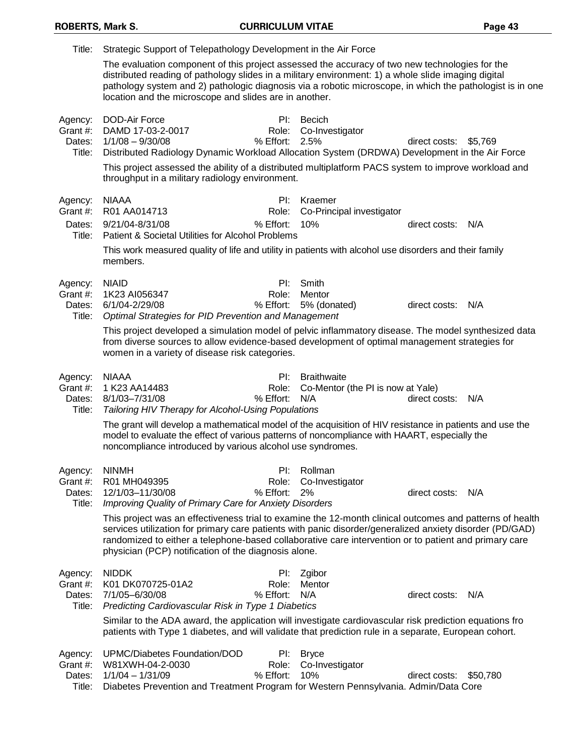| Title:                                  | Strategic Support of Telepathology Development in the Air Force                                                                                                                                                                                                                                                                                                                                                                                  |                           |                                                         |                       |          |
|-----------------------------------------|--------------------------------------------------------------------------------------------------------------------------------------------------------------------------------------------------------------------------------------------------------------------------------------------------------------------------------------------------------------------------------------------------------------------------------------------------|---------------------------|---------------------------------------------------------|-----------------------|----------|
|                                         | The evaluation component of this project assessed the accuracy of two new technologies for the<br>distributed reading of pathology slides in a military environment: 1) a whole slide imaging digital<br>pathology system and 2) pathologic diagnosis via a robotic microscope, in which the pathologist is in one<br>location and the microscope and slides are in another.                                                                     |                           |                                                         |                       |          |
| Agency:<br>Grant #:<br>Dates:<br>Title: | <b>DOD-Air Force</b><br>DAMD 17-03-2-0017<br>$1/1/08 - 9/30/08$<br>Distributed Radiology Dynamic Workload Allocation System (DRDWA) Development in the Air Force<br>This project assessed the ability of a distributed multiplatform PACS system to improve workload and<br>throughput in a military radiology environment.                                                                                                                      | Pl:<br>Role:<br>% Effort: | <b>Becich</b><br>Co-Investigator<br>2.5%                | direct costs: \$5,769 |          |
| Agency:                                 | <b>NIAAA</b>                                                                                                                                                                                                                                                                                                                                                                                                                                     | Pl:                       | Kraemer                                                 |                       |          |
| Grant #:                                | R01 AA014713                                                                                                                                                                                                                                                                                                                                                                                                                                     | Role:                     | Co-Principal investigator                               |                       |          |
| Dates:<br>Title:                        | 9/21/04-8/31/08<br>Patient & Societal Utilities for Alcohol Problems                                                                                                                                                                                                                                                                                                                                                                             | % Effort:                 | 10%                                                     | direct costs:         | N/A      |
|                                         | This work measured quality of life and utility in patients with alcohol use disorders and their family<br>members.                                                                                                                                                                                                                                                                                                                               |                           |                                                         |                       |          |
| Agency:                                 | <b>NIAID</b>                                                                                                                                                                                                                                                                                                                                                                                                                                     | PI:                       | Smith                                                   |                       |          |
| Grant #:                                | 1K23 AI056347<br>6/1/04-2/29/08                                                                                                                                                                                                                                                                                                                                                                                                                  | Role:<br>% Effort:        | Mentor                                                  |                       |          |
| Dates:<br>Title:                        | Optimal Strategies for PID Prevention and Management                                                                                                                                                                                                                                                                                                                                                                                             |                           | 5% (donated)                                            | direct costs:         | N/A      |
|                                         | This project developed a simulation model of pelvic inflammatory disease. The model synthesized data<br>from diverse sources to allow evidence-based development of optimal management strategies for<br>women in a variety of disease risk categories.                                                                                                                                                                                          |                           |                                                         |                       |          |
|                                         |                                                                                                                                                                                                                                                                                                                                                                                                                                                  |                           |                                                         |                       |          |
|                                         |                                                                                                                                                                                                                                                                                                                                                                                                                                                  | Pl:                       |                                                         |                       |          |
| Agency:<br>Grant #:                     | <b>NIAAA</b><br>1 K23 AA14483                                                                                                                                                                                                                                                                                                                                                                                                                    | Role:                     | <b>Braithwaite</b><br>Co-Mentor (the PI is now at Yale) |                       |          |
| Dates:<br>Title:                        | 8/1/03-7/31/08                                                                                                                                                                                                                                                                                                                                                                                                                                   | % Effort:                 | N/A                                                     | direct costs:         | N/A      |
|                                         | <b>Tailoring HIV Therapy for Alcohol-Using Populations</b><br>The grant will develop a mathematical model of the acquisition of HIV resistance in patients and use the<br>model to evaluate the effect of various patterns of noncompliance with HAART, especially the<br>noncompliance introduced by various alcohol use syndromes.                                                                                                             |                           |                                                         |                       |          |
|                                         |                                                                                                                                                                                                                                                                                                                                                                                                                                                  |                           |                                                         |                       |          |
| Agency: NINMH<br>Grant #:               | R01 MH049395                                                                                                                                                                                                                                                                                                                                                                                                                                     | Role:                     | PI: Rollman<br>Co-Investigator                          |                       |          |
| Dates:                                  | 12/1/03-11/30/08                                                                                                                                                                                                                                                                                                                                                                                                                                 | % Effort:                 | 2%                                                      | direct costs: N/A     |          |
| Title:                                  | Improving Quality of Primary Care for Anxiety Disorders<br>This project was an effectiveness trial to examine the 12-month clinical outcomes and patterns of health<br>services utilization for primary care patients with panic disorder/generalized anxiety disorder (PD/GAD)<br>randomized to either a telephone-based collaborative care intervention or to patient and primary care<br>physician (PCP) notification of the diagnosis alone. |                           |                                                         |                       |          |
| Agency:                                 | <b>NIDDK</b>                                                                                                                                                                                                                                                                                                                                                                                                                                     | PI:                       | Zgibor                                                  |                       |          |
| Grant #:                                | K01 DK070725-01A2                                                                                                                                                                                                                                                                                                                                                                                                                                | Role:                     | Mentor                                                  |                       |          |
| Dates:<br>Title:                        | 7/1/05-6/30/08<br>Predicting Cardiovascular Risk in Type 1 Diabetics                                                                                                                                                                                                                                                                                                                                                                             | % Effort:                 | N/A                                                     | direct costs:         | N/A      |
|                                         | Similar to the ADA award, the application will investigate cardiovascular risk prediction equations fro<br>patients with Type 1 diabetes, and will validate that prediction rule in a separate, European cohort.                                                                                                                                                                                                                                 |                           |                                                         |                       |          |
| Agency:                                 | UPMC/Diabetes Foundation/DOD                                                                                                                                                                                                                                                                                                                                                                                                                     | PI:                       | <b>Bryce</b>                                            |                       |          |
| Grant #:<br>Dates:                      | W81XWH-04-2-0030<br>$1/1/04 - 1/31/09$                                                                                                                                                                                                                                                                                                                                                                                                           | Role:<br>% Effort:        | Co-Investigator<br>10%                                  | direct costs:         | \$50,780 |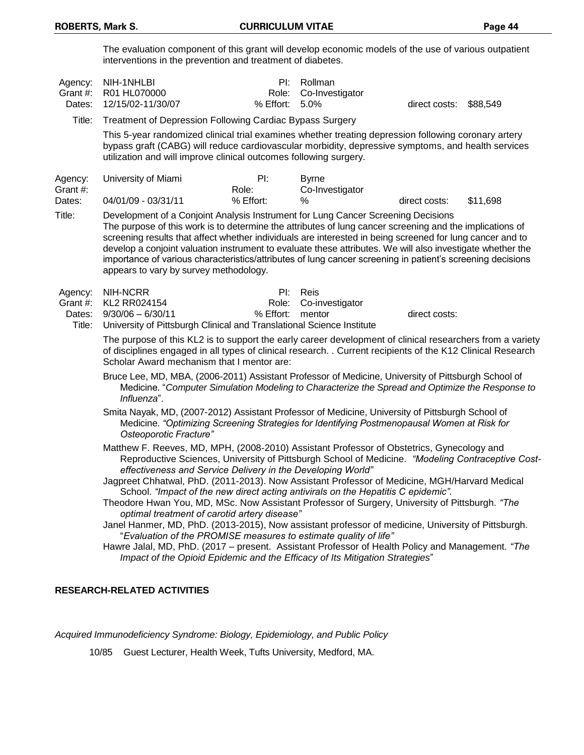The evaluation component of this grant will develop economic models of the use of various outpatient interventions in the prevention and treatment of diabetes.

| Agency:<br>Grant #:<br>Dates: | NIH-1NHLBI<br>R01 HL070000<br>12/15/02-11/30/07                                                                                                                                                                                                                                                                                                                                                                          | $P$ I:<br>Role:<br>$%$ Effort: | Rollman<br>Co-Investigator<br>5.0% | direct costs: | \$88,549 |
|-------------------------------|--------------------------------------------------------------------------------------------------------------------------------------------------------------------------------------------------------------------------------------------------------------------------------------------------------------------------------------------------------------------------------------------------------------------------|--------------------------------|------------------------------------|---------------|----------|
| Title:                        | <b>Treatment of Depression Following Cardiac Bypass Surgery</b>                                                                                                                                                                                                                                                                                                                                                          |                                |                                    |               |          |
|                               | This 5-year randomized clinical trial examines whether treating depression following coronary artery<br>bypass graft (CABG) will reduce cardiovascular morbidity, depressive symptoms, and health services<br>utilization and will improve clinical outcomes following surgery.                                                                                                                                          |                                |                                    |               |          |
| Agency:<br>Grant #:           | University of Miami<br>Role:                                                                                                                                                                                                                                                                                                                                                                                             | PI:                            | <b>Byrne</b><br>Co-Investigator    |               |          |
| Dates:                        | 04/01/09 - 03/31/11                                                                                                                                                                                                                                                                                                                                                                                                      | % Effort:                      | ℅                                  | direct costs: | \$11.698 |
| Title:                        | Development of a Conjoint Analysis Instrument for Lung Cancer Screening Decisions<br>The purpose of this work is to determine the attributes of lung cancer screening and the implications of<br>screening results that affect whether individuals are interested in being screened for lung cancer and to<br>develop a conjoint valuation instrument to evaluate these attributes. We will also investigate whether the |                                |                                    |               |          |

importance of various characteristics/attributes of lung cancer screening in patient's screening decisions appears to vary by survey methodology.

| Agency: NIH-NCRR                                                             |                  | PI: Reis              |               |
|------------------------------------------------------------------------------|------------------|-----------------------|---------------|
| Grant #: KL2 RR024154                                                        |                  | Role: Co-investigator |               |
| Dates: $9/30/06 - 6/30/11$                                                   | % Effort: mentor |                       | direct costs: |
| Title: University of Pittsburgh Clinical and Translational Science Institute |                  |                       |               |

The purpose of this KL2 is to support the early career development of clinical researchers from a variety of disciplines engaged in all types of clinical research. . Current recipients of the K12 Clinical Research Scholar Award mechanism that I mentor are:

Bruce Lee, MD, MBA, (2006-2011) Assistant Professor of Medicine, University of Pittsburgh School of Medicine. "*Computer Simulation Modeling to Characterize the Spread and Optimize the Response to Influenza*".

Smita Nayak, MD, (2007-2012) Assistant Professor of Medicine, University of Pittsburgh School of Medicine. *"Optimizing Screening Strategies for Identifying Postmenopausal Women at Risk for Osteoporotic Fracture"*

Matthew F. Reeves, MD, MPH, (2008-2010) Assistant Professor of Obstetrics, Gynecology and Reproductive Sciences, University of Pittsburgh School of Medicine. *"Modeling Contraceptive Costeffectiveness and Service Delivery in the Developing World"*

Jagpreet Chhatwal, PhD. (2011-2013). Now Assistant Professor of Medicine, MGH/Harvard Medical School. *"Impact of the new direct acting antivirals on the Hepatitis C epidemic".*

Theodore Hwan You, MD, MSc. Now Assistant Professor of Surgery, University of Pittsburgh. *"The optimal treatment of carotid artery disease"*

Janel Hanmer, MD, PhD. (2013-2015), Now assistant professor of medicine, University of Pittsburgh. "*Evaluation of the PROMISE measures to estimate quality of life"*

Hawre Jalal, MD, PhD. (2017 – present. Assistant Professor of Health Policy and Management. *"The Impact of the Opioid Epidemic and the Efficacy of Its Mitigation Strategies*"

### **RESEARCH-RELATED ACTIVITIES**

*Acquired Immunodeficiency Syndrome: Biology, Epidemiology, and Public Policy*

10/85 Guest Lecturer, Health Week, Tufts University, Medford, MA.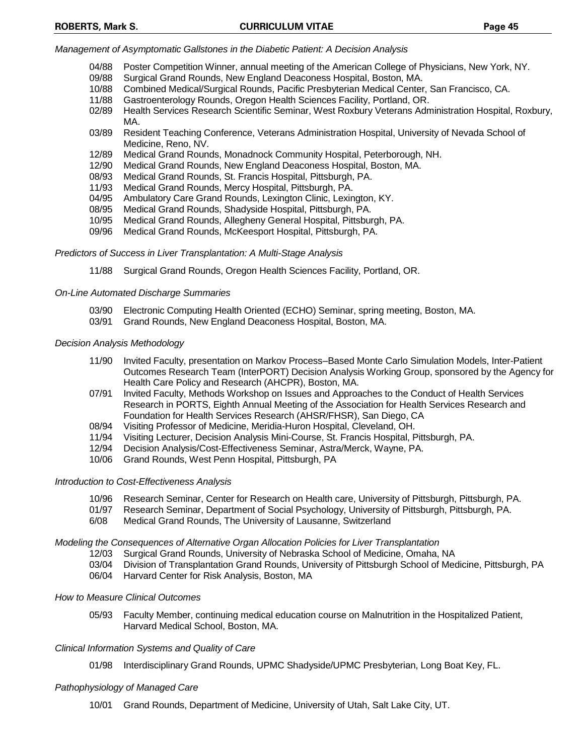### *Management of Asymptomatic Gallstones in the Diabetic Patient: A Decision Analysis*

- 04/88 Poster Competition Winner, annual meeting of the American College of Physicians, New York, NY.
- 09/88 Surgical Grand Rounds, New England Deaconess Hospital, Boston, MA.
- 10/88 Combined Medical/Surgical Rounds, Pacific Presbyterian Medical Center, San Francisco, CA.
- 11/88 Gastroenterology Rounds, Oregon Health Sciences Facility, Portland, OR.
- 02/89 Health Services Research Scientific Seminar, West Roxbury Veterans Administration Hospital, Roxbury, MA.
- 03/89 Resident Teaching Conference, Veterans Administration Hospital, University of Nevada School of Medicine, Reno, NV.
- 12/89 Medical Grand Rounds, Monadnock Community Hospital, Peterborough, NH.
- 12/90 Medical Grand Rounds, New England Deaconess Hospital, Boston, MA.
- 08/93 Medical Grand Rounds, St. Francis Hospital, Pittsburgh, PA.
- 11/93 Medical Grand Rounds, Mercy Hospital, Pittsburgh, PA.
- 04/95 Ambulatory Care Grand Rounds, Lexington Clinic, Lexington, KY.
- 08/95 Medical Grand Rounds, Shadyside Hospital, Pittsburgh, PA.
- 10/95 Medical Grand Rounds, Allegheny General Hospital, Pittsburgh, PA.
- 09/96 Medical Grand Rounds, McKeesport Hospital, Pittsburgh, PA.

### *Predictors of Success in Liver Transplantation: A Multi-Stage Analysis*

11/88 Surgical Grand Rounds, Oregon Health Sciences Facility, Portland, OR.

### *On-Line Automated Discharge Summaries*

- 03/90 Electronic Computing Health Oriented (ECHO) Seminar, spring meeting, Boston, MA.
- 03/91 Grand Rounds, New England Deaconess Hospital, Boston, MA.

### *Decision Analysis Methodology*

- 11/90 Invited Faculty, presentation on Markov Process–Based Monte Carlo Simulation Models, Inter-Patient Outcomes Research Team (InterPORT) Decision Analysis Working Group, sponsored by the Agency for Health Care Policy and Research (AHCPR), Boston, MA.
- 07/91 Invited Faculty, Methods Workshop on Issues and Approaches to the Conduct of Health Services Research in PORTS, Eighth Annual Meeting of the Association for Health Services Research and Foundation for Health Services Research (AHSR/FHSR), San Diego, CA
- 08/94 Visiting Professor of Medicine, Meridia-Huron Hospital, Cleveland, OH.
- 11/94 Visiting Lecturer, Decision Analysis Mini-Course, St. Francis Hospital, Pittsburgh, PA.
- 12/94 Decision Analysis/Cost-Effectiveness Seminar, Astra/Merck, Wayne, PA.
- 10/06 Grand Rounds, West Penn Hospital, Pittsburgh, PA

### *Introduction to Cost-Effectiveness Analysis*

- 10/96 Research Seminar, Center for Research on Health care, University of Pittsburgh, Pittsburgh, PA.
- 01/97 Research Seminar, Department of Social Psychology, University of Pittsburgh, Pittsburgh, PA.
- 6/08 Medical Grand Rounds, The University of Lausanne, Switzerland

### *Modeling the Consequences of Alternative Organ Allocation Policies for Liver Transplantation*

- 12/03 Surgical Grand Rounds, University of Nebraska School of Medicine, Omaha, NA
- 03/04 Division of Transplantation Grand Rounds, University of Pittsburgh School of Medicine, Pittsburgh, PA
- 06/04 Harvard Center for Risk Analysis, Boston, MA

## *How to Measure Clinical Outcomes*

05/93 Faculty Member, continuing medical education course on Malnutrition in the Hospitalized Patient, Harvard Medical School, Boston, MA.

## *Clinical Information Systems and Quality of Care*

01/98 Interdisciplinary Grand Rounds, UPMC Shadyside/UPMC Presbyterian, Long Boat Key, FL.

### *Pathophysiology of Managed Care*

10/01 Grand Rounds, Department of Medicine, University of Utah, Salt Lake City, UT.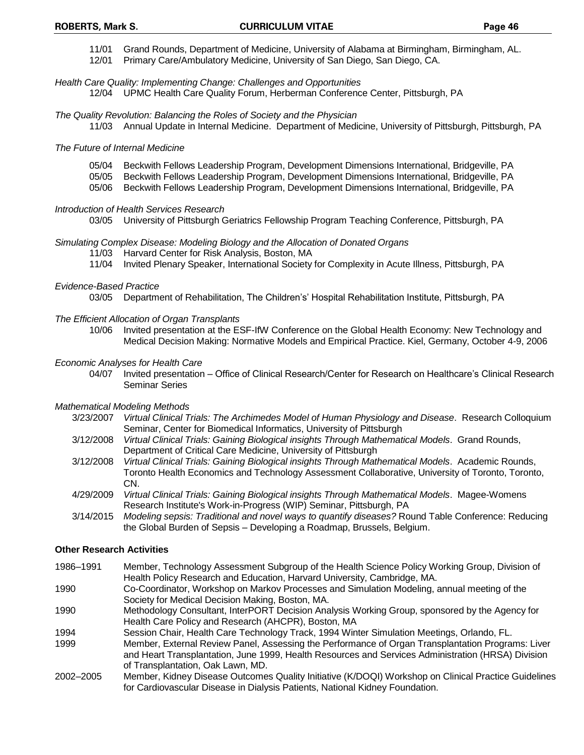- 11/01 Grand Rounds, Department of Medicine, University of Alabama at Birmingham, Birmingham, AL.
- 12/01 Primary Care/Ambulatory Medicine, University of San Diego, San Diego, CA.

#### *Health Care Quality: Implementing Change: Challenges and Opportunities*

12/04 UPMC Health Care Quality Forum, Herberman Conference Center, Pittsburgh, PA

#### *The Quality Revolution: Balancing the Roles of Society and the Physician*

11/03 Annual Update in Internal Medicine. Department of Medicine, University of Pittsburgh, Pittsburgh, PA

#### *The Future of Internal Medicine*

- 05/04 Beckwith Fellows Leadership Program, Development Dimensions International, Bridgeville, PA
- 05/05 Beckwith Fellows Leadership Program, Development Dimensions International, Bridgeville, PA
- 05/06 Beckwith Fellows Leadership Program, Development Dimensions International, Bridgeville, PA

#### *Introduction of Health Services Research*

03/05 University of Pittsburgh Geriatrics Fellowship Program Teaching Conference, Pittsburgh, PA

#### *Simulating Complex Disease: Modeling Biology and the Allocation of Donated Organs*

- 11/03 Harvard Center for Risk Analysis, Boston, MA
- 11/04 Invited Plenary Speaker, International Society for Complexity in Acute Illness, Pittsburgh, PA

#### *Evidence-Based Practice*

03/05 Department of Rehabilitation, The Children's' Hospital Rehabilitation Institute, Pittsburgh, PA

#### *The Efficient Allocation of Organ Transplants*

10/06 Invited presentation at the ESF-IfW Conference on the Global Health Economy: New Technology and Medical Decision Making: Normative Models and Empirical Practice. Kiel, Germany, October 4-9, 2006

#### *Economic Analyses for Health Care*

04/07 Invited presentation – Office of Clinical Research/Center for Research on Healthcare's Clinical Research Seminar Series

### *Mathematical Modeling Methods*

- 3/23/2007 *Virtual Clinical Trials: The Archimedes Model of Human Physiology and Disease*. Research Colloquium Seminar, Center for Biomedical Informatics, University of Pittsburgh
- 3/12/2008 *Virtual Clinical Trials: Gaining Biological insights Through Mathematical Models*. Grand Rounds, Department of Critical Care Medicine, University of Pittsburgh
- 3/12/2008 *Virtual Clinical Trials: Gaining Biological insights Through Mathematical Models*. Academic Rounds, Toronto Health Economics and Technology Assessment Collaborative, University of Toronto, Toronto, CN.
- 4/29/2009 *Virtual Clinical Trials: Gaining Biological insights Through Mathematical Models*. Magee-Womens Research Institute's Work-in-Progress (WIP) Seminar, Pittsburgh, PA
- 3/14/2015 *Modeling sepsis: Traditional and novel ways to quantify diseases?* Round Table Conference: Reducing the Global Burden of Sepsis – Developing a Roadmap, Brussels, Belgium.

### **Other Research Activities**

- 1986–1991 Member, Technology Assessment Subgroup of the Health Science Policy Working Group, Division of Health Policy Research and Education, Harvard University, Cambridge, MA.
- 1990 Co-Coordinator, Workshop on Markov Processes and Simulation Modeling, annual meeting of the Society for Medical Decision Making, Boston, MA.
- 1990 Methodology Consultant, InterPORT Decision Analysis Working Group, sponsored by the Agency for Health Care Policy and Research (AHCPR), Boston, MA
- 1994 Session Chair, Health Care Technology Track, 1994 Winter Simulation Meetings, Orlando, FL.
- 1999 Member, External Review Panel, Assessing the Performance of Organ Transplantation Programs: Liver and Heart Transplantation, June 1999, Health Resources and Services Administration (HRSA) Division of Transplantation, Oak Lawn, MD.
- 2002–2005 Member, Kidney Disease Outcomes Quality Initiative (K/DOQI) Workshop on Clinical Practice Guidelines for Cardiovascular Disease in Dialysis Patients, National Kidney Foundation.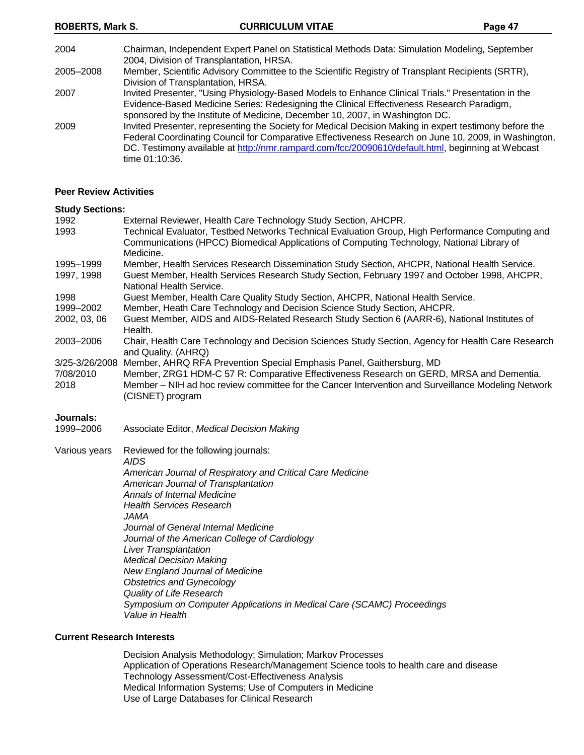2004 Chairman, Independent Expert Panel on Statistical Methods Data: Simulation Modeling, September 2004, Division of Transplantation, HRSA. 2005–2008 Member, Scientific Advisory Committee to the Scientific Registry of Transplant Recipients (SRTR), Division of Transplantation, HRSA. 2007 Invited Presenter, "Using Physiology-Based Models to Enhance Clinical Trials." Presentation in the Evidence-Based Medicine Series: Redesigning the Clinical Effectiveness Research Paradigm, sponsored by the Institute of Medicine, December 10, 2007, in Washington DC. 2009 Invited Presenter, representing the Society for Medical Decision Making in expert testimony before the Federal Coordinating Council for Comparative Effectiveness Research on June 10, 2009, in Washington, DC. Testimony available at [http://nmr.rampard.com/fcc/20090610/default.html,](http://nmr.rampard.com/fcc/20090610/default.html) beginning at Webcast time 01:10:36.

### **Peer Review Activities**

### **Study Sections:**

| 1992              | External Reviewer, Health Care Technology Study Section, AHCPR.                                                                                                                                                   |
|-------------------|-------------------------------------------------------------------------------------------------------------------------------------------------------------------------------------------------------------------|
| 1993              | Technical Evaluator, Testbed Networks Technical Evaluation Group, High Performance Computing and<br>Communications (HPCC) Biomedical Applications of Computing Technology, National Library of<br>Medicine.       |
| 1995-1999         | Member, Health Services Research Dissemination Study Section, AHCPR, National Health Service.                                                                                                                     |
| 1997, 1998        | Guest Member, Health Services Research Study Section, February 1997 and October 1998, AHCPR,<br>National Health Service.                                                                                          |
| 1998              | Guest Member, Health Care Quality Study Section, AHCPR, National Health Service.                                                                                                                                  |
| 1999–2002         | Member, Heath Care Technology and Decision Science Study Section, AHCPR.                                                                                                                                          |
| 2002, 03, 06      | Guest Member, AIDS and AIDS-Related Research Study Section 6 (AARR-6), National Institutes of<br>Health.                                                                                                          |
| 2003–2006         | Chair, Health Care Technology and Decision Sciences Study Section, Agency for Health Care Research<br>and Quality. (AHRQ)                                                                                         |
| 3/25-3/26/2008    | Member, AHRQ RFA Prevention Special Emphasis Panel, Gaithersburg, MD                                                                                                                                              |
| 7/08/2010<br>2018 | Member, ZRG1 HDM-C 57 R: Comparative Effectiveness Research on GERD, MRSA and Dementia.<br>Member – NIH ad hoc review committee for the Cancer Intervention and Surveillance Modeling Network<br>(CISNET) program |
| Journals:         |                                                                                                                                                                                                                   |
| 1999-2006         | Associate Editor, Medical Decision Making                                                                                                                                                                         |
| Various years     | Reviewed for the following journals:                                                                                                                                                                              |

*AIDS*

*American Journal of Respiratory and Critical Care Medicine American Journal of Transplantation Annals of Internal Medicine Health Services Research JAMA Journal of General Internal Medicine Journal of the American College of Cardiology Liver Transplantation Medical Decision Making New England Journal of Medicine Obstetrics and Gynecology Quality of Life Research Symposium on Computer Applications in Medical Care (SCAMC) Proceedings Value in Health*

#### **Current Research Interests**

Decision Analysis Methodology; Simulation; Markov Processes Application of Operations Research/Management Science tools to health care and disease Technology Assessment/Cost-Effectiveness Analysis Medical Information Systems; Use of Computers in Medicine Use of Large Databases for Clinical Research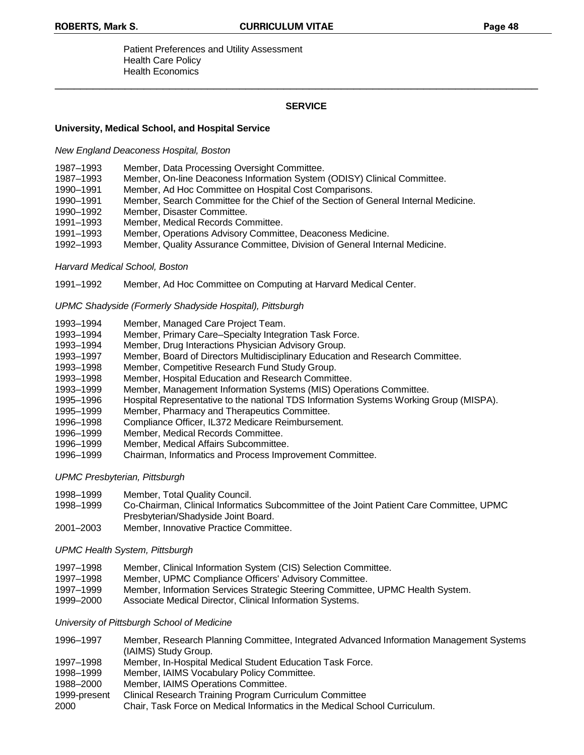Patient Preferences and Utility Assessment Health Care Policy Health Economics

## **SERVICE**

\_\_\_\_\_\_\_\_\_\_\_\_\_\_\_\_\_\_\_\_\_\_\_\_\_\_\_\_\_\_\_\_\_\_\_\_\_\_\_\_\_\_\_\_\_\_\_\_\_\_\_\_\_\_\_\_\_\_\_\_\_\_\_\_\_\_\_\_\_\_\_\_\_\_\_\_

### **University, Medical School, and Hospital Service**

*New England Deaconess Hospital, Boston*

- 1987–1993 Member, Data Processing Oversight Committee.
- 1987–1993 Member, On-line Deaconess Information System (ODISY) Clinical Committee.
- 1990–1991 Member, Ad Hoc Committee on Hospital Cost Comparisons.
- 1990–1991 Member, Search Committee for the Chief of the Section of General Internal Medicine.
- 1990–1992 Member, Disaster Committee.
- 1991–1993 Member, Medical Records Committee.
- 1991–1993 Member, Operations Advisory Committee, Deaconess Medicine.
- 1992–1993 Member, Quality Assurance Committee, Division of General Internal Medicine.

#### *Harvard Medical School, Boston*

1991–1992 Member, Ad Hoc Committee on Computing at Harvard Medical Center.

### *UPMC Shadyside (Formerly Shadyside Hospital), Pittsburgh*

- 1993–1994 Member, Managed Care Project Team.
- 1993–1994 Member, Primary Care–Specialty Integration Task Force.
- 1993–1994 Member, Drug Interactions Physician Advisory Group.
- 1993–1997 Member, Board of Directors Multidisciplinary Education and Research Committee.
- 1993–1998 Member, Competitive Research Fund Study Group.
- 1993–1998 Member, Hospital Education and Research Committee.
- 1993–1999 Member, Management Information Systems (MIS) Operations Committee.
- 1995–1996 Hospital Representative to the national TDS Information Systems Working Group (MISPA).
- 1995–1999 Member, Pharmacy and Therapeutics Committee.
- 1996–1998 Compliance Officer, IL372 Medicare Reimbursement.
- 1996–1999 Member, Medical Records Committee.
- 1996–1999 Member, Medical Affairs Subcommittee.
- 1996–1999 Chairman, Informatics and Process Improvement Committee.

### *UPMC Presbyterian, Pittsburgh*

- 1998–1999 Member, Total Quality Council.
- 1998–1999 Co-Chairman, Clinical Informatics Subcommittee of the Joint Patient Care Committee, UPMC Presbyterian/Shadyside Joint Board.
- 2001–2003 Member, Innovative Practice Committee.

### *UPMC Health System, Pittsburgh*

- 1997–1998 Member, Clinical Information System (CIS) Selection Committee.
- 1997–1998 Member, UPMC Compliance Officers' Advisory Committee.
- 1997–1999 Member, Information Services Strategic Steering Committee, UPMC Health System.
- 1999–2000 Associate Medical Director, Clinical Information Systems.

### *University of Pittsburgh School of Medicine*

- 1996–1997 Member, Research Planning Committee, Integrated Advanced Information Management Systems (IAIMS) Study Group.
- 1997–1998 Member, In-Hospital Medical Student Education Task Force.
- 1998–1999 Member, IAIMS Vocabulary Policy Committee.
- 1988–2000 Member, IAIMS Operations Committee.
- 1999-present Clinical Research Training Program Curriculum Committee
- 2000 Chair, Task Force on Medical Informatics in the Medical School Curriculum.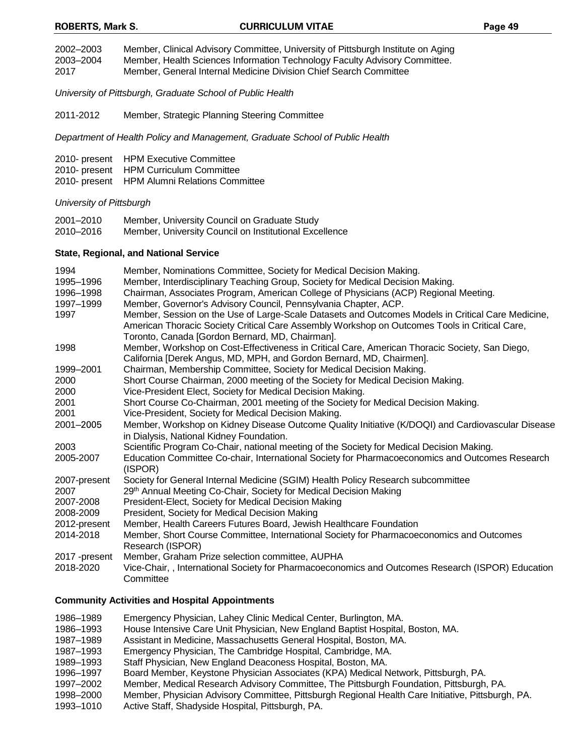2002–2003 Member, Clinical Advisory Committee, University of Pittsburgh Institute on Aging

- 2003–2004 Member, Health Sciences Information Technology Faculty Advisory Committee.
- 2017 Member, General Internal Medicine Division Chief Search Committee

*University of Pittsburgh, Graduate School of Public Health*

2011-2012 Member, Strategic Planning Steering Committee

*Department of Health Policy and Management, Graduate School of Public Health*

- 2010- present HPM Executive Committee
- 2010- present HPM Curriculum Committee
- 2010- present HPM Alumni Relations Committee

*University of Pittsburgh*

| 2001–2010 | Member, University Council on Graduate Study           |
|-----------|--------------------------------------------------------|
| 2010–2016 | Member, University Council on Institutional Excellence |

### **State, Regional, and National Service**

| 1994          | Member, Nominations Committee, Society for Medical Decision Making.                                                                                                                                |
|---------------|----------------------------------------------------------------------------------------------------------------------------------------------------------------------------------------------------|
| 1995-1996     | Member, Interdisciplinary Teaching Group, Society for Medical Decision Making.                                                                                                                     |
| 1996-1998     | Chairman, Associates Program, American College of Physicians (ACP) Regional Meeting.                                                                                                               |
| 1997-1999     | Member, Governor's Advisory Council, Pennsylvania Chapter, ACP.                                                                                                                                    |
| 1997          | Member, Session on the Use of Large-Scale Datasets and Outcomes Models in Critical Care Medicine,<br>American Thoracic Society Critical Care Assembly Workshop on Outcomes Tools in Critical Care, |
|               | Toronto, Canada [Gordon Bernard, MD, Chairman].                                                                                                                                                    |
| 1998          | Member, Workshop on Cost-Effectiveness in Critical Care, American Thoracic Society, San Diego,<br>California [Derek Angus, MD, MPH, and Gordon Bernard, MD, Chairmen].                             |
| 1999-2001     | Chairman, Membership Committee, Society for Medical Decision Making.                                                                                                                               |
| 2000          | Short Course Chairman, 2000 meeting of the Society for Medical Decision Making.                                                                                                                    |
| 2000          | Vice-President Elect, Society for Medical Decision Making.                                                                                                                                         |
| 2001          | Short Course Co-Chairman, 2001 meeting of the Society for Medical Decision Making.                                                                                                                 |
| 2001          | Vice-President, Society for Medical Decision Making.                                                                                                                                               |
| 2001-2005     | Member, Workshop on Kidney Disease Outcome Quality Initiative (K/DOQI) and Cardiovascular Disease<br>in Dialysis, National Kidney Foundation.                                                      |
| 2003          | Scientific Program Co-Chair, national meeting of the Society for Medical Decision Making.                                                                                                          |
| 2005-2007     | Education Committee Co-chair, International Society for Pharmacoeconomics and Outcomes Research<br>(ISPOR)                                                                                         |
| 2007-present  | Society for General Internal Medicine (SGIM) Health Policy Research subcommittee                                                                                                                   |
| 2007          | 29th Annual Meeting Co-Chair, Society for Medical Decision Making                                                                                                                                  |
| 2007-2008     | President-Elect, Society for Medical Decision Making                                                                                                                                               |
| 2008-2009     | President, Society for Medical Decision Making                                                                                                                                                     |
| 2012-present  | Member, Health Careers Futures Board, Jewish Healthcare Foundation                                                                                                                                 |
| 2014-2018     | Member, Short Course Committee, International Society for Pharmacoeconomics and Outcomes<br>Research (ISPOR)                                                                                       |
| 2017 -present | Member, Graham Prize selection committee, AUPHA                                                                                                                                                    |
| 2018-2020     | Vice-Chair,, International Society for Pharmacoeconomics and Outcomes Research (ISPOR) Education<br>Committee                                                                                      |

## **Community Activities and Hospital Appointments**

- 1986–1989 Emergency Physician, Lahey Clinic Medical Center, Burlington, MA.
- 1986–1993 House Intensive Care Unit Physician, New England Baptist Hospital, Boston, MA.
- 1987–1989 Assistant in Medicine, Massachusetts General Hospital, Boston, MA.
- 1987–1993 Emergency Physician, The Cambridge Hospital, Cambridge, MA.
- 1989–1993 Staff Physician, New England Deaconess Hospital, Boston, MA.
- 1996–1997 Board Member, Keystone Physician Associates (KPA) Medical Network, Pittsburgh, PA.
- 1997–2002 Member, Medical Research Advisory Committee, The Pittsburgh Foundation, Pittsburgh, PA.
- 1998–2000 Member, Physician Advisory Committee, Pittsburgh Regional Health Care Initiative, Pittsburgh, PA.
- 1993–1010 Active Staff, Shadyside Hospital, Pittsburgh, PA.